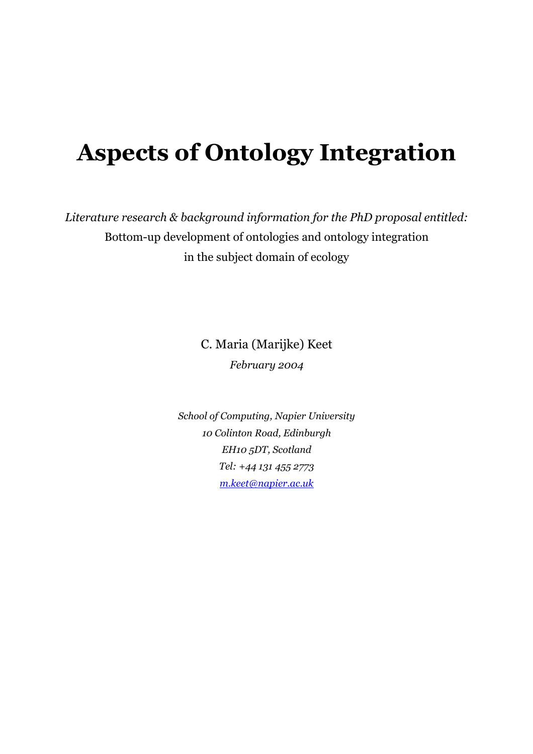# **Aspects of Ontology Integration**

*Literature research & background information for the PhD proposal entitled:*  Bottom-up development of ontologies and ontology integration in the subject domain of ecology

> C. Maria (Marijke) Keet *February 2004*

*School of Computing, Napier University 10 Colinton Road, Edinburgh EH10 5DT, Scotland Tel: +44 131 455 2773 m.keet@napier.ac.uk*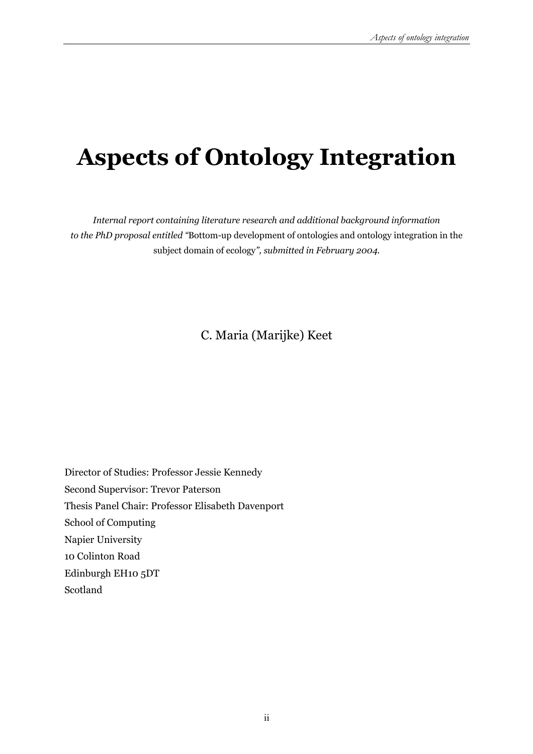# **Aspects of Ontology Integration**

*Internal report containing literature research and additional background information to the PhD proposal entitled "*Bottom-up development of ontologies and ontology integration in the subject domain of ecology*", submitted in February 2004.* 

### C. Maria (Marijke) Keet

Director of Studies: Professor Jessie Kennedy Second Supervisor: Trevor Paterson Thesis Panel Chair: Professor Elisabeth Davenport School of Computing Napier University 10 Colinton Road Edinburgh EH10 5DT Scotland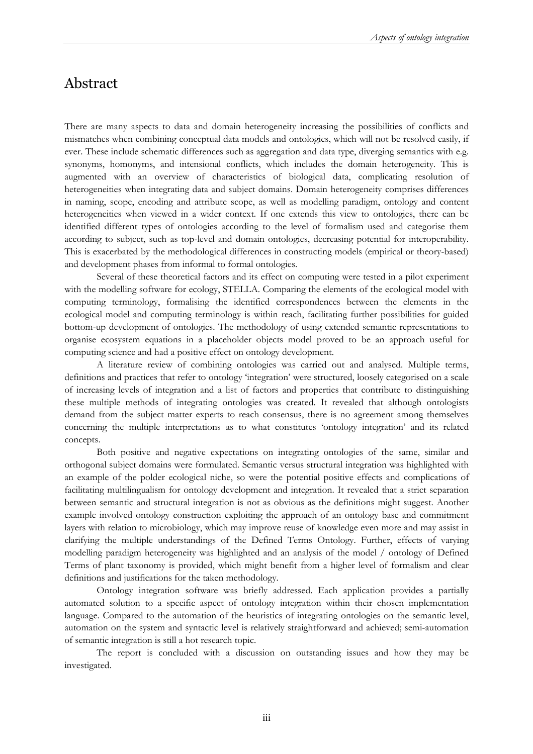### Abstract

There are many aspects to data and domain heterogeneity increasing the possibilities of conflicts and mismatches when combining conceptual data models and ontologies, which will not be resolved easily, if ever. These include schematic differences such as aggregation and data type, diverging semantics with e.g. synonyms, homonyms, and intensional conflicts, which includes the domain heterogeneity. This is augmented with an overview of characteristics of biological data, complicating resolution of heterogeneities when integrating data and subject domains. Domain heterogeneity comprises differences in naming, scope, encoding and attribute scope, as well as modelling paradigm, ontology and content heterogeneities when viewed in a wider context. If one extends this view to ontologies, there can be identified different types of ontologies according to the level of formalism used and categorise them according to subject, such as top-level and domain ontologies, decreasing potential for interoperability. This is exacerbated by the methodological differences in constructing models (empirical or theory-based) and development phases from informal to formal ontologies.

 Several of these theoretical factors and its effect on computing were tested in a pilot experiment with the modelling software for ecology, STELLA. Comparing the elements of the ecological model with computing terminology, formalising the identified correspondences between the elements in the ecological model and computing terminology is within reach, facilitating further possibilities for guided bottom-up development of ontologies. The methodology of using extended semantic representations to organise ecosystem equations in a placeholder objects model proved to be an approach useful for computing science and had a positive effect on ontology development.

A literature review of combining ontologies was carried out and analysed. Multiple terms, definitions and practices that refer to ontology 'integration' were structured, loosely categorised on a scale of increasing levels of integration and a list of factors and properties that contribute to distinguishing these multiple methods of integrating ontologies was created. It revealed that although ontologists demand from the subject matter experts to reach consensus, there is no agreement among themselves concerning the multiple interpretations as to what constitutes 'ontology integration' and its related concepts.

Both positive and negative expectations on integrating ontologies of the same, similar and orthogonal subject domains were formulated. Semantic versus structural integration was highlighted with an example of the polder ecological niche, so were the potential positive effects and complications of facilitating multilingualism for ontology development and integration. It revealed that a strict separation between semantic and structural integration is not as obvious as the definitions might suggest. Another example involved ontology construction exploiting the approach of an ontology base and commitment layers with relation to microbiology, which may improve reuse of knowledge even more and may assist in clarifying the multiple understandings of the Defined Terms Ontology. Further, effects of varying modelling paradigm heterogeneity was highlighted and an analysis of the model / ontology of Defined Terms of plant taxonomy is provided, which might benefit from a higher level of formalism and clear definitions and justifications for the taken methodology.

Ontology integration software was briefly addressed. Each application provides a partially automated solution to a specific aspect of ontology integration within their chosen implementation language. Compared to the automation of the heuristics of integrating ontologies on the semantic level, automation on the system and syntactic level is relatively straightforward and achieved; semi-automation of semantic integration is still a hot research topic.

The report is concluded with a discussion on outstanding issues and how they may be investigated.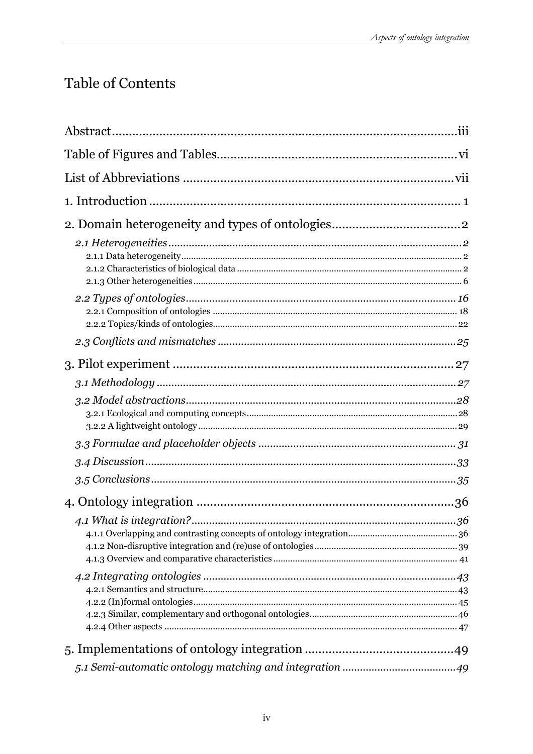## Table of Contents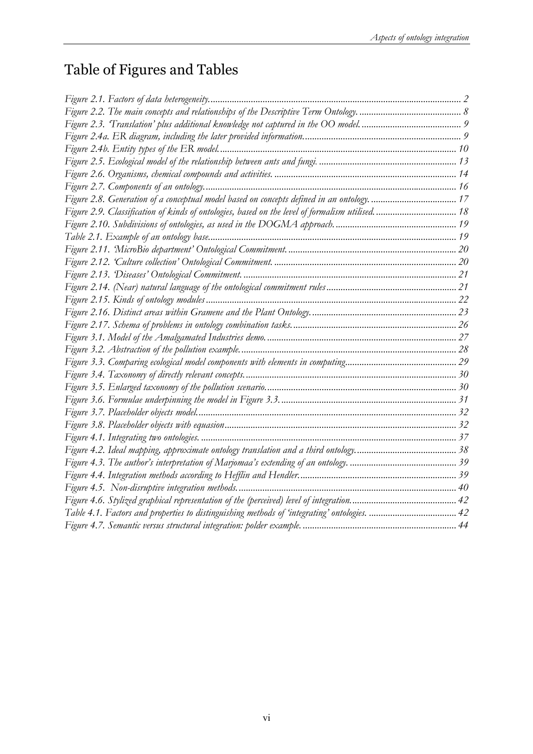## Table of Figures and Tables

| Figure 2.9. Classification of kinds of ontologies, based on the level of formalism utilised 18 |
|------------------------------------------------------------------------------------------------|
|                                                                                                |
|                                                                                                |
|                                                                                                |
|                                                                                                |
|                                                                                                |
|                                                                                                |
|                                                                                                |
|                                                                                                |
|                                                                                                |
|                                                                                                |
|                                                                                                |
|                                                                                                |
|                                                                                                |
|                                                                                                |
|                                                                                                |
|                                                                                                |
|                                                                                                |
|                                                                                                |
|                                                                                                |
|                                                                                                |
|                                                                                                |
|                                                                                                |
|                                                                                                |
| Table 4.1. Factors and properties to distinguishing methods of 'integrating' ontologies.  42   |
|                                                                                                |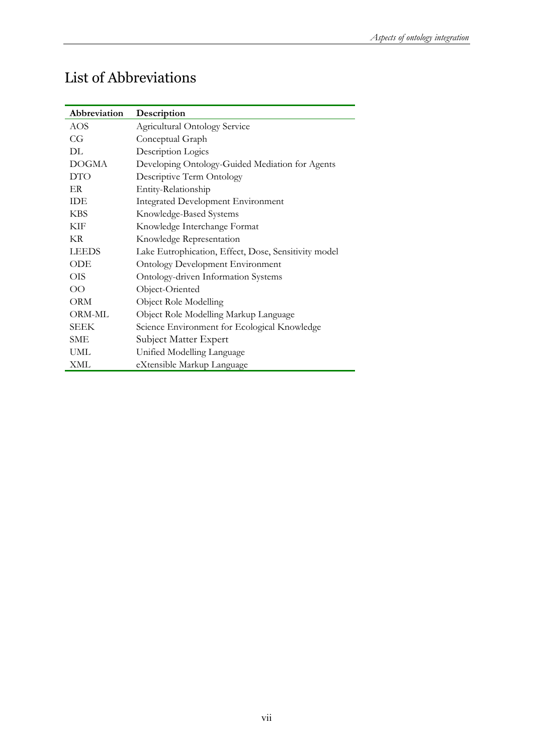| Abbreviation  | Description                                          |
|---------------|------------------------------------------------------|
| AOS           | <b>Agricultural Ontology Service</b>                 |
| CG            | Conceptual Graph                                     |
| DL            | Description Logics                                   |
| <b>DOGMA</b>  | Developing Ontology-Guided Mediation for Agents      |
| <b>DTO</b>    | Descriptive Term Ontology                            |
| ER            | Entity-Relationship                                  |
| <b>IDE</b>    | <b>Integrated Development Environment</b>            |
| <b>KBS</b>    | Knowledge-Based Systems                              |
| KIF           | Knowledge Interchange Format                         |
| KR.           | Knowledge Representation                             |
| <b>LEEDS</b>  | Lake Eutrophication, Effect, Dose, Sensitivity model |
| <b>ODE</b>    | <b>Ontology Development Environment</b>              |
| OIS           | Ontology-driven Information Systems                  |
| <sub>OO</sub> | Object-Oriented                                      |
| ORM           | Object Role Modelling                                |
| ORM-ML        | Object Role Modelling Markup Language                |
| <b>SEEK</b>   | Science Environment for Ecological Knowledge         |
| <b>SME</b>    | Subject Matter Expert                                |
| <b>UML</b>    | Unified Modelling Language                           |
| XML           | eXtensible Markup Language                           |

## List of Abbreviations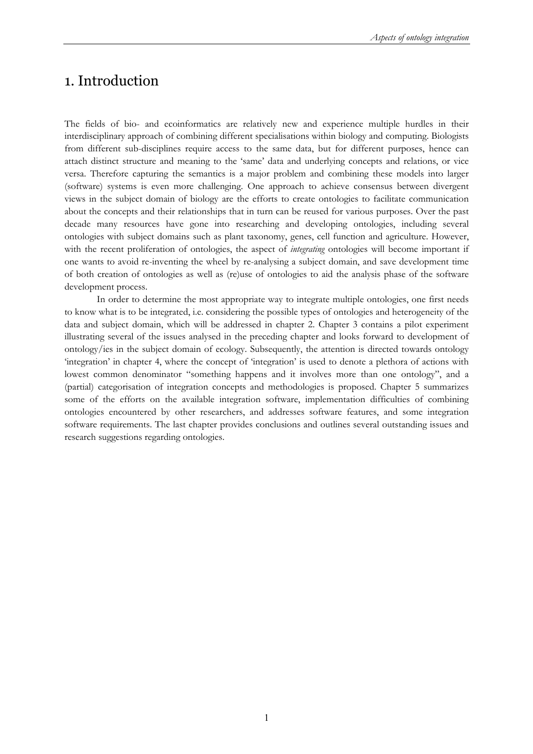### 1. Introduction

The fields of bio- and ecoinformatics are relatively new and experience multiple hurdles in their interdisciplinary approach of combining different specialisations within biology and computing. Biologists from different sub-disciplines require access to the same data, but for different purposes, hence can attach distinct structure and meaning to the 'same' data and underlying concepts and relations, or vice versa. Therefore capturing the semantics is a major problem and combining these models into larger (software) systems is even more challenging. One approach to achieve consensus between divergent views in the subject domain of biology are the efforts to create ontologies to facilitate communication about the concepts and their relationships that in turn can be reused for various purposes. Over the past decade many resources have gone into researching and developing ontologies, including several ontologies with subject domains such as plant taxonomy, genes, cell function and agriculture. However, with the recent proliferation of ontologies, the aspect of *integrating* ontologies will become important if one wants to avoid re-inventing the wheel by re-analysing a subject domain, and save development time of both creation of ontologies as well as (re)use of ontologies to aid the analysis phase of the software development process.

In order to determine the most appropriate way to integrate multiple ontologies, one first needs to know what is to be integrated, i.e. considering the possible types of ontologies and heterogeneity of the data and subject domain, which will be addressed in chapter 2. Chapter 3 contains a pilot experiment illustrating several of the issues analysed in the preceding chapter and looks forward to development of ontology/ies in the subject domain of ecology. Subsequently, the attention is directed towards ontology 'integration' in chapter 4, where the concept of 'integration' is used to denote a plethora of actions with lowest common denominator "something happens and it involves more than one ontology", and a (partial) categorisation of integration concepts and methodologies is proposed. Chapter 5 summarizes some of the efforts on the available integration software, implementation difficulties of combining ontologies encountered by other researchers, and addresses software features, and some integration software requirements. The last chapter provides conclusions and outlines several outstanding issues and research suggestions regarding ontologies.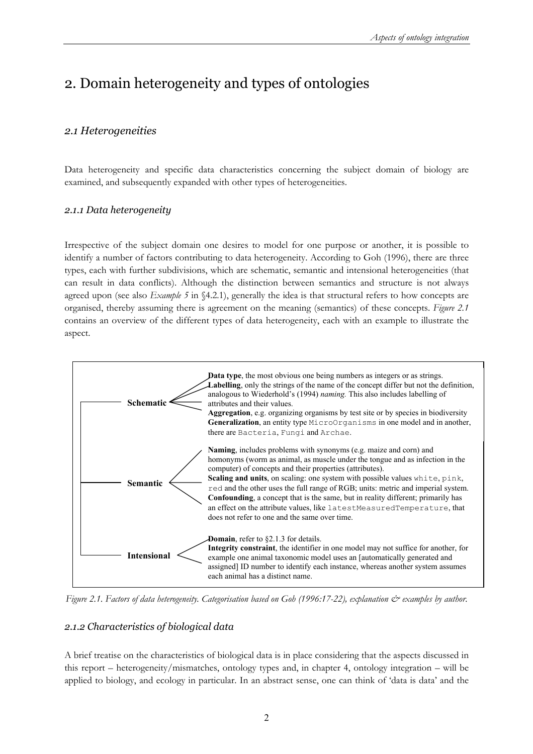## 2. Domain heterogeneity and types of ontologies

#### *2.1 Heterogeneities*

Data heterogeneity and specific data characteristics concerning the subject domain of biology are examined, and subsequently expanded with other types of heterogeneities.

#### *2.1.1 Data heterogeneity*

Irrespective of the subject domain one desires to model for one purpose or another, it is possible to identify a number of factors contributing to data heterogeneity. According to Goh (1996), there are three types, each with further subdivisions, which are schematic, semantic and intensional heterogeneities (that can result in data conflicts). Although the distinction between semantics and structure is not always agreed upon (see also *Example 5* in §4.2.1), generally the idea is that structural refers to how concepts are organised, thereby assuming there is agreement on the meaning (semantics) of these concepts. *Figure 2.1* contains an overview of the different types of data heterogeneity, each with an example to illustrate the aspect.



*Figure 2.1. Factors of data heterogeneity. Categorisation based on Goh (1996:17-22), explanation*  $\breve{c}$  *examples by author.* 

#### *2.1.2 Characteristics of biological data*

A brief treatise on the characteristics of biological data is in place considering that the aspects discussed in this report – heterogeneity/mismatches, ontology types and, in chapter 4, ontology integration – will be applied to biology, and ecology in particular. In an abstract sense, one can think of 'data is data' and the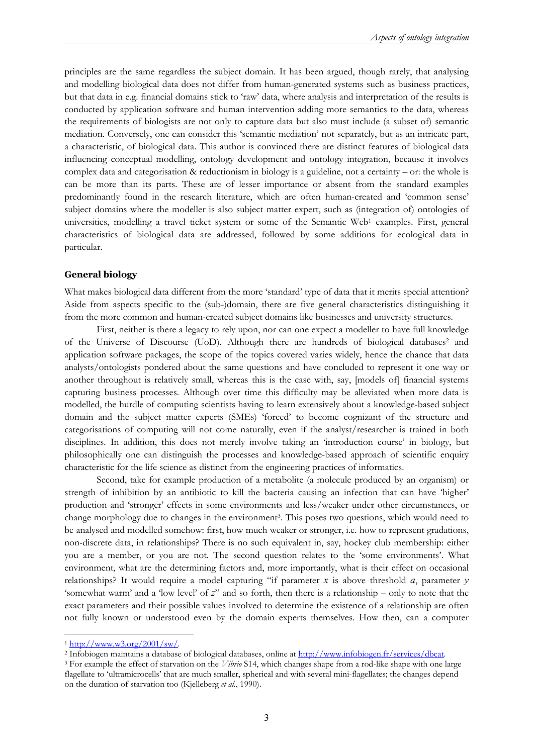principles are the same regardless the subject domain. It has been argued, though rarely, that analysing and modelling biological data does not differ from human-generated systems such as business practices, but that data in e.g. financial domains stick to 'raw' data, where analysis and interpretation of the results is conducted by application software and human intervention adding more semantics to the data, whereas the requirements of biologists are not only to capture data but also must include (a subset of) semantic mediation. Conversely, one can consider this 'semantic mediation' not separately, but as an intricate part, a characteristic, of biological data. This author is convinced there are distinct features of biological data influencing conceptual modelling, ontology development and ontology integration, because it involves complex data and categorisation & reductionism in biology is a guideline, not a certainty – or: the whole is can be more than its parts. These are of lesser importance or absent from the standard examples predominantly found in the research literature, which are often human-created and 'common sense' subject domains where the modeller is also subject matter expert, such as (integration of) ontologies of universities, modelling a travel ticket system or some of the Semantic Web<sup>1</sup> examples. First, general characteristics of biological data are addressed, followed by some additions for ecological data in particular.

#### **General biology**

What makes biological data different from the more 'standard' type of data that it merits special attention? Aside from aspects specific to the (sub-)domain, there are five general characteristics distinguishing it from the more common and human-created subject domains like businesses and university structures.

First, neither is there a legacy to rely upon, nor can one expect a modeller to have full knowledge of the Universe of Discourse (UoD). Although there are hundreds of biological databases<sup>2</sup> and application software packages, the scope of the topics covered varies widely, hence the chance that data analysts/ontologists pondered about the same questions and have concluded to represent it one way or another throughout is relatively small, whereas this is the case with, say, [models of] financial systems capturing business processes. Although over time this difficulty may be alleviated when more data is modelled, the hurdle of computing scientists having to learn extensively about a knowledge-based subject domain and the subject matter experts (SMEs) 'forced' to become cognizant of the structure and categorisations of computing will not come naturally, even if the analyst/researcher is trained in both disciplines. In addition, this does not merely involve taking an 'introduction course' in biology, but philosophically one can distinguish the processes and knowledge-based approach of scientific enquiry characteristic for the life science as distinct from the engineering practices of informatics.

Second, take for example production of a metabolite (a molecule produced by an organism) or strength of inhibition by an antibiotic to kill the bacteria causing an infection that can have 'higher' production and 'stronger' effects in some environments and less/weaker under other circumstances, or change morphology due to changes in the environment<sup>3</sup>. This poses two questions, which would need to be analysed and modelled somehow: first, how much weaker or stronger, i.e. how to represent gradations, non-discrete data, in relationships? There is no such equivalent in, say, hockey club membership: either you are a member, or you are not. The second question relates to the 'some environments'. What environment, what are the determining factors and, more importantly, what is their effect on occasional relationships? It would require a model capturing "if parameter *x* is above threshold *a*, parameter *y* 'somewhat warm' and a 'low level' of *z*" and so forth, then there is a relationship – only to note that the exact parameters and their possible values involved to determine the existence of a relationship are often not fully known or understood even by the domain experts themselves. How then, can a computer

<sup>&</sup>lt;sup>1</sup> http://www.w3.org/2001/sw/.<br><sup>2</sup> Infobiogen maintains a database of biological databases, online at <u>http://www.infobiogen.fr/services/dbcat</u>.<br><sup>3</sup> For example the effect of starvation on the *Vibrio* S14, which changes

flagellate to 'ultramicrocells' that are much smaller, spherical and with several mini-flagellates; the changes depend on the duration of starvation too (Kjelleberg *et al.*, 1990).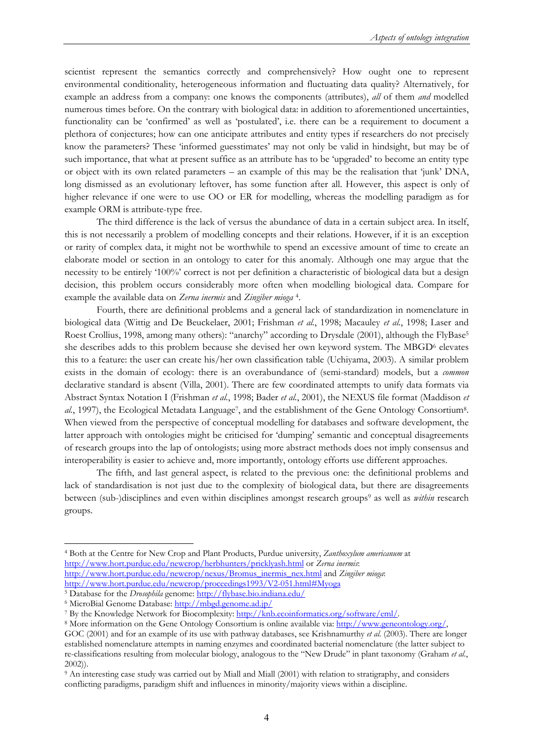scientist represent the semantics correctly and comprehensively? How ought one to represent environmental conditionality, heterogeneous information and fluctuating data quality? Alternatively, for example an address from a company: one knows the components (attributes), *all* of them *and* modelled numerous times before. On the contrary with biological data: in addition to aforementioned uncertainties, functionality can be 'confirmed' as well as 'postulated', i.e. there can be a requirement to document a plethora of conjectures; how can one anticipate attributes and entity types if researchers do not precisely know the parameters? These 'informed guesstimates' may not only be valid in hindsight, but may be of such importance, that what at present suffice as an attribute has to be 'upgraded' to become an entity type or object with its own related parameters – an example of this may be the realisation that 'junk' DNA, long dismissed as an evolutionary leftover, has some function after all. However, this aspect is only of higher relevance if one were to use OO or ER for modelling, whereas the modelling paradigm as for example ORM is attribute-type free.

The third difference is the lack of versus the abundance of data in a certain subject area. In itself, this is not necessarily a problem of modelling concepts and their relations. However, if it is an exception or rarity of complex data, it might not be worthwhile to spend an excessive amount of time to create an elaborate model or section in an ontology to cater for this anomaly. Although one may argue that the necessity to be entirely '100%' correct is not per definition a characteristic of biological data but a design decision, this problem occurs considerably more often when modelling biological data. Compare for example the available data on *Zerna inermis* and *Zingiber mioga* 4.

Fourth, there are definitional problems and a general lack of standardization in nomenclature in biological data (Wittig and De Beuckelaer, 2001; Frishman *et al.*, 1998; Macauley *et al.*, 1998; Laser and Roest Crollius, 1998, among many others): "anarchy" according to Drysdale (2001), although the FlyBase<sup>5</sup> she describes adds to this problem because she devised her own keyword system. The MBGD<sup>6</sup> elevates this to a feature: the user can create his/her own classification table (Uchiyama, 2003). A similar problem exists in the domain of ecology: there is an overabundance of (semi-standard) models, but a *common* declarative standard is absent (Villa, 2001). There are few coordinated attempts to unify data formats via Abstract Syntax Notation I (Frishman *et al.*, 1998; Bader *et al.*, 2001), the NEXUS file format (Maddison *et al.*, 1997), the Ecological Metadata Language7, and the establishment of the Gene Ontology Consortium8. When viewed from the perspective of conceptual modelling for databases and software development, the latter approach with ontologies might be criticised for 'dumping' semantic and conceptual disagreements of research groups into the lap of ontologists; using more abstract methods does not imply consensus and interoperability is easier to achieve and, more importantly, ontology efforts use different approaches.

The fifth, and last general aspect, is related to the previous one: the definitional problems and lack of standardisation is not just due to the complexity of biological data, but there are disagreements between (sub-)disciplines and even within disciplines amongst research groups<sup>9</sup> as well as *within* research groups.

<sup>4</sup> Both at the Centre for New Crop and Plant Products, Purdue university, *Zanthoxylum americanum* at http://www.hort.purdue.edu/newcrop/herbhunters/pricklyash.html or *Zerna inermis*: http://www.hort.purdue.edu/newcrop/nexus/Bromus\_inermis\_nex.html and *Zingiber mioga*:

http://www.hort.purdue.edu/newcrop/proceedings1993/V2-051.html#Myoga 5 Database for the *Drosophila* genome: http://flybase.bio.indiana.edu/

<sup>&</sup>lt;sup>6</sup> MicroBial Genome Database: http://mbgd.genome.ad.jp/<br><sup>7</sup> By the Knowledge Network for Biocomplexity: http://knb.ecoinformatics.org/software/eml/.

<sup>&</sup>lt;sup>8</sup> More information on the Gene Ontology Consortium is online available via: http://www.geneontology.org/,

GOC (2001) and for an example of its use with pathway databases, see Krishnamurthy *et al.* (2003). There are longer established nomenclature attempts in naming enzymes and coordinated bacterial nomenclature (the latter subject to re-classifications resulting from molecular biology, analogous to the "New Drude" in plant taxonomy (Graham *et al.*, 2002)).

<sup>9</sup> An interesting case study was carried out by Miall and Miall (2001) with relation to stratigraphy, and considers conflicting paradigms, paradigm shift and influences in minority/majority views within a discipline.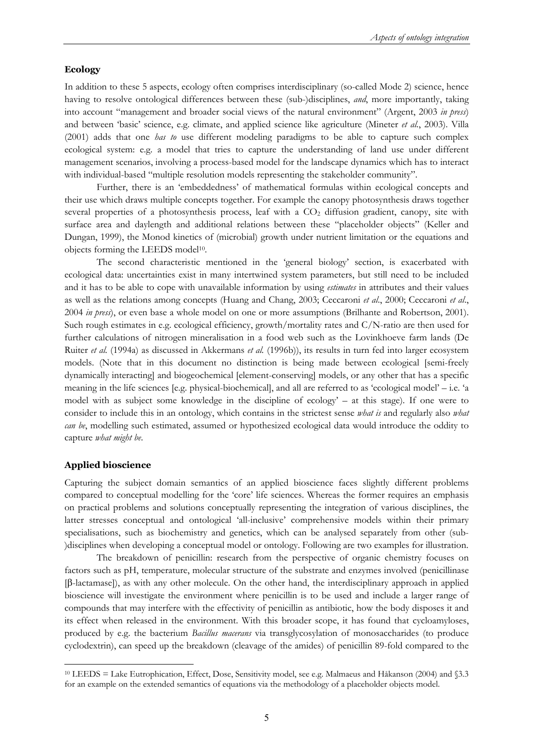#### **Ecology**

In addition to these 5 aspects, ecology often comprises interdisciplinary (so-called Mode 2) science, hence having to resolve ontological differences between these (sub-)disciplines, *and*, more importantly, taking into account "management and broader social views of the natural environment" (Argent, 2003 *in press*) and between 'basic' science, e.g. climate, and applied science like agriculture (Mineter *et al.*, 2003). Villa (2001) adds that one *has to* use different modeling paradigms to be able to capture such complex ecological system: e.g. a model that tries to capture the understanding of land use under different management scenarios, involving a process-based model for the landscape dynamics which has to interact with individual-based "multiple resolution models representing the stakeholder community".

Further, there is an 'embeddedness' of mathematical formulas within ecological concepts and their use which draws multiple concepts together. For example the canopy photosynthesis draws together several properties of a photosynthesis process, leaf with a  $CO<sub>2</sub>$  diffusion gradient, canopy, site with surface area and daylength and additional relations between these "placeholder objects" (Keller and Dungan, 1999), the Monod kinetics of (microbial) growth under nutrient limitation or the equations and objects forming the LEEDS model<sup>10</sup>.

The second characteristic mentioned in the 'general biology' section, is exacerbated with ecological data: uncertainties exist in many intertwined system parameters, but still need to be included and it has to be able to cope with unavailable information by using *estimates* in attributes and their values as well as the relations among concepts (Huang and Chang, 2003; Ceccaroni *et al*., 2000; Ceccaroni *et al*., 2004 *in press*), or even base a whole model on one or more assumptions (Brilhante and Robertson, 2001). Such rough estimates in e.g. ecological efficiency, growth/mortality rates and C/N-ratio are then used for further calculations of nitrogen mineralisation in a food web such as the Lovinkhoeve farm lands (De Ruiter *et al.* (1994a) as discussed in Akkermans *et al.* (1996b)), its results in turn fed into larger ecosystem models. (Note that in this document no distinction is being made between ecological [semi-freely dynamically interacting] and biogeochemical [element-conserving] models, or any other that has a specific meaning in the life sciences [e.g. physical-biochemical], and all are referred to as 'ecological model' – i.e. 'a model with as subject some knowledge in the discipline of ecology' – at this stage). If one were to consider to include this in an ontology, which contains in the strictest sense *what is* and regularly also *what can be*, modelling such estimated, assumed or hypothesized ecological data would introduce the oddity to capture *what might be*.

#### **Applied bioscience**

 $\overline{a}$ 

Capturing the subject domain semantics of an applied bioscience faces slightly different problems compared to conceptual modelling for the 'core' life sciences. Whereas the former requires an emphasis on practical problems and solutions conceptually representing the integration of various disciplines, the latter stresses conceptual and ontological 'all-inclusive' comprehensive models within their primary specialisations, such as biochemistry and genetics, which can be analysed separately from other (sub- )disciplines when developing a conceptual model or ontology. Following are two examples for illustration.

The breakdown of penicillin: research from the perspective of organic chemistry focuses on factors such as pH, temperature, molecular structure of the substrate and enzymes involved (penicillinase [β-lactamase]), as with any other molecule. On the other hand, the interdisciplinary approach in applied bioscience will investigate the environment where penicillin is to be used and include a larger range of compounds that may interfere with the effectivity of penicillin as antibiotic, how the body disposes it and its effect when released in the environment. With this broader scope, it has found that cycloamyloses, produced by e.g. the bacterium *Bacillus macerans* via transglycosylation of monosaccharides (to produce cyclodextrin), can speed up the breakdown (cleavage of the amides) of penicillin 89-fold compared to the

<sup>10</sup> LEEDS = Lake Eutrophication, Effect, Dose, Sensitivity model, see e.g. Malmaeus and Håkanson (2004) and §3.3 for an example on the extended semantics of equations via the methodology of a placeholder objects model.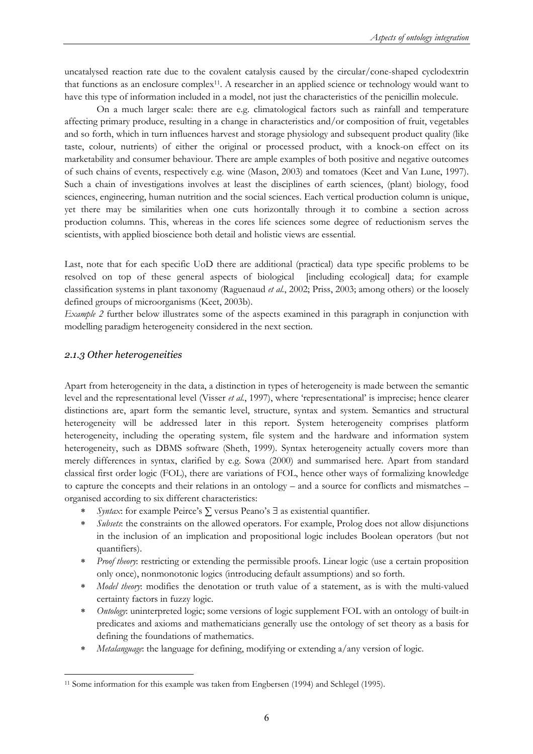uncatalysed reaction rate due to the covalent catalysis caused by the circular/cone-shaped cyclodextrin that functions as an enclosure complex11. A researcher in an applied science or technology would want to have this type of information included in a model, not just the characteristics of the penicillin molecule.

On a much larger scale: there are e.g. climatological factors such as rainfall and temperature affecting primary produce, resulting in a change in characteristics and/or composition of fruit, vegetables and so forth, which in turn influences harvest and storage physiology and subsequent product quality (like taste, colour, nutrients) of either the original or processed product, with a knock-on effect on its marketability and consumer behaviour. There are ample examples of both positive and negative outcomes of such chains of events, respectively e.g. wine (Mason, 2003) and tomatoes (Keet and Van Lune, 1997). Such a chain of investigations involves at least the disciplines of earth sciences, (plant) biology, food sciences, engineering, human nutrition and the social sciences. Each vertical production column is unique, yet there may be similarities when one cuts horizontally through it to combine a section across production columns. This, whereas in the cores life sciences some degree of reductionism serves the scientists, with applied bioscience both detail and holistic views are essential.

Last, note that for each specific UoD there are additional (practical) data type specific problems to be resolved on top of these general aspects of biological [including ecological] data; for example classification systems in plant taxonomy (Raguenaud *et al.*, 2002; Priss, 2003; among others) or the loosely defined groups of microorganisms (Keet, 2003b).

*Example 2* further below illustrates some of the aspects examined in this paragraph in conjunction with modelling paradigm heterogeneity considered in the next section.

#### *2.1.3 Other heterogeneities*

Apart from heterogeneity in the data, a distinction in types of heterogeneity is made between the semantic level and the representational level (Visser *et al.*, 1997), where 'representational' is imprecise; hence clearer distinctions are, apart form the semantic level, structure, syntax and system. Semantics and structural heterogeneity will be addressed later in this report. System heterogeneity comprises platform heterogeneity, including the operating system, file system and the hardware and information system heterogeneity, such as DBMS software (Sheth, 1999). Syntax heterogeneity actually covers more than merely differences in syntax, clarified by e.g. Sowa (2000) and summarised here. Apart from standard classical first order logic (FOL), there are variations of FOL, hence other ways of formalizing knowledge to capture the concepts and their relations in an ontology – and a source for conflicts and mismatches – organised according to six different characteristics:

- *Syntax*: for example Peirce's ∑ versus Peano's ∃ as existential quantifier.
- ∗ *Subsets*: the constraints on the allowed operators. For example, Prolog does not allow disjunctions in the inclusion of an implication and propositional logic includes Boolean operators (but not quantifiers).
- *Proof theory*: restricting or extending the permissible proofs. Linear logic (use a certain proposition only once), nonmonotonic logics (introducing default assumptions) and so forth.
- ∗ *Model theory*: modifies the denotation or truth value of a statement, as is with the multi-valued certainty factors in fuzzy logic.
- *Ontology*: uninterpreted logic; some versions of logic supplement FOL with an ontology of built-in predicates and axioms and mathematicians generally use the ontology of set theory as a basis for defining the foundations of mathematics.
- ∗ *Metalanguage*: the language for defining, modifying or extending a/any version of logic.

 $\overline{a}$ <sup>11</sup> Some information for this example was taken from Engbersen (1994) and Schlegel (1995).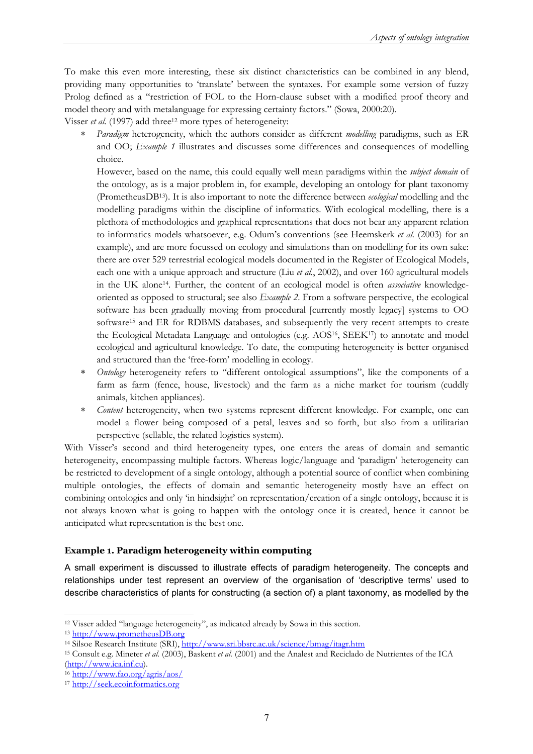To make this even more interesting, these six distinct characteristics can be combined in any blend, providing many opportunities to 'translate' between the syntaxes. For example some version of fuzzy Prolog defined as a "restriction of FOL to the Horn-clause subset with a modified proof theory and model theory and with metalanguage for expressing certainty factors." (Sowa, 2000:20).

Visser *et al.* (1997) add three<sup>12</sup> more types of heterogeneity:

*Paradigm* heterogeneity, which the authors consider as different *modelling* paradigms, such as ER and OO; *Example 1* illustrates and discusses some differences and consequences of modelling choice.

However, based on the name, this could equally well mean paradigms within the *subject domain* of the ontology, as is a major problem in, for example, developing an ontology for plant taxonomy (PrometheusDB13). It is also important to note the difference between *ecological* modelling and the modelling paradigms within the discipline of informatics. With ecological modelling, there is a plethora of methodologies and graphical representations that does not bear any apparent relation to informatics models whatsoever, e.g. Odum's conventions (see Heemskerk *et al.* (2003) for an example), and are more focussed on ecology and simulations than on modelling for its own sake: there are over 529 terrestrial ecological models documented in the Register of Ecological Models, each one with a unique approach and structure (Liu *et al.*, 2002), and over 160 agricultural models in the UK alone14. Further, the content of an ecological model is often *associative* knowledgeoriented as opposed to structural; see also *Example 2*. From a software perspective, the ecological software has been gradually moving from procedural [currently mostly legacy] systems to OO software15 and ER for RDBMS databases, and subsequently the very recent attempts to create the Ecological Metadata Language and ontologies (e.g. AOS16, SEEK17) to annotate and model ecological and agricultural knowledge. To date, the computing heterogeneity is better organised and structured than the 'free-form' modelling in ecology.

- *Ontology* heterogeneity refers to "different ontological assumptions", like the components of a farm as farm (fence, house, livestock) and the farm as a niche market for tourism (cuddly animals, kitchen appliances).
- *Content* heterogeneity, when two systems represent different knowledge. For example, one can model a flower being composed of a petal, leaves and so forth, but also from a utilitarian perspective (sellable, the related logistics system).

With Visser's second and third heterogeneity types, one enters the areas of domain and semantic heterogeneity, encompassing multiple factors. Whereas logic/language and 'paradigm' heterogeneity can be restricted to development of a single ontology, although a potential source of conflict when combining multiple ontologies, the effects of domain and semantic heterogeneity mostly have an effect on combining ontologies and only 'in hindsight' on representation/creation of a single ontology, because it is not always known what is going to happen with the ontology once it is created, hence it cannot be anticipated what representation is the best one.

#### **Example 1. Paradigm heterogeneity within computing**

A small experiment is discussed to illustrate effects of paradigm heterogeneity. The concepts and relationships under test represent an overview of the organisation of 'descriptive terms' used to describe characteristics of plants for constructing (a section of) a plant taxonomy, as modelled by the

 $\overline{a}$ 

<sup>&</sup>lt;sup>12</sup> Visser added "language heterogeneity", as indicated already by Sowa in this section.<br><sup>13</sup> http://www.prometheusDB.org<br><sup>14</sup> Silsoe Research Institute (SRI), http://www.sri.bbsrc.ac.uk/science/bmag/itagr.htm<br><sup>15</sup> Consul (http://www.ica.inf.cu). 16 http://www.fao.org/agris/aos/ 17 http://seek.ecoinformatics.org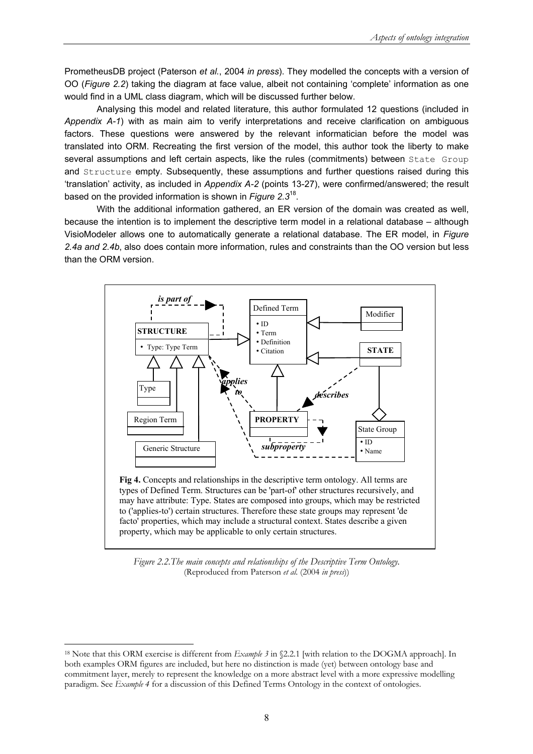PrometheusDB project (Paterson *et al.*, 2004 *in press*). They modelled the concepts with a version of OO (*Figure 2.2*) taking the diagram at face value, albeit not containing 'complete' information as one would find in a UML class diagram, which will be discussed further below.

Analysing this model and related literature, this author formulated 12 questions (included in *Appendix A-1*) with as main aim to verify interpretations and receive clarification on ambiguous factors. These questions were answered by the relevant informatician before the model was translated into ORM. Recreating the first version of the model, this author took the liberty to make several assumptions and left certain aspects, like the rules (commitments) between State Group and Structure empty. Subsequently, these assumptions and further questions raised during this 'translation' activity, as included in *Appendix A-2* (points 13-27), were confirmed/answered; the result based on the provided information is shown in *Figure 2.3*18.

With the additional information gathered, an ER version of the domain was created as well, because the intention is to implement the descriptive term model in a relational database – although VisioModeler allows one to automatically generate a relational database. The ER model, in *Figure 2.4a and 2.4b*, also does contain more information, rules and constraints than the OO version but less than the ORM version.



**Fig 4.** Concepts and relationships in the descriptive term ontology. All terms are types of Defined Term. Structures can be 'part-of' other structures recursively, and may have attribute: Type. States are composed into groups, which may be restricted to ('applies-to') certain structures. Therefore these state groups may represent 'de facto' properties, which may include a structural context. States describe a given property, which may be applicable to only certain structures.

*Figure 2.2.The main concepts and relationships of the Descriptive Term Ontology.*  (Reproduced from Paterson *et al.* (2004 *in press*))

<sup>18</sup> Note that this ORM exercise is different from *Example 3* in §2.2.1 [with relation to the DOGMA approach]. In both examples ORM figures are included, but here no distinction is made (yet) between ontology base and commitment layer, merely to represent the knowledge on a more abstract level with a more expressive modelling paradigm. See *Example 4* for a discussion of this Defined Terms Ontology in the context of ontologies.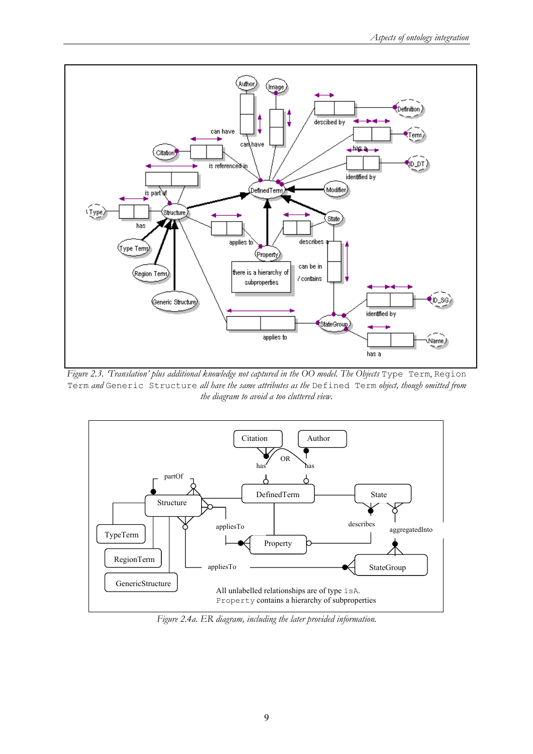

*Figure 2.3. 'Translation' plus additional knowledge not captured in the OO model. The Objects Type Term, Region* Term *and* Generic Structure *all have the same attributes as the* Defined Term *object, though omitted from the diagram to avoid a too cluttered view.* 



*Figure 2.4a. ER diagram, including the later provided information.*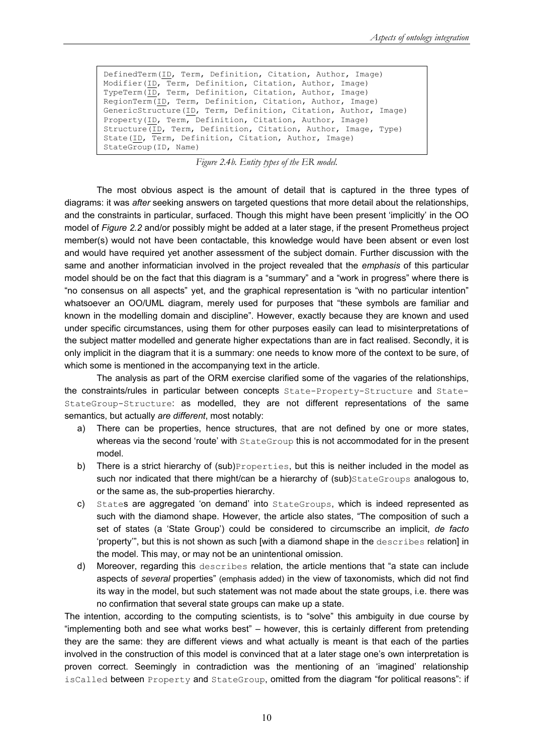```
DefinedTerm(ID, Term, Definition, Citation, Author, Image) 
Modifier(ID, Term, Definition, Citation, Author, Image) 
TypeTerm(ID, Term, Definition, Citation, Author, Image) 
RegionTerm(ID, Term, Definition, Citation, Author, Image) 
GenericStructure(ID, Term, Definition, Citation, Author, Image) 
Property(ID, Term, Definition, Citation, Author, Image) 
Structure(ID, Term, Definition, Citation, Author, Image, Type) 
State(ID, Term, Definition, Citation, Author, Image) 
StateGroup(ID, Name)
```
*Figure 2.4b. Entity types of the ER model.* 

The most obvious aspect is the amount of detail that is captured in the three types of diagrams: it was *after* seeking answers on targeted questions that more detail about the relationships, and the constraints in particular, surfaced. Though this might have been present 'implicitly' in the OO model of *Figure 2.2* and/or possibly might be added at a later stage, if the present Prometheus project member(s) would not have been contactable, this knowledge would have been absent or even lost and would have required yet another assessment of the subject domain. Further discussion with the same and another informatician involved in the project revealed that the *emphasis* of this particular model should be on the fact that this diagram is a "summary" and a "work in progress" where there is "no consensus on all aspects" yet, and the graphical representation is "with no particular intention" whatsoever an OO/UML diagram, merely used for purposes that "these symbols are familiar and known in the modelling domain and discipline". However, exactly because they are known and used under specific circumstances, using them for other purposes easily can lead to misinterpretations of the subject matter modelled and generate higher expectations than are in fact realised. Secondly, it is only implicit in the diagram that it is a summary: one needs to know more of the context to be sure, of which some is mentioned in the accompanying text in the article.

The analysis as part of the ORM exercise clarified some of the vagaries of the relationships, the constraints/rules in particular between concepts State-Property-Structure and State-StateGroup-Structure: as modelled, they are not different representations of the same semantics, but actually *are different*, most notably:

- a) There can be properties, hence structures, that are not defined by one or more states, whereas via the second 'route' with StateGroup this is not accommodated for in the present model.
- b) There is a strict hierarchy of  $(sub)$ Properties, but this is neither included in the model as such nor indicated that there might/can be a hierarchy of (sub)StateGroups analogous to, or the same as, the sub-properties hierarchy.
- c) States are aggregated 'on demand' into StateGroups, which is indeed represented as such with the diamond shape. However, the article also states, "The composition of such a set of states (a 'State Group') could be considered to circumscribe an implicit, *de facto* 'property'", but this is not shown as such [with a diamond shape in the describes relation] in the model. This may, or may not be an unintentional omission.
- d) Moreover, regarding this describes relation, the article mentions that "a state can include aspects of *several* properties" (emphasis added) in the view of taxonomists, which did not find its way in the model, but such statement was not made about the state groups, i.e. there was no confirmation that several state groups can make up a state.

The intention, according to the computing scientists, is to "solve" this ambiguity in due course by "implementing both and see what works best" – however, this is certainly different from pretending they are the same: they are different views and what actually is meant is that each of the parties involved in the construction of this model is convinced that at a later stage one's own interpretation is proven correct. Seemingly in contradiction was the mentioning of an 'imagined' relationship isCalled between Property and StateGroup, omitted from the diagram "for political reasons": if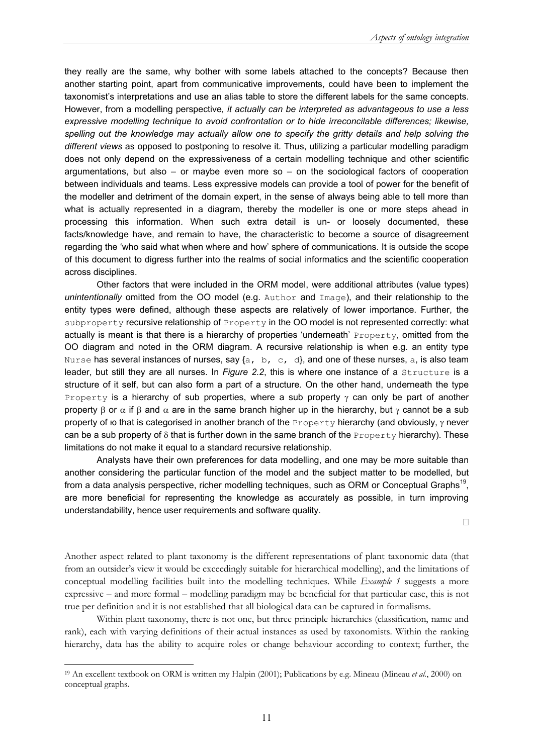they really are the same, why bother with some labels attached to the concepts? Because then another starting point, apart from communicative improvements, could have been to implement the taxonomist's interpretations and use an alias table to store the different labels for the same concepts. However, from a modelling perspective*, it actually can be interpreted as advantageous to use a less expressive modelling technique to avoid confrontation or to hide irreconcilable differences; likewise,*  spelling out the knowledge may actually allow one to specify the gritty details and help solving the *different views* as opposed to postponing to resolve it*.* Thus, utilizing a particular modelling paradigm does not only depend on the expressiveness of a certain modelling technique and other scientific argumentations, but also – or maybe even more so – on the sociological factors of cooperation between individuals and teams. Less expressive models can provide a tool of power for the benefit of the modeller and detriment of the domain expert, in the sense of always being able to tell more than what is actually represented in a diagram, thereby the modeller is one or more steps ahead in processing this information. When such extra detail is un- or loosely documented, these facts/knowledge have, and remain to have, the characteristic to become a source of disagreement regarding the 'who said what when where and how' sphere of communications. It is outside the scope of this document to digress further into the realms of social informatics and the scientific cooperation across disciplines.

Other factors that were included in the ORM model, were additional attributes (value types) *unintentionally* omitted from the OO model (e.g. Author and Image), and their relationship to the entity types were defined, although these aspects are relatively of lower importance. Further, the subproperty recursive relationship of Property in the OO model is not represented correctly: what actually is meant is that there is a hierarchy of properties 'underneath' Property, omitted from the OO diagram and noted in the ORM diagram. A recursive relationship is when e.g. an entity type Nurse has several instances of nurses, say  $\{a, b, c, d\}$ , and one of these nurses, a, is also team leader, but still they are all nurses. In *Figure 2.2*, this is where one instance of a *Structure* is a structure of it self, but can also form a part of a structure*.* On the other hand, underneath the type Property is a hierarchy of sub properties, where a sub property  $\gamma$  can only be part of another property β or  $\alpha$  if β and  $\alpha$  are in the same branch higher up in the hierarchy, but γ cannot be a sub property of ω that is categorised in another branch of the Property hierarchy (and obviously, γ never can be a sub property of  $\delta$  that is further down in the same branch of the Property hierarchy). These limitations do not make it equal to a standard recursive relationship.

Analysts have their own preferences for data modelling, and one may be more suitable than another considering the particular function of the model and the subject matter to be modelled, but from a data analysis perspective, richer modelling techniques, such as ORM or Conceptual Graphs<sup>19</sup>, are more beneficial for representing the knowledge as accurately as possible, in turn improving understandability, hence user requirements and software quality.

 $\Box$ 

Another aspect related to plant taxonomy is the different representations of plant taxonomic data (that from an outsider's view it would be exceedingly suitable for hierarchical modelling), and the limitations of conceptual modelling facilities built into the modelling techniques. While *Example 1* suggests a more expressive – and more formal – modelling paradigm may be beneficial for that particular case, this is not true per definition and it is not established that all biological data can be captured in formalisms.

Within plant taxonomy, there is not one, but three principle hierarchies (classification, name and rank), each with varying definitions of their actual instances as used by taxonomists. Within the ranking hierarchy, data has the ability to acquire roles or change behaviour according to context; further, the

<sup>19</sup> An excellent textbook on ORM is written my Halpin (2001); Publications by e.g. Mineau (Mineau *et al.*, 2000) on conceptual graphs.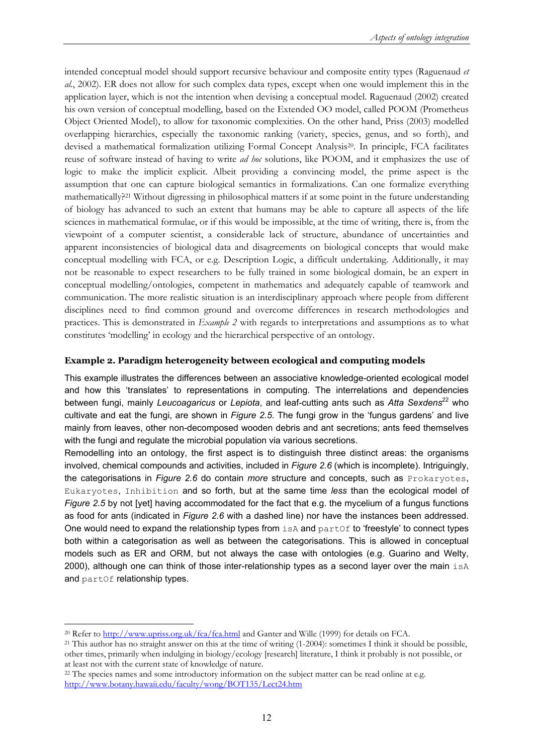intended conceptual model should support recursive behaviour and composite entity types (Raguenaud *et al.*, 2002). ER does not allow for such complex data types, except when one would implement this in the application layer, which is not the intention when devising a conceptual model. Raguenaud (2002) created his own version of conceptual modelling, based on the Extended OO model, called POOM (Prometheus Object Oriented Model), to allow for taxonomic complexities. On the other hand, Priss (2003) modelled overlapping hierarchies, especially the taxonomic ranking (variety, species, genus, and so forth), and devised a mathematical formalization utilizing Formal Concept Analysis20. In principle, FCA facilitates reuse of software instead of having to write *ad hoc* solutions, like POOM, and it emphasizes the use of logic to make the implicit explicit. Albeit providing a convincing model, the prime aspect is the assumption that one can capture biological semantics in formalizations. Can one formalize everything mathematically?21 Without digressing in philosophical matters if at some point in the future understanding of biology has advanced to such an extent that humans may be able to capture all aspects of the life sciences in mathematical formulae, or if this would be impossible, at the time of writing, there is, from the viewpoint of a computer scientist, a considerable lack of structure, abundance of uncertainties and apparent inconsistencies of biological data and disagreements on biological concepts that would make conceptual modelling with FCA, or e.g. Description Logic, a difficult undertaking. Additionally, it may not be reasonable to expect researchers to be fully trained in some biological domain, be an expert in conceptual modelling/ontologies, competent in mathematics and adequately capable of teamwork and communication. The more realistic situation is an interdisciplinary approach where people from different disciplines need to find common ground and overcome differences in research methodologies and practices. This is demonstrated in *Example 2* with regards to interpretations and assumptions as to what constitutes 'modelling' in ecology and the hierarchical perspective of an ontology.

#### **Example 2. Paradigm heterogeneity between ecological and computing models**

This example illustrates the differences between an associative knowledge-oriented ecological model and how this 'translates' to representations in computing. The interrelations and dependencies between fungi, mainly *Leucoagaricus* or *Lepiota*, and leaf-cutting ants such as Atta Sexdens<sup>22</sup> who cultivate and eat the fungi, are shown in *Figure 2.5*. The fungi grow in the 'fungus gardens' and live mainly from leaves, other non-decomposed wooden debris and ant secretions; ants feed themselves with the fungi and regulate the microbial population via various secretions.

Remodelling into an ontology, the first aspect is to distinguish three distinct areas: the organisms involved, chemical compounds and activities, included in *Figure 2.6* (which is incomplete). Intriguingly, the categorisations in *Figure 2.6* do contain *more* structure and concepts, such as Prokaryotes, Eukaryotes, Inhibition and so forth, but at the same time *less* than the ecological model of *Figure 2.5* by not [yet] having accommodated for the fact that e.g. the mycelium of a fungus functions as food for ants (indicated in *Figure 2.6* with a dashed line) nor have the instances been addressed. One would need to expand the relationship types from  $\pm$ s and  $partOf$  to 'freestyle' to connect types both within a categorisation as well as between the categorisations. This is allowed in conceptual models such as ER and ORM, but not always the case with ontologies (e.g. Guarino and Welty, 2000), although one can think of those inter-relationship types as a second layer over the main  $i$ sA and partOf relationship types.

<sup>&</sup>lt;sup>20</sup> Refer to http://www.upriss.org.uk/fca/fca.html and Ganter and Wille (1999) for details on FCA.<br><sup>21</sup> This author has no straight answer on this at the time of writing (1-2004): sometimes I think it should be possible, other times, primarily when indulging in biology/ecology [research] literature, I think it probably is not possible, or at least not with the current state of knowledge of nature.

<sup>&</sup>lt;sup>22</sup> The species names and some introductory information on the subject matter can be read online at e.g. http://www.botany.hawaii.edu/faculty/wong/BOT135/Lect24.htm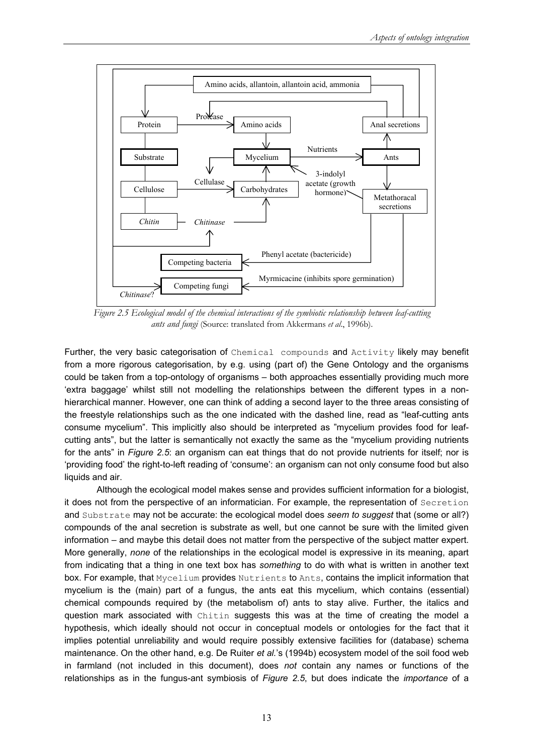

*Figure 2.5 Ecological model of the chemical interactions of the symbiotic relationship between leaf-cutting ants and fungi* (Source: translated from Akkermans *et al*., 1996b).

Further, the very basic categorisation of Chemical compounds and Activity likely may benefit from a more rigorous categorisation, by e.g. using (part of) the Gene Ontology and the organisms could be taken from a top-ontology of organisms – both approaches essentially providing much more 'extra baggage' whilst still not modelling the relationships between the different types in a nonhierarchical manner. However, one can think of adding a second layer to the three areas consisting of the freestyle relationships such as the one indicated with the dashed line, read as "leaf-cutting ants consume mycelium". This implicitly also should be interpreted as "mycelium provides food for leafcutting ants", but the latter is semantically not exactly the same as the "mycelium providing nutrients for the ants" in *Figure 2.5*: an organism can eat things that do not provide nutrients for itself; nor is 'providing food' the right-to-left reading of 'consume': an organism can not only consume food but also liquids and air.

Although the ecological model makes sense and provides sufficient information for a biologist, it does not from the perspective of an informatician. For example, the representation of Secretion and Substrate may not be accurate: the ecological model does *seem to suggest* that (some or all?) compounds of the anal secretion is substrate as well, but one cannot be sure with the limited given information – and maybe this detail does not matter from the perspective of the subject matter expert. More generally, *none* of the relationships in the ecological model is expressive in its meaning, apart from indicating that a thing in one text box has *something* to do with what is written in another text box. For example, that Mycelium provides Nutrients to Ants, contains the implicit information that mycelium is the (main) part of a fungus, the ants eat this mycelium, which contains (essential) chemical compounds required by (the metabolism of) ants to stay alive. Further, the italics and question mark associated with Chitin suggests this was at the time of creating the model a hypothesis, which ideally should not occur in conceptual models or ontologies for the fact that it implies potential unreliability and would require possibly extensive facilities for (database) schema maintenance. On the other hand, e.g. De Ruiter *et al.*'s (1994b) ecosystem model of the soil food web in farmland (not included in this document), does *not* contain any names or functions of the relationships as in the fungus-ant symbiosis of *Figure 2.5*, but does indicate the *importance* of a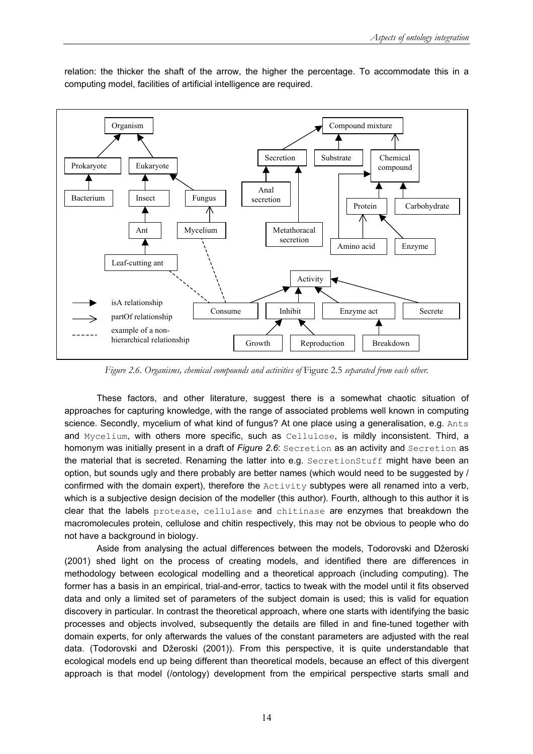

relation: the thicker the shaft of the arrow, the higher the percentage. To accommodate this in a computing model, facilities of artificial intelligence are required.

*Figure 2.6. Organisms, chemical compounds and activities of* Figure 2.5 *separated from each other.* 

These factors, and other literature, suggest there is a somewhat chaotic situation of approaches for capturing knowledge, with the range of associated problems well known in computing science. Secondly, mycelium of what kind of fungus? At one place using a generalisation, e.g. Ants and Mycelium, with others more specific, such as Cellulose, is mildly inconsistent. Third, a homonym was initially present in a draft of *Figure 2.6*: Secretion as an activity and Secretion as the material that is secreted. Renaming the latter into e.g. SecretionStuff might have been an option, but sounds ugly and there probably are better names (which would need to be suggested by / confirmed with the domain expert), therefore the Activity subtypes were all renamed into a verb, which is a subjective design decision of the modeller (this author). Fourth, although to this author it is clear that the labels protease, cellulase and chitinase are enzymes that breakdown the macromolecules protein, cellulose and chitin respectively, this may not be obvious to people who do not have a background in biology.

Aside from analysing the actual differences between the models, Todorovski and Džeroski (2001) shed light on the process of creating models, and identified there are differences in methodology between ecological modelling and a theoretical approach (including computing). The former has a basis in an empirical, trial-and-error, tactics to tweak with the model until it fits observed data and only a limited set of parameters of the subject domain is used; this is valid for equation discovery in particular. In contrast the theoretical approach, where one starts with identifying the basic processes and objects involved, subsequently the details are filled in and fine-tuned together with domain experts, for only afterwards the values of the constant parameters are adjusted with the real data. (Todorovski and Džeroski (2001)). From this perspective, it is quite understandable that ecological models end up being different than theoretical models, because an effect of this divergent approach is that model (/ontology) development from the empirical perspective starts small and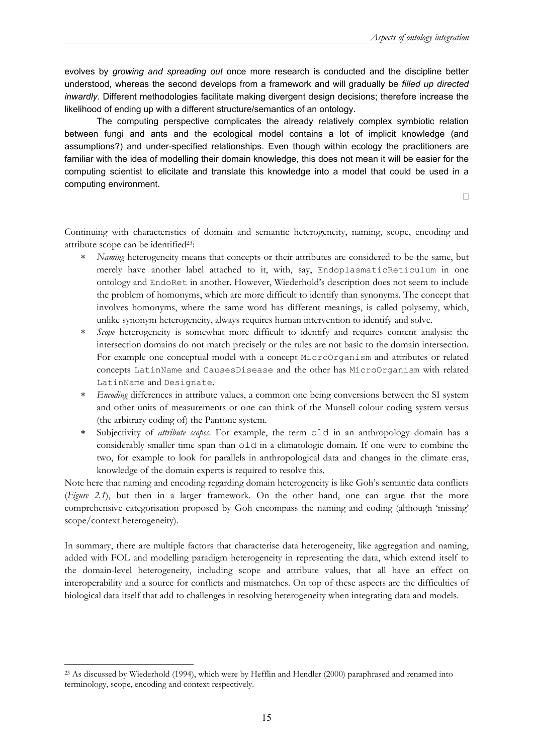evolves by *growing and spreading out* once more research is conducted and the discipline better understood, whereas the second develops from a framework and will gradually be *filled up directed inwardly*. Different methodologies facilitate making divergent design decisions; therefore increase the likelihood of ending up with a different structure/semantics of an ontology.

The computing perspective complicates the already relatively complex symbiotic relation between fungi and ants and the ecological model contains a lot of implicit knowledge (and assumptions?) and under-specified relationships. Even though within ecology the practitioners are familiar with the idea of modelling their domain knowledge, this does not mean it will be easier for the computing scientist to elicitate and translate this knowledge into a model that could be used in a computing environment.

 $\Box$ 

Continuing with characteristics of domain and semantic heterogeneity, naming, scope, encoding and attribute scope can be identified23:

- *Naming* heterogeneity means that concepts or their attributes are considered to be the same, but merely have another label attached to it, with, say, EndoplasmaticReticulum in one ontology and EndoRet in another. However, Wiederhold's description does not seem to include the problem of homonyms, which are more difficult to identify than synonyms. The concept that involves homonyms, where the same word has different meanings, is called polysemy, which, unlike synonym heterogeneity, always requires human intervention to identify and solve.
- *Scope* heterogeneity is somewhat more difficult to identify and requires content analysis: the intersection domains do not match precisely or the rules are not basic to the domain intersection. For example one conceptual model with a concept MicroOrganism and attributes or related concepts LatinName and CausesDisease and the other has MicroOrganism with related LatinName and Designate.
- *Encoding* differences in attribute values, a common one being conversions between the SI system and other units of measurements or one can think of the Munsell colour coding system versus (the arbitrary coding of) the Pantone system.
- Subjectivity of *attribute scopes*. For example, the term old in an anthropology domain has a considerably smaller time span than old in a climatologic domain. If one were to combine the two, for example to look for parallels in anthropological data and changes in the climate eras, knowledge of the domain experts is required to resolve this.

Note here that naming and encoding regarding domain heterogeneity is like Goh's semantic data conflicts (*Figure 2.1*), but then in a larger framework. On the other hand, one can argue that the more comprehensive categorisation proposed by Goh encompass the naming and coding (although 'missing' scope/context heterogeneity).

In summary, there are multiple factors that characterise data heterogeneity, like aggregation and naming, added with FOL and modelling paradigm heterogeneity in representing the data, which extend itself to the domain-level heterogeneity, including scope and attribute values, that all have an effect on interoperability and a source for conflicts and mismatches. On top of these aspects are the difficulties of biological data itself that add to challenges in resolving heterogeneity when integrating data and models.

<sup>&</sup>lt;sup>23</sup> As discussed by Wiederhold (1994), which were by Hefflin and Hendler (2000) paraphrased and renamed into terminology, scope, encoding and context respectively.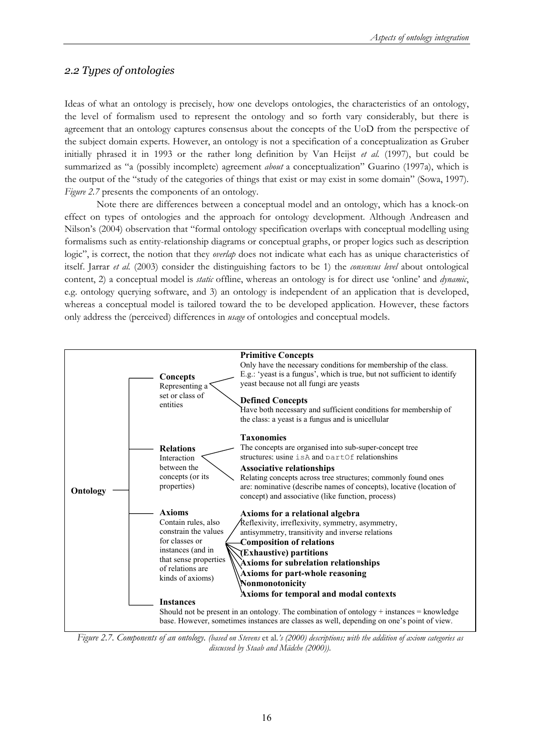### *2.2 Types of ontologies*

Ideas of what an ontology is precisely, how one develops ontologies, the characteristics of an ontology, the level of formalism used to represent the ontology and so forth vary considerably, but there is agreement that an ontology captures consensus about the concepts of the UoD from the perspective of the subject domain experts. However, an ontology is not a specification of a conceptualization as Gruber initially phrased it in 1993 or the rather long definition by Van Heijst *et al.* (1997), but could be summarized as "a (possibly incomplete) agreement *about* a conceptualization" Guarino (1997a), which is the output of the "study of the categories of things that exist or may exist in some domain" (Sowa, 1997). *Figure 2.7* presents the components of an ontology.

Note there are differences between a conceptual model and an ontology, which has a knock-on effect on types of ontologies and the approach for ontology development. Although Andreasen and Nilson's (2004) observation that "formal ontology specification overlaps with conceptual modelling using formalisms such as entity-relationship diagrams or conceptual graphs, or proper logics such as description logic", is correct, the notion that they *overlap* does not indicate what each has as unique characteristics of itself. Jarrar *et al.* (2003) consider the distinguishing factors to be 1) the *consensus level* about ontological content, 2) a conceptual model is *static* offline, whereas an ontology is for direct use 'online' and *dynamic*, e.g. ontology querying software, and 3) an ontology is independent of an application that is developed, whereas a conceptual model is tailored toward the to be developed application. However, these factors only address the (perceived) differences in *usage* of ontologies and conceptual models.



*Figure 2.7. Components of an ontology. (based on Stevens* et al*.'s (2000) descriptions; with the addition of axiom categories as discussed by Staab and Mädche (2000))*.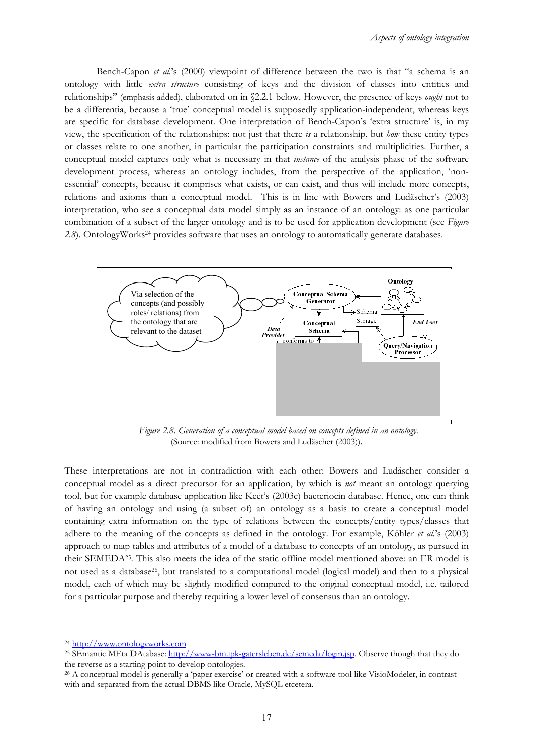Bench-Capon *et al.*'s (2000) viewpoint of difference between the two is that "a schema is an ontology with little *extra structure* consisting of keys and the division of classes into entities and relationships" (emphasis added), elaborated on in §2.2.1 below. However, the presence of keys *ought* not to be a differentia, because a 'true' conceptual model is supposedly application-independent, whereas keys are specific for database development. One interpretation of Bench-Capon's 'extra structure' is, in my view, the specification of the relationships: not just that there *is* a relationship, but *how* these entity types or classes relate to one another, in particular the participation constraints and multiplicities. Further, a conceptual model captures only what is necessary in that *instance* of the analysis phase of the software development process, whereas an ontology includes, from the perspective of the application, 'nonessential' concepts, because it comprises what exists, or can exist, and thus will include more concepts, relations and axioms than a conceptual model. This is in line with Bowers and Ludäscher's (2003) interpretation, who see a conceptual data model simply as an instance of an ontology: as one particular combination of a subset of the larger ontology and is to be used for application development (see *Figure*  2.8). OntologyWorks<sup>24</sup> provides software that uses an ontology to automatically generate databases.



*Figure 2.8. Generation of a conceptual model based on concepts defined in an ontology.*  (Source: modified from Bowers and Ludäscher (2003))*.* 

These interpretations are not in contradiction with each other: Bowers and Ludäscher consider a conceptual model as a direct precursor for an application, by which is *not* meant an ontology querying tool, but for example database application like Keet's (2003c) bacteriocin database. Hence, one can think of having an ontology and using (a subset of) an ontology as a basis to create a conceptual model containing extra information on the type of relations between the concepts/entity types/classes that adhere to the meaning of the concepts as defined in the ontology. For example, Köhler *et al.*'s (2003) approach to map tables and attributes of a model of a database to concepts of an ontology, as pursued in their SEMEDA25. This also meets the idea of the static offline model mentioned above: an ER model is not used as a database26, but translated to a computational model (logical model) and then to a physical model, each of which may be slightly modified compared to the original conceptual model, i.e. tailored for a particular purpose and thereby requiring a lower level of consensus than an ontology.

<sup>&</sup>lt;sup>24</sup> http://www.ontologyworks.com<br><sup>25</sup> SEmantic MEta DAtabase: <u>http://www-bm.ipk-gatersleben.de/semeda/login.jsp</u>. Observe though that they do<br>the reverse as a starting point to develop ontologies.

 $26$  A conceptual model is generally a 'paper exercise' or created with a software tool like VisioModeler, in contrast with and separated from the actual DBMS like Oracle, MySQL etcetera.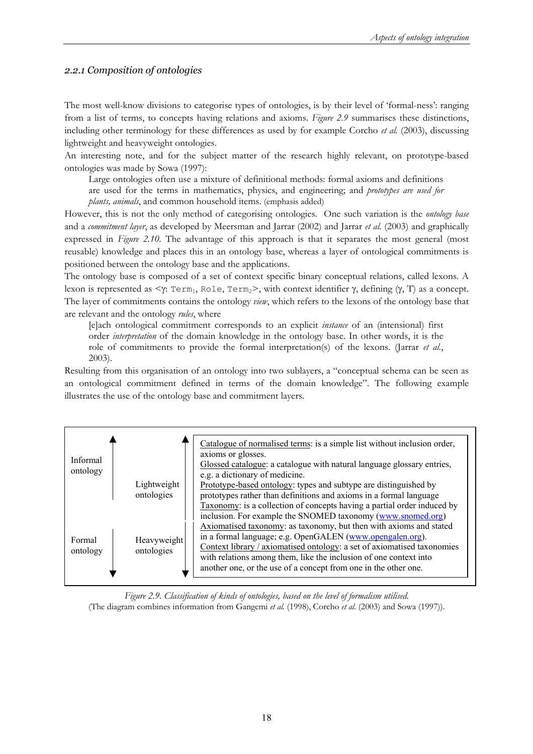#### *2.2.1 Composition of ontologies*

The most well-know divisions to categorise types of ontologies, is by their level of 'formal-ness': ranging from a list of terms, to concepts having relations and axioms. *Figure 2.9* summarises these distinctions, including other terminology for these differences as used by for example Corcho *et al.* (2003), discussing lightweight and heavyweight ontologies.

An interesting note, and for the subject matter of the research highly relevant, on prototype-based ontologies was made by Sowa (1997):

Large ontologies often use a mixture of definitional methods: formal axioms and definitions

are used for the terms in mathematics, physics, and engineering; and *prototypes are used for* 

*plants, animals*, and common household items. (emphasis added)

However, this is not the only method of categorising ontologies. One such variation is the *ontology base* and a *commitment layer*, as developed by Meersman and Jarrar (2002) and Jarrar *et al.* (2003) and graphically expressed in *Figure 2.10*. The advantage of this approach is that it separates the most general (most reusable) knowledge and places this in an ontology base, whereas a layer of ontological commitments is positioned between the ontology base and the applications.

The ontology base is composed of a set of context specific binary conceptual relations, called lexons. A lexon is represented as  $\leq \gamma$ : Term<sub>1</sub>, Role, Term<sub>2</sub>>, with context identifier γ, defining (γ, T) as a concept. The layer of commitments contains the ontology *view*, which refers to the lexons of the ontology base that are relevant and the ontology *rules*, where

[e]ach ontological commitment corresponds to an explicit *instance* of an (intensional) first order *interpretation* of the domain knowledge in the ontology base. In other words, it is the role of commitments to provide the formal interpretation(s) of the lexons. (Jarrar *et al.*, 2003).

Resulting from this organisation of an ontology into two sublayers, a "conceptual schema can be seen as an ontological commitment defined in terms of the domain knowledge". The following example illustrates the use of the ontology base and commitment layers.

| Informal<br>ontology | Lightweight<br>ontologies | Catalogue of normalised terms: is a simple list without inclusion order,<br>axioms or glosses.<br>Glossed catalogue: a catalogue with natural language glossary entries,<br>e.g. a dictionary of medicine.<br>Prototype-based ontology: types and subtype are distinguished by<br>prototypes rather than definitions and axioms in a formal language<br>Taxonomy: is a collection of concepts having a partial order induced by<br>inclusion. For example the SNOMED taxonomy (www.snomed.org) |
|----------------------|---------------------------|------------------------------------------------------------------------------------------------------------------------------------------------------------------------------------------------------------------------------------------------------------------------------------------------------------------------------------------------------------------------------------------------------------------------------------------------------------------------------------------------|
| Formal<br>ontology   | Heavyweight<br>ontologies | Axiomatised taxonomy: as taxonomy, but then with axioms and stated<br>in a formal language; e.g. OpenGALEN (www.opengalen.org).<br>Context library / axiomatised ontology: a set of axiomatised taxonomies<br>with relations among them, like the inclusion of one context into<br>another one, or the use of a concept from one in the other one.                                                                                                                                             |

*Figure 2.9. Classification of kinds of ontologies, based on the level of formalism utilised.*  (The diagram combines information from Gangemi *et al.* (1998), Corcho *et al.* (2003) and Sowa (1997)).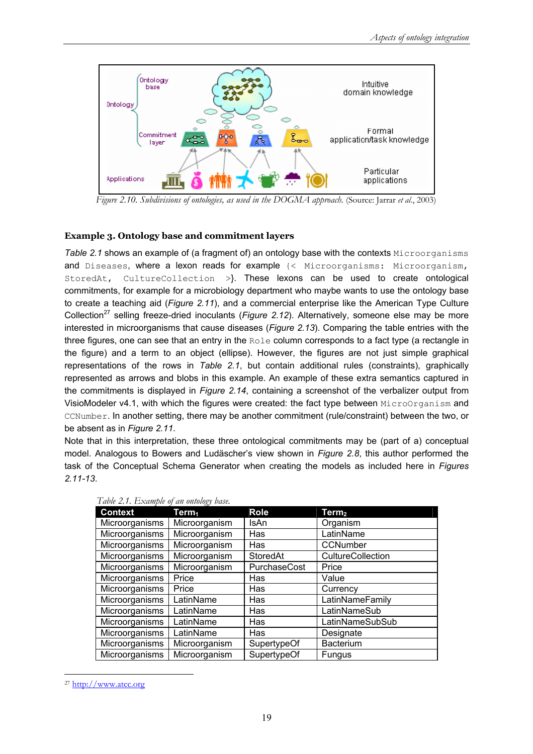

*Figure 2.10. Subdivisions of ontologies, as used in the DOGMA approach.* (Source: Jarrar *et al*., 2003)

#### **Example 3. Ontology base and commitment layers**

*Table 2.1* **shows an example of (a fragment of) an ontology base with the contexts Microorganisms** and Diseases, where a lexon reads for example {< Microorganisms: Microorganism, StoredAt, CultureCollection >}. These lexons can be used to create ontological commitments, for example for a microbiology department who maybe wants to use the ontology base to create a teaching aid (*Figure 2.11*), and a commercial enterprise like the American Type Culture Collection<sup>27</sup> selling freeze-dried inoculants (*Figure 2.12*). Alternatively, someone else may be more interested in microorganisms that cause diseases (*Figure 2.13*). Comparing the table entries with the three figures, one can see that an entry in the Role column corresponds to a fact type (a rectangle in the figure) and a term to an object (ellipse). However, the figures are not just simple graphical representations of the rows in *Table 2.1*, but contain additional rules (constraints), graphically represented as arrows and blobs in this example. An example of these extra semantics captured in the commitments is displayed in *Figure 2.14*, containing a screenshot of the verbalizer output from VisioModeler v4.1, with which the figures were created: the fact type between MicroOrganism and CCNumber. In another setting, there may be another commitment (rule/constraint) between the two, or be absent as in *Figure 2.11*.

Note that in this interpretation, these three ontological commitments may be (part of a) conceptual model. Analogous to Bowers and Ludäscher's view shown in *Figure 2.8*, this author performed the task of the Conceptual Schema Generator when creating the models as included here in *Figures 2.11-13*.

| Tavie 2,1, Example of an oniology vase. |                 |                   |
|-----------------------------------------|-----------------|-------------------|
| Term <sub>1</sub>                       | <b>Role</b>     | Term $_{\rm 2}$   |
| Microorganism                           | IsAn            | Organism          |
| Microorganism                           | Has             | LatinName         |
| Microorganism                           | Has             | CCNumber          |
| Microorganism                           | <b>StoredAt</b> | CultureCollection |
| Microorganism                           | PurchaseCost    | Price             |
| Price                                   | Has             | Value             |
| Price                                   | Has             | Currency          |
| LatinName                               | Has             | LatinNameFamily   |
| LatinName                               | Has             | LatinNameSub      |
| LatinName                               | Has             | LatinNameSubSub   |
| LatinName                               | Has             | Designate         |
| Microorganism                           | SupertypeOf     | <b>Bacterium</b>  |
| Microorganism                           | SupertypeOf     | Fungus            |
|                                         |                 |                   |

*Table 2.1. Example of an ontology base.* 

<sup>27</sup> http://www.atcc.org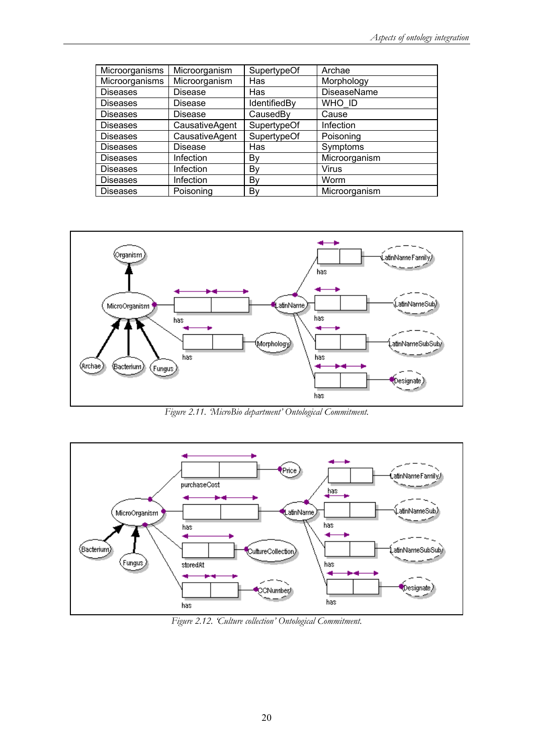| Microorganisms  | Microorganism  | SupertypeOf  | Archae        |
|-----------------|----------------|--------------|---------------|
| Microorganisms  | Microorganism  | Has          | Morphology    |
| <b>Diseases</b> | Disease        | Has          | DiseaseName   |
| <b>Diseases</b> | Disease        | IdentifiedBy | WHO ID        |
| <b>Diseases</b> | Disease        | CausedBy     | Cause         |
| <b>Diseases</b> | CausativeAgent | SupertypeOf  | Infection     |
| <b>Diseases</b> | CausativeAgent | SupertypeOf  | Poisoning     |
| <b>Diseases</b> | Disease        | Has          | Symptoms      |
| <b>Diseases</b> | Infection      | By           | Microorganism |
| <b>Diseases</b> | Infection      | By           | <b>Virus</b>  |
| <b>Diseases</b> | Infection      | Bγ           | Worm          |
| <b>Diseases</b> | Poisoning      | By           | Microorganism |



*Figure 2.11. 'MicroBio department' Ontological Commitment.* 



*Figure 2.12. 'Culture collection' Ontological Commitment.*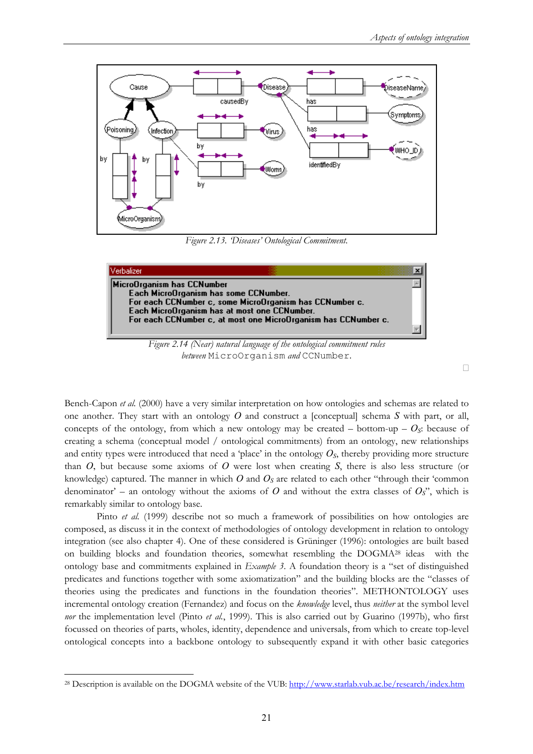

*Figure 2.13. 'Diseases' Ontological Commitment.* 



*Figure 2.14 (Near) natural language of the ontological commitment rules between* MicroOrganism *and* CCNumber*.* 

 $\Box$ 

Bench-Capon *et al.* (2000) have a very similar interpretation on how ontologies and schemas are related to one another. They start with an ontology *O* and construct a [conceptual] schema *S* with part, or all, concepts of the ontology, from which a new ontology may be created – bottom-up –  $O_s$ : because of creating a schema (conceptual model / ontological commitments) from an ontology, new relationships and entity types were introduced that need a 'place' in the ontology  $O<sub>S</sub>$ , thereby providing more structure than *O*, but because some axioms of *O* were lost when creating *S*, there is also less structure (or knowledge) captured. The manner in which  $O$  and  $O_s$  are related to each other "through their 'common denominator' – an ontology without the axioms of *O* and without the extra classes of  $O_s$ ", which is remarkably similar to ontology base.

Pinto *et al.* (1999) describe not so much a framework of possibilities on how ontologies are composed, as discuss it in the context of methodologies of ontology development in relation to ontology integration (see also chapter 4). One of these considered is Grüninger (1996): ontologies are built based on building blocks and foundation theories, somewhat resembling the DOGMA28 ideas with the ontology base and commitments explained in *Example 3*. A foundation theory is a "set of distinguished predicates and functions together with some axiomatization" and the building blocks are the "classes of theories using the predicates and functions in the foundation theories". METHONTOLOGY uses incremental ontology creation (Fernandez) and focus on the *knowledge* level, thus *neither* at the symbol level *nor* the implementation level (Pinto *et al.*, 1999). This is also carried out by Guarino (1997b), who first focussed on theories of parts, wholes, identity, dependence and universals, from which to create top-level ontological concepts into a backbone ontology to subsequently expand it with other basic categories

<sup>&</sup>lt;sup>28</sup> Description is available on the DOGMA website of the VUB: http://www.starlab.vub.ac.be/research/index.htm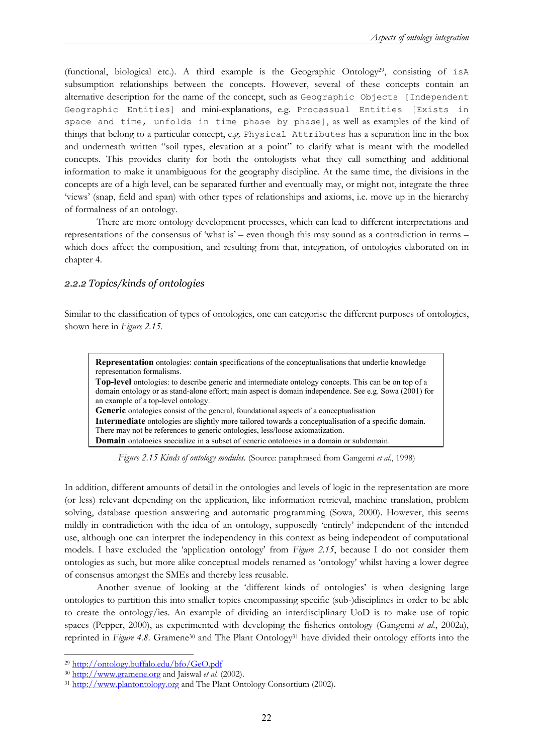(functional, biological etc.). A third example is the Geographic Ontology<sup>29</sup>, consisting of  $i$ sA subsumption relationships between the concepts. However, several of these concepts contain an alternative description for the name of the concept, such as Geographic Objects [Independent Geographic Entities] and mini-explanations, e.g. Processual Entities [Exists in space and time, unfolds in time phase by phase], as well as examples of the kind of things that belong to a particular concept, e.g. Physical Attributes has a separation line in the box and underneath written "soil types, elevation at a point" to clarify what is meant with the modelled concepts. This provides clarity for both the ontologists what they call something and additional information to make it unambiguous for the geography discipline. At the same time, the divisions in the concepts are of a high level, can be separated further and eventually may, or might not, integrate the three 'views' (snap, field and span) with other types of relationships and axioms, i.e. move up in the hierarchy of formalness of an ontology.

There are more ontology development processes, which can lead to different interpretations and representations of the consensus of 'what is' – even though this may sound as a contradiction in terms – which does affect the composition, and resulting from that, integration, of ontologies elaborated on in chapter 4.

#### *2.2.2 Topics/kinds of ontologies*

Similar to the classification of types of ontologies, one can categorise the different purposes of ontologies, shown here in *Figure 2.15.* 

**Representation** ontologies: contain specifications of the conceptualisations that underlie knowledge representation formalisms.

**Top-level** ontologies: to describe generic and intermediate ontology concepts. This can be on top of a domain ontology or as stand-alone effort; main aspect is domain independence. See e.g. Sowa (2001) for an example of a top-level ontology. **Generic** ontologies consist of the general, foundational aspects of a conceptualisation **Intermediate** ontologies are slightly more tailored towards a conceptualisation of a specific domain. There may not be references to generic ontologies, less/loose axiomatization.

**Domain** ontologies specialize in a subset of generic ontologies in a domain or subdomain.

*Figure 2.15 Kinds of ontology modules.* (Source: paraphrased from Gangemi *et al*., 1998)

In addition, different amounts of detail in the ontologies and levels of logic in the representation are more (or less) relevant depending on the application, like information retrieval, machine translation, problem solving, database question answering and automatic programming (Sowa, 2000). However, this seems mildly in contradiction with the idea of an ontology, supposedly 'entirely' independent of the intended use, although one can interpret the independency in this context as being independent of computational models. I have excluded the 'application ontology' from *Figure 2.15*, because I do not consider them ontologies as such, but more alike conceptual models renamed as 'ontology' whilst having a lower degree of consensus amongst the SMEs and thereby less reusable.

Another avenue of looking at the 'different kinds of ontologies' is when designing large ontologies to partition this into smaller topics encompassing specific (sub-)disciplines in order to be able to create the ontology/ies. An example of dividing an interdisciplinary UoD is to make use of topic spaces (Pepper, 2000), as experimented with developing the fisheries ontology (Gangemi *et al.*, 2002a), reprinted in *Figure 4.8*. Gramene30 and The Plant Ontology31 have divided their ontology efforts into the

<sup>&</sup>lt;sup>29</sup> http://ontology.buffalo.edu/bfo/GeO.pdf<br><sup>30</sup> http://www.gramene.org and Jaiswal *et al.* (2002).

<sup>&</sup>lt;sup>31</sup> http://www.plantontology.org and The Plant Ontology Consortium (2002).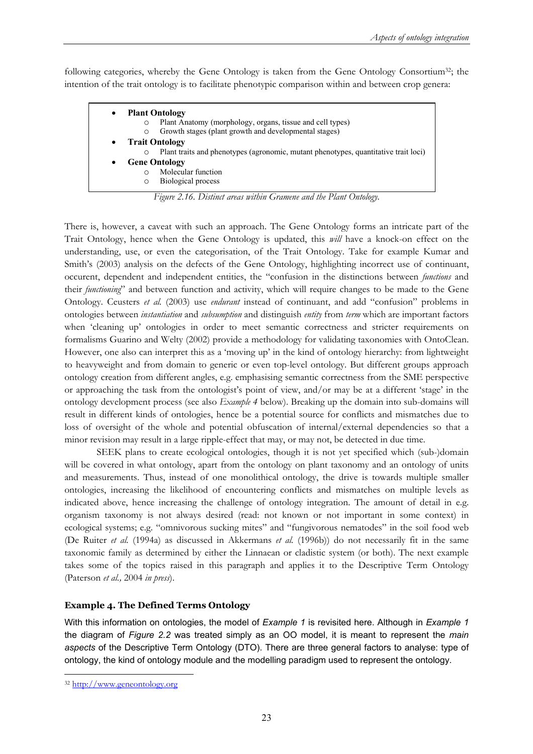following categories, whereby the Gene Ontology is taken from the Gene Ontology Consortium32; the intention of the trait ontology is to facilitate phenotypic comparison within and between crop genera:

| $\bullet$ | <b>Plant Ontology</b>                                                               |
|-----------|-------------------------------------------------------------------------------------|
| O         | Plant Anatomy (morphology, organs, tissue and cell types)                           |
| $\circ$   | Growth stages (plant growth and developmental stages)                               |
| $\bullet$ | <b>Trait Ontology</b>                                                               |
| $\circ$   | Plant traits and phenotypes (agronomic, mutant phenotypes, quantitative trait loci) |
|           | <b>Gene Ontology</b>                                                                |
|           | Molecular function                                                                  |
|           |                                                                                     |

*Figure 2.16. Distinct areas within Gramene and the Plant Ontology.* 

There is, however, a caveat with such an approach. The Gene Ontology forms an intricate part of the Trait Ontology, hence when the Gene Ontology is updated, this *will* have a knock-on effect on the understanding, use, or even the categorisation, of the Trait Ontology. Take for example Kumar and Smith's (2003) analysis on the defects of the Gene Ontology, highlighting incorrect use of continuant, occurent, dependent and independent entities, the "confusion in the distinctions between *functions* and their *functioning*" and between function and activity, which will require changes to be made to the Gene Ontology. Ceusters *et al.* (2003) use *endurant* instead of continuant, and add "confusion" problems in ontologies between *instantiation* and *subsumption* and distinguish *entity* from *term* which are important factors when 'cleaning up' ontologies in order to meet semantic correctness and stricter requirements on formalisms Guarino and Welty (2002) provide a methodology for validating taxonomies with OntoClean. However, one also can interpret this as a 'moving up' in the kind of ontology hierarchy: from lightweight to heavyweight and from domain to generic or even top-level ontology. But different groups approach ontology creation from different angles, e.g. emphasising semantic correctness from the SME perspective or approaching the task from the ontologist's point of view, and/or may be at a different 'stage' in the ontology development process (see also *Example 4* below). Breaking up the domain into sub-domains will result in different kinds of ontologies, hence be a potential source for conflicts and mismatches due to loss of oversight of the whole and potential obfuscation of internal/external dependencies so that a minor revision may result in a large ripple-effect that may, or may not, be detected in due time.

SEEK plans to create ecological ontologies, though it is not yet specified which (sub-)domain will be covered in what ontology, apart from the ontology on plant taxonomy and an ontology of units and measurements. Thus, instead of one monolithical ontology, the drive is towards multiple smaller ontologies, increasing the likelihood of encountering conflicts and mismatches on multiple levels as indicated above, hence increasing the challenge of ontology integration. The amount of detail in e.g. organism taxonomy is not always desired (read: not known or not important in some context) in ecological systems; e.g. "omnivorous sucking mites" and "fungivorous nematodes" in the soil food web (De Ruiter *et al.* (1994a) as discussed in Akkermans *et al.* (1996b)) do not necessarily fit in the same taxonomic family as determined by either the Linnaean or cladistic system (or both). The next example takes some of the topics raised in this paragraph and applies it to the Descriptive Term Ontology (Paterson *et al.,* 2004 *in press*).

#### **Example 4. The Defined Terms Ontology**

With this information on ontologies, the model of *Example 1* is revisited here. Although in *Example 1* the diagram of *Figure 2.2* was treated simply as an OO model, it is meant to represent the *main aspects* of the Descriptive Term Ontology (DTO). There are three general factors to analyse: type of ontology, the kind of ontology module and the modelling paradigm used to represent the ontology.

<sup>32</sup> http://www.geneontology.org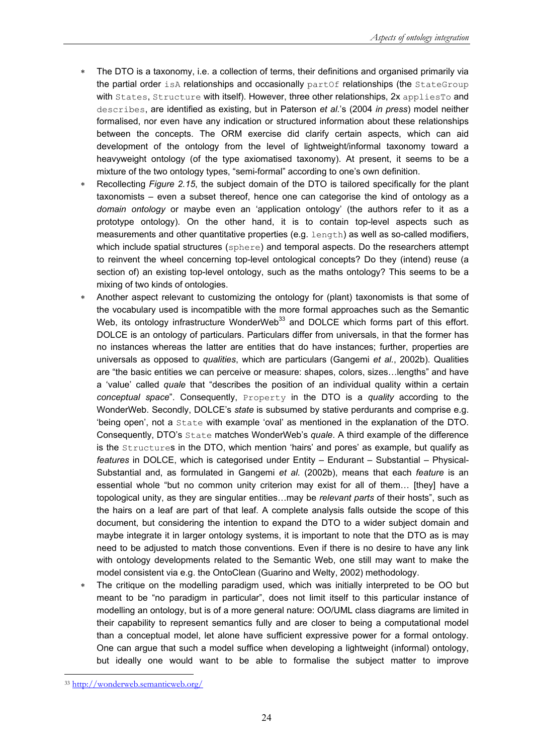- ∗ The DTO is a taxonomy, i.e. a collection of terms, their definitions and organised primarily via the partial order is A relationships and occasionally part Of relationships (the StateGroup with States, Structure with itself). However, three other relationships, 2x appliesTo and describes, are identified as existing, but in Paterson *et al.*'s (2004 *in press*) model neither formalised, nor even have any indication or structured information about these relationships between the concepts. The ORM exercise did clarify certain aspects, which can aid development of the ontology from the level of lightweight/informal taxonomy toward a heavyweight ontology (of the type axiomatised taxonomy). At present, it seems to be a mixture of the two ontology types, "semi-formal" according to one's own definition.
- Recollecting *Figure 2.15*, the subject domain of the DTO is tailored specifically for the plant taxonomists – even a subset thereof, hence one can categorise the kind of ontology as a *domain ontology* or maybe even an 'application ontology' (the authors refer to it as a prototype ontology). On the other hand, it is to contain top-level aspects such as measurements and other quantitative properties (e.g. length) as well as so-called modifiers, which include spatial structures (sphere) and temporal aspects. Do the researchers attempt to reinvent the wheel concerning top-level ontological concepts? Do they (intend) reuse (a section of) an existing top-level ontology, such as the maths ontology? This seems to be a mixing of two kinds of ontologies.
- ∗ Another aspect relevant to customizing the ontology for (plant) taxonomists is that some of the vocabulary used is incompatible with the more formal approaches such as the Semantic Web, its ontology infrastructure WonderWeb<sup>33</sup> and DOLCE which forms part of this effort. DOLCE is an ontology of particulars. Particulars differ from universals, in that the former has no instances whereas the latter are entities that do have instances; further, properties are universals as opposed to *qualities*, which are particulars (Gangemi *et al.*, 2002b). Qualities are "the basic entities we can perceive or measure: shapes, colors, sizes…lengths" and have a 'value' called *quale* that "describes the position of an individual quality within a certain *conceptual space*". Consequently, Property in the DTO is a *quality* according to the WonderWeb. Secondly, DOLCE's *state* is subsumed by stative perdurants and comprise e.g. 'being open', not a State with example 'oval' as mentioned in the explanation of the DTO. Consequently, DTO's State matches WonderWeb's *quale*. A third example of the difference is the Structures in the DTO, which mention 'hairs' and pores' as example, but qualify as *features* in DOLCE, which is categorised under Entity – Endurant – Substantial – Physical-Substantial and, as formulated in Gangemi *et al.* (2002b), means that each *feature* is an essential whole "but no common unity criterion may exist for all of them… [they] have a topological unity, as they are singular entities…may be *relevant parts* of their hosts", such as the hairs on a leaf are part of that leaf. A complete analysis falls outside the scope of this document, but considering the intention to expand the DTO to a wider subject domain and maybe integrate it in larger ontology systems, it is important to note that the DTO as is may need to be adjusted to match those conventions. Even if there is no desire to have any link with ontology developments related to the Semantic Web, one still may want to make the model consistent via e.g. the OntoClean (Guarino and Welty, 2002) methodology.
- ∗ The critique on the modelling paradigm used, which was initially interpreted to be OO but meant to be "no paradigm in particular", does not limit itself to this particular instance of modelling an ontology, but is of a more general nature: OO/UML class diagrams are limited in their capability to represent semantics fully and are closer to being a computational model than a conceptual model, let alone have sufficient expressive power for a formal ontology. One can argue that such a model suffice when developing a lightweight (informal) ontology, but ideally one would want to be able to formalise the subject matter to improve

 $\overline{a}$ <sup>33</sup> http://wonderweb.semanticweb.org/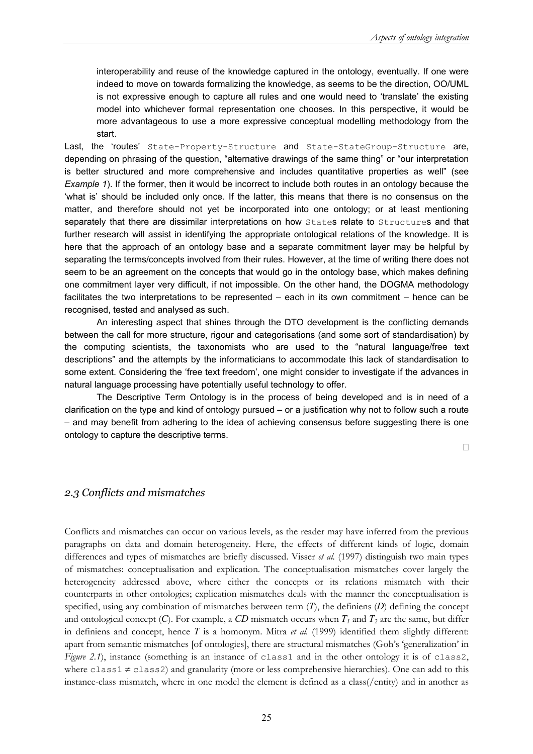interoperability and reuse of the knowledge captured in the ontology, eventually. If one were indeed to move on towards formalizing the knowledge, as seems to be the direction, OO/UML is not expressive enough to capture all rules and one would need to 'translate' the existing model into whichever formal representation one chooses. In this perspective, it would be more advantageous to use a more expressive conceptual modelling methodology from the start.

Last, the 'routes' State-Property-Structure and State-StateGroup-Structure are, depending on phrasing of the question, "alternative drawings of the same thing" or "our interpretation is better structured and more comprehensive and includes quantitative properties as well" (see *Example 1*). If the former, then it would be incorrect to include both routes in an ontology because the 'what is' should be included only once. If the latter, this means that there is no consensus on the matter, and therefore should not yet be incorporated into one ontology; or at least mentioning separately that there are dissimilar interpretations on how States relate to Structures and that further research will assist in identifying the appropriate ontological relations of the knowledge. It is here that the approach of an ontology base and a separate commitment layer may be helpful by separating the terms/concepts involved from their rules. However, at the time of writing there does not seem to be an agreement on the concepts that would go in the ontology base, which makes defining one commitment layer very difficult, if not impossible. On the other hand, the DOGMA methodology facilitates the two interpretations to be represented – each in its own commitment – hence can be recognised, tested and analysed as such.

An interesting aspect that shines through the DTO development is the conflicting demands between the call for more structure, rigour and categorisations (and some sort of standardisation) by the computing scientists, the taxonomists who are used to the "natural language/free text descriptions" and the attempts by the informaticians to accommodate this lack of standardisation to some extent. Considering the 'free text freedom', one might consider to investigate if the advances in natural language processing have potentially useful technology to offer.

 The Descriptive Term Ontology is in the process of being developed and is in need of a clarification on the type and kind of ontology pursued – or a justification why not to follow such a route – and may benefit from adhering to the idea of achieving consensus before suggesting there is one ontology to capture the descriptive terms.

 $\Box$ 

#### *2.3 Conflicts and mismatches*

Conflicts and mismatches can occur on various levels, as the reader may have inferred from the previous paragraphs on data and domain heterogeneity. Here, the effects of different kinds of logic, domain differences and types of mismatches are briefly discussed. Visser *et al.* (1997) distinguish two main types of mismatches: conceptualisation and explication. The conceptualisation mismatches cover largely the heterogeneity addressed above, where either the concepts or its relations mismatch with their counterparts in other ontologies; explication mismatches deals with the manner the conceptualisation is specified, using any combination of mismatches between term (*T*), the definiens (*D*) defining the concept and ontological concept  $(C)$ . For example, a  $CD$  mismatch occurs when  $T<sub>1</sub>$  and  $T<sub>2</sub>$  are the same, but differ in definiens and concept, hence *T* is a homonym. Mitra *et al.* (1999) identified them slightly different: apart from semantic mismatches [of ontologies], there are structural mismatches (Goh's 'generalization' in *Figure 2.1*), instance (something is an instance of class1 and in the other ontology it is of class2, where  $class1 \neq class2$ ) and granularity (more or less comprehensive hierarchies). One can add to this instance-class mismatch, where in one model the element is defined as a class(/entity) and in another as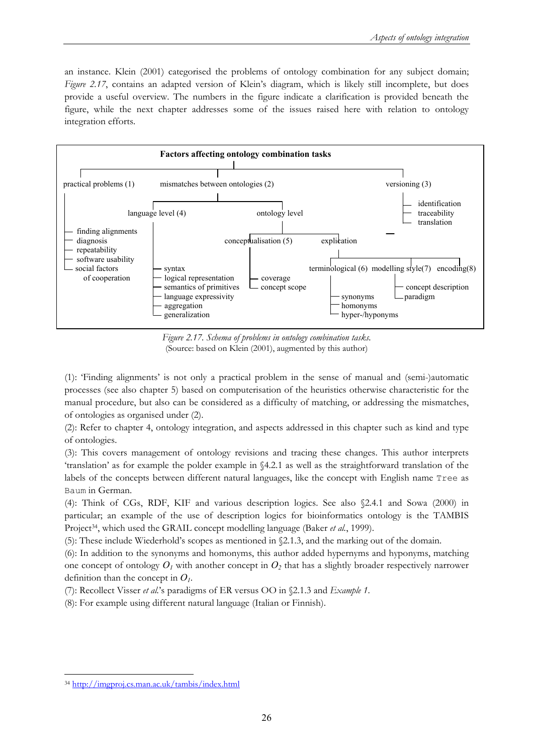an instance. Klein (2001) categorised the problems of ontology combination for any subject domain; *Figure 2.17*, contains an adapted version of Klein's diagram, which is likely still incomplete, but does provide a useful overview. The numbers in the figure indicate a clarification is provided beneath the figure, while the next chapter addresses some of the issues raised here with relation to ontology integration efforts.



*Figure 2.17. Schema of problems in ontology combination tasks.*  (Source: based on Klein (2001), augmented by this author)

(1): 'Finding alignments' is not only a practical problem in the sense of manual and (semi-)automatic processes (see also chapter 5) based on computerisation of the heuristics otherwise characteristic for the manual procedure, but also can be considered as a difficulty of matching, or addressing the mismatches, of ontologies as organised under (2).

(2): Refer to chapter 4, ontology integration, and aspects addressed in this chapter such as kind and type of ontologies.

(3): This covers management of ontology revisions and tracing these changes. This author interprets 'translation' as for example the polder example in §4.2.1 as well as the straightforward translation of the labels of the concepts between different natural languages, like the concept with English name Tree as Baum in German.

(4): Think of CGs, RDF, KIF and various description logics. See also §2.4.1 and Sowa (2000) in particular; an example of the use of description logics for bioinformatics ontology is the TAMBIS Project<sup>34</sup>, which used the GRAIL concept modelling language (Baker *et al.*, 1999).

(5): These include Wiederhold's scopes as mentioned in §2.1.3, and the marking out of the domain.

(6): In addition to the synonyms and homonyms, this author added hypernyms and hyponyms, matching one concept of ontology  $O_1$  with another concept in  $O_2$  that has a slightly broader respectively narrower definition than the concept in  $O<sub>l</sub>$ .

(7): Recollect Visser *et al.*'s paradigms of ER versus OO in §2.1.3 and *Example 1*.

(8): For example using different natural language (Italian or Finnish).

 $\overline{a}$ <sup>34</sup> http://imgproj.cs.man.ac.uk/tambis/index.html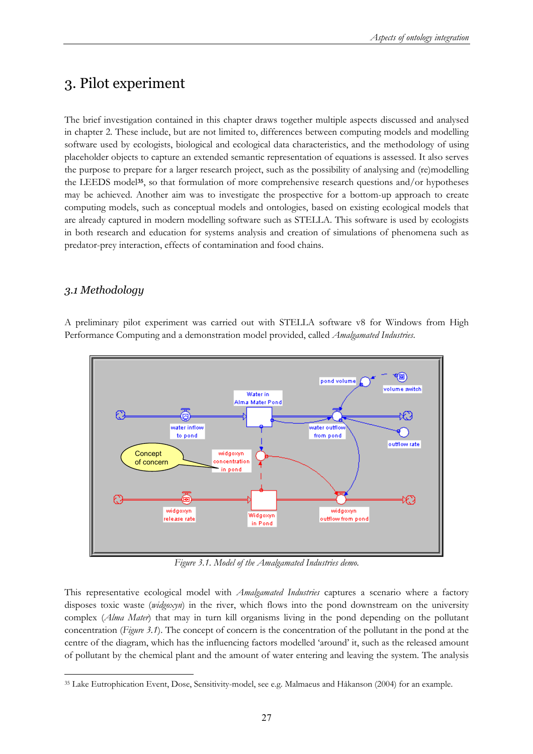## 3. Pilot experiment

The brief investigation contained in this chapter draws together multiple aspects discussed and analysed in chapter 2. These include, but are not limited to, differences between computing models and modelling software used by ecologists, biological and ecological data characteristics, and the methodology of using placeholder objects to capture an extended semantic representation of equations is assessed. It also serves the purpose to prepare for a larger research project, such as the possibility of analysing and (re)modelling the LEEDS model**35**, so that formulation of more comprehensive research questions and/or hypotheses may be achieved. Another aim was to investigate the prospective for a bottom-up approach to create computing models, such as conceptual models and ontologies, based on existing ecological models that are already captured in modern modelling software such as STELLA. This software is used by ecologists in both research and education for systems analysis and creation of simulations of phenomena such as predator-prey interaction, effects of contamination and food chains.

### *3.1 Methodology*

A preliminary pilot experiment was carried out with STELLA software v8 for Windows from High Performance Computing and a demonstration model provided, called *Amalgamated Industries*.



*Figure 3.1. Model of the Amalgamated Industries demo.* 

This representative ecological model with *Amalgamated Industries* captures a scenario where a factory disposes toxic waste (*widgoxyn*) in the river, which flows into the pond downstream on the university complex (*Alma Mater*) that may in turn kill organisms living in the pond depending on the pollutant concentration (*Figure 3.1*). The concept of concern is the concentration of the pollutant in the pond at the centre of the diagram, which has the influencing factors modelled 'around' it, such as the released amount of pollutant by the chemical plant and the amount of water entering and leaving the system. The analysis

 $\overline{a}$ 35 Lake Eutrophication Event, Dose, Sensitivity-model, see e.g. Malmaeus and Håkanson (2004) for an example.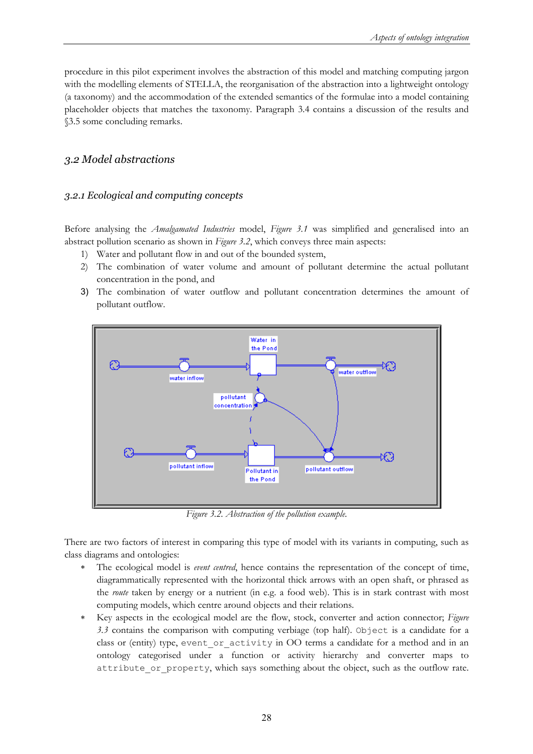procedure in this pilot experiment involves the abstraction of this model and matching computing jargon with the modelling elements of STELLA, the reorganisation of the abstraction into a lightweight ontology (a taxonomy) and the accommodation of the extended semantics of the formulae into a model containing placeholder objects that matches the taxonomy. Paragraph 3.4 contains a discussion of the results and §3.5 some concluding remarks.

#### *3.2 Model abstractions*

#### *3.2.1 Ecological and computing concepts*

Before analysing the *Amalgamated Industries* model, *Figure 3.1* was simplified and generalised into an abstract pollution scenario as shown in *Figure 3.2*, which conveys three main aspects:

- 1) Water and pollutant flow in and out of the bounded system,
- 2) The combination of water volume and amount of pollutant determine the actual pollutant concentration in the pond, and
- 3) The combination of water outflow and pollutant concentration determines the amount of pollutant outflow.



*Figure 3.2. Abstraction of the pollution example.* 

There are two factors of interest in comparing this type of model with its variants in computing, such as class diagrams and ontologies:

- The ecological model is *event centred*, hence contains the representation of the concept of time, diagrammatically represented with the horizontal thick arrows with an open shaft, or phrased as the *route* taken by energy or a nutrient (in e.g. a food web). This is in stark contrast with most computing models, which centre around objects and their relations.
- ∗ Key aspects in the ecological model are the flow, stock, converter and action connector; *Figure 3.3* contains the comparison with computing verbiage (top half). Object is a candidate for a class or (entity) type, event or activity in OO terms a candidate for a method and in an ontology categorised under a function or activity hierarchy and converter maps to attribute or property, which says something about the object, such as the outflow rate.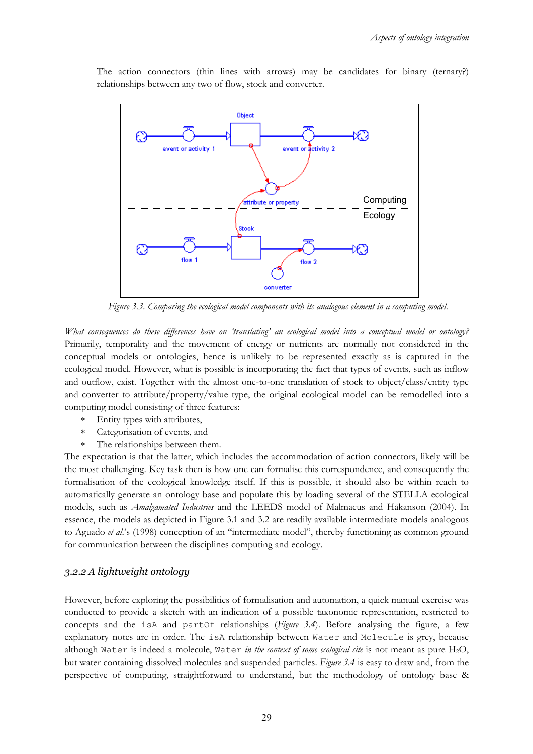

The action connectors (thin lines with arrows) may be candidates for binary (ternary?) relationships between any two of flow, stock and converter.

*Figure 3.3. Comparing the ecological model components with its analogous element in a computing model.* 

*What consequences do these differences have on 'translating' an ecological model into a conceptual model or ontology?* Primarily, temporality and the movement of energy or nutrients are normally not considered in the conceptual models or ontologies, hence is unlikely to be represented exactly as is captured in the ecological model. However, what is possible is incorporating the fact that types of events, such as inflow and outflow, exist. Together with the almost one-to-one translation of stock to object/class/entity type and converter to attribute/property/value type, the original ecological model can be remodelled into a computing model consisting of three features:

- ∗ Entity types with attributes,
- ∗ Categorisation of events, and
- ∗ The relationships between them.

The expectation is that the latter, which includes the accommodation of action connectors, likely will be the most challenging. Key task then is how one can formalise this correspondence, and consequently the formalisation of the ecological knowledge itself. If this is possible, it should also be within reach to automatically generate an ontology base and populate this by loading several of the STELLA ecological models, such as *Amalgamated Industries* and the LEEDS model of Malmaeus and Håkanson (2004). In essence, the models as depicted in Figure 3.1 and 3.2 are readily available intermediate models analogous to Aguado *et al*.'s (1998) conception of an "intermediate model", thereby functioning as common ground for communication between the disciplines computing and ecology.

#### *3.2.2 A lightweight ontology*

However, before exploring the possibilities of formalisation and automation, a quick manual exercise was conducted to provide a sketch with an indication of a possible taxonomic representation, restricted to concepts and the isA and partOf relationships (*Figure 3.4*). Before analysing the figure, a few explanatory notes are in order. The isA relationship between Water and Molecule is grey, because although Water is indeed a molecule, Water *in the context of some ecological site* is not meant as pure H2O, but water containing dissolved molecules and suspended particles. *Figure 3.4* is easy to draw and, from the perspective of computing, straightforward to understand, but the methodology of ontology base &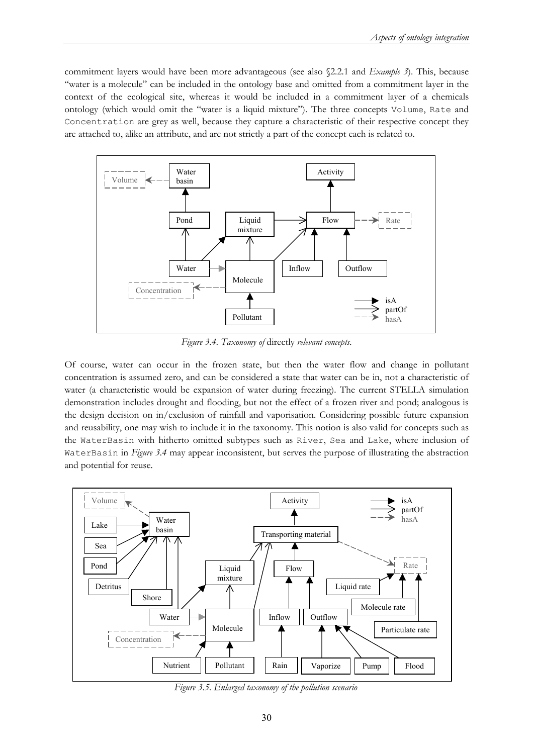commitment layers would have been more advantageous (see also §2.2.1 and *Example 3*). This, because "water is a molecule" can be included in the ontology base and omitted from a commitment layer in the context of the ecological site, whereas it would be included in a commitment layer of a chemicals ontology (which would omit the "water is a liquid mixture"). The three concepts Volume, Rate and Concentration are grey as well, because they capture a characteristic of their respective concept they are attached to, alike an attribute, and are not strictly a part of the concept each is related to.



*Figure 3.4. Taxonomy of* directly *relevant concepts.* 

Of course, water can occur in the frozen state, but then the water flow and change in pollutant concentration is assumed zero, and can be considered a state that water can be in, not a characteristic of water (a characteristic would be expansion of water during freezing). The current STELLA simulation demonstration includes drought and flooding, but not the effect of a frozen river and pond; analogous is the design decision on in/exclusion of rainfall and vaporisation. Considering possible future expansion and reusability, one may wish to include it in the taxonomy. This notion is also valid for concepts such as the WaterBasin with hitherto omitted subtypes such as River, Sea and Lake, where inclusion of WaterBasin in *Figure 3.4* may appear inconsistent, but serves the purpose of illustrating the abstraction and potential for reuse.



*Figure 3.5. Enlarged taxonomy of the pollution scenario*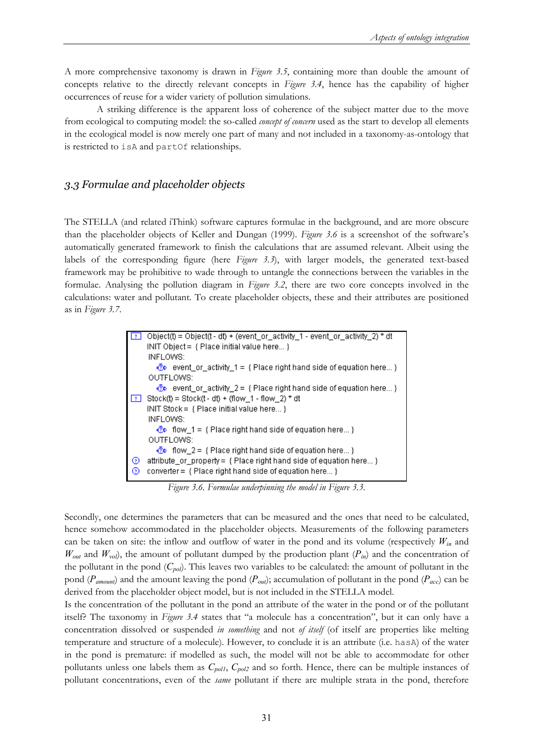A more comprehensive taxonomy is drawn in *Figure 3*.*5*, containing more than double the amount of concepts relative to the directly relevant concepts in *Figure 3.4*, hence has the capability of higher occurrences of reuse for a wider variety of pollution simulations.

 A striking difference is the apparent loss of coherence of the subject matter due to the move from ecological to computing model: the so-called *concept of concern* used as the start to develop all elements in the ecological model is now merely one part of many and not included in a taxonomy-as-ontology that is restricted to isA and partOf relationships.

### *3.3 Formulae and placeholder objects*

The STELLA (and related iThink) software captures formulae in the background, and are more obscure than the placeholder objects of Keller and Dungan (1999). *Figure 3.6* is a screenshot of the software's automatically generated framework to finish the calculations that are assumed relevant. Albeit using the labels of the corresponding figure (here *Figure 3.3*), with larger models, the generated text-based framework may be prohibitive to wade through to untangle the connections between the variables in the formulae. Analysing the pollution diagram in *Figure 3.2*, there are two core concepts involved in the calculations: water and pollutant. To create placeholder objects, these and their attributes are positioned as in *Figure 3.7*.

| $\sqrt{2}$ | Object(t) = Object(t - dt) + (event_or_activity_1 - event_or_activity_2) * dt                                                                          |
|------------|--------------------------------------------------------------------------------------------------------------------------------------------------------|
|            | INIT Object = { Place initial value here }                                                                                                             |
|            | INFLOWS:                                                                                                                                               |
|            | $\Phi$ event or activity 1 = { Place right hand side of equation here }                                                                                |
|            | OUTFLOWS:                                                                                                                                              |
|            | $\Phi$ event or activity 2 = { Place right hand side of equation here }                                                                                |
| 11 ? I     | Stock(t) = Stock(t - dt) + (flow 1 - flow 2) * dt                                                                                                      |
|            | INIT Stock = $\{$ Place initial value here $\}$                                                                                                        |
|            | INFLOWS:                                                                                                                                               |
|            | $\Phi$ flow 1 = { Place right hand side of equation here}                                                                                              |
|            | OUTFLOWS:                                                                                                                                              |
|            | $\bigcirc$ flow 2 = { Place right hand side of equation here}                                                                                          |
| ၊ ၜ        | attribute_or_property = { Place right hand side of equation here }                                                                                     |
| စ          | $\mathsf{converter} = \{ \mathsf{Place} \ \mathsf{right} \ \mathsf{hand} \ \mathsf{side} \ \mathsf{of} \ \mathsf{equation} \ \mathsf{here} \ \dots \}$ |
|            |                                                                                                                                                        |

*Figure 3.6. Formulae underpinning the model in Figure 3.3.* 

Secondly, one determines the parameters that can be measured and the ones that need to be calculated, hence somehow accommodated in the placeholder objects. Measurements of the following parameters can be taken on site: the inflow and outflow of water in the pond and its volume (respectively  $W_{in}$  and *W<sub>out</sub>* and  $W_{vol}$ , the amount of pollutant dumped by the production plant ( $P_{in}$ ) and the concentration of the pollutant in the pond  $(C_{pol})$ . This leaves two variables to be calculated: the amount of pollutant in the pond (*Pamount*) and the amount leaving the pond (*Pout*); accumulation of pollutant in the pond (*Pacc*) can be derived from the placeholder object model, but is not included in the STELLA model.

Is the concentration of the pollutant in the pond an attribute of the water in the pond or of the pollutant itself? The taxonomy in *Figure 3.4* states that "a molecule has a concentration", but it can only have a concentration dissolved or suspended *in something* and not *of itself* (of itself are properties like melting temperature and structure of a molecule). However, to conclude it is an attribute (i.e. hasA) of the water in the pond is premature: if modelled as such, the model will not be able to accommodate for other pollutants unless one labels them as  $C_{pol}$ ,  $C_{pol}$  and so forth. Hence, there can be multiple instances of pollutant concentrations, even of the *same* pollutant if there are multiple strata in the pond, therefore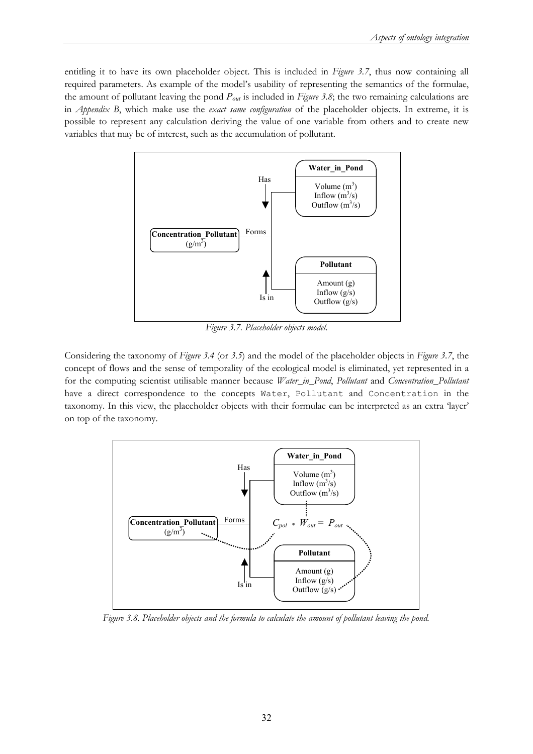entitling it to have its own placeholder object. This is included in *Figure 3.7*, thus now containing all required parameters. As example of the model's usability of representing the semantics of the formulae, the amount of pollutant leaving the pond *Pout* is included in *Figure 3.8*; the two remaining calculations are in *Appendix B*, which make use the *exact same configuration* of the placeholder objects. In extreme, it is possible to represent any calculation deriving the value of one variable from others and to create new variables that may be of interest, such as the accumulation of pollutant.



*Figure 3.7. Placeholder objects model.* 

Considering the taxonomy of *Figure 3.4* (or *3.5*) and the model of the placeholder objects in *Figure 3.7*, the concept of flows and the sense of temporality of the ecological model is eliminated, yet represented in a for the computing scientist utilisable manner because *Water\_in\_Pond*, *Pollutant* and *Concentration\_Pollutant* have a direct correspondence to the concepts Water, Pollutant and Concentration in the taxonomy. In this view, the placeholder objects with their formulae can be interpreted as an extra 'layer' on top of the taxonomy.



*Figure 3.8. Placeholder objects and the formula to calculate the amount of pollutant leaving the pond.*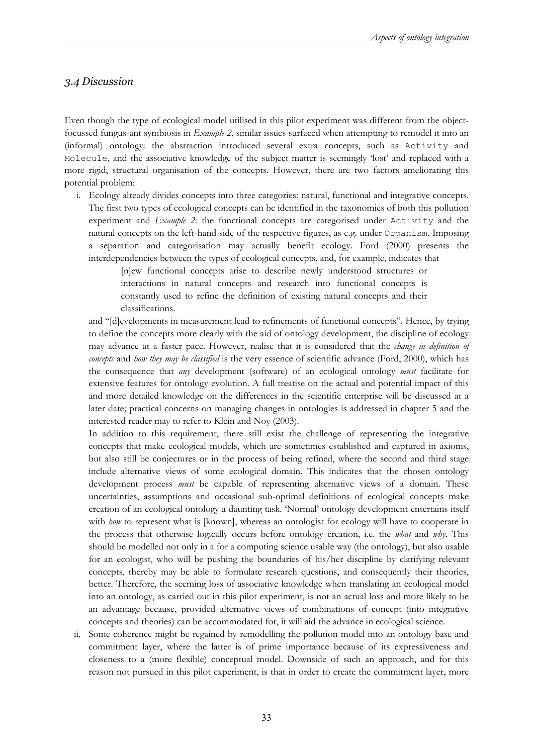## *3.4 Discussion*

Even though the type of ecological model utilised in this pilot experiment was different from the objectfocussed fungus-ant symbiosis in *Example 2*, similar issues surfaced when attempting to remodel it into an (informal) ontology: the abstraction introduced several extra concepts, such as Activity and Molecule, and the associative knowledge of the subject matter is seemingly 'lost' and replaced with a more rigid, structural organisation of the concepts. However, there are two factors ameliorating this potential problem:

i. Ecology already divides concepts into three categories: natural, functional and integrative concepts. The first two types of ecological concepts can be identified in the taxonomies of both this pollution experiment and *Example 2*: the functional concepts are categorised under Activity and the natural concepts on the left-hand side of the respective figures, as e.g. under Organism. Imposing a separation and categorisation may actually benefit ecology. Ford (2000) presents the interdependencies between the types of ecological concepts, and, for example, indicates that

[n]ew functional concepts arise to describe newly understood structures or interactions in natural concepts and research into functional concepts is constantly used to refine the definition of existing natural concepts and their classifications.

and "[d]evelopments in measurement lead to refinements of functional concepts". Hence, by trying to define the concepts more clearly with the aid of ontology development, the discipline of ecology may advance at a faster pace. However, realise that it is considered that the *change in definition of concepts* and *how they may be classified* is the very essence of scientific advance (Ford, 2000), which has the consequence that *any* development (software) of an ecological ontology *must* facilitate for extensive features for ontology evolution. A full treatise on the actual and potential impact of this and more detailed knowledge on the differences in the scientific enterprise will be discussed at a later date; practical concerns on managing changes in ontologies is addressed in chapter 5 and the interested reader may to refer to Klein and Noy (2003).

In addition to this requirement, there still exist the challenge of representing the integrative concepts that make ecological models, which are sometimes established and captured in axioms, but also still be conjectures or in the process of being refined, where the second and third stage include alternative views of some ecological domain. This indicates that the chosen ontology development process *must* be capable of representing alternative views of a domain. These uncertainties, assumptions and occasional sub-optimal definitions of ecological concepts make creation of an ecological ontology a daunting task. 'Normal' ontology development entertains itself with *how* to represent what is [known], whereas an ontologist for ecology will have to cooperate in the process that otherwise logically occurs before ontology creation, i.e. the *what* and *why*. This should be modelled not only in a for a computing science usable way (the ontology), but also usable for an ecologist, who will be pushing the boundaries of his/her discipline by clarifying relevant concepts, thereby may be able to formulate research questions, and consequently their theories, better. Therefore, the seeming loss of associative knowledge when translating an ecological model into an ontology, as carried out in this pilot experiment, is not an actual loss and more likely to be an advantage because, provided alternative views of combinations of concept (into integrative concepts and theories) can be accommodated for, it will aid the advance in ecological science.

ii. Some coherence might be regained by remodelling the pollution model into an ontology base and commitment layer, where the latter is of prime importance because of its expressiveness and closeness to a (more flexible) conceptual model. Downside of such an approach, and for this reason not pursued in this pilot experiment, is that in order to create the commitment layer, more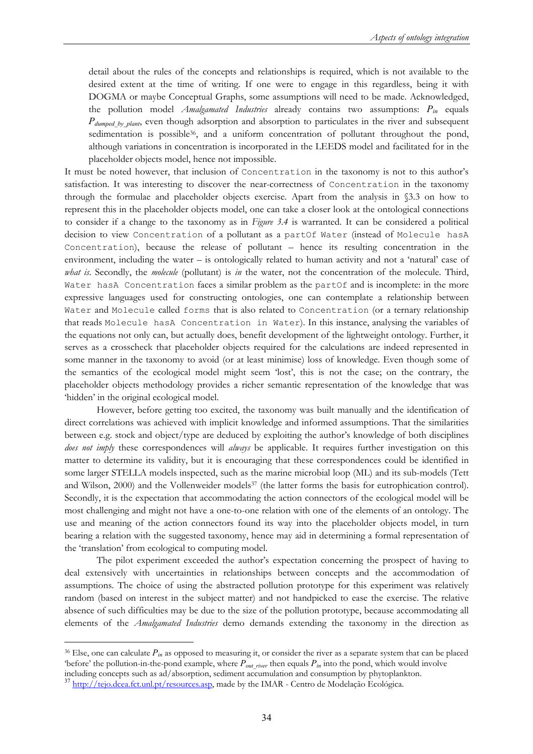detail about the rules of the concepts and relationships is required, which is not available to the desired extent at the time of writing. If one were to engage in this regardless, being it with DOGMA or maybe Conceptual Graphs, some assumptions will need to be made. Acknowledged, the pollution model *Amalgamated Industries* already contains two assumptions: *Pin* equals *Pdumped\_by\_plant*, even though adsorption and absorption to particulates in the river and subsequent sedimentation is possible<sup>36</sup>, and a uniform concentration of pollutant throughout the pond, although variations in concentration is incorporated in the LEEDS model and facilitated for in the placeholder objects model, hence not impossible.

It must be noted however, that inclusion of Concentration in the taxonomy is not to this author's satisfaction. It was interesting to discover the near-correctness of Concentration in the taxonomy through the formulae and placeholder objects exercise. Apart from the analysis in §3.3 on how to represent this in the placeholder objects model, one can take a closer look at the ontological connections to consider if a change to the taxonomy as in *Figure 3.4* is warranted. It can be considered a political decision to view Concentration of a pollutant as a partOf Water (instead of Molecule hasA Concentration), because the release of pollutant – hence its resulting concentration in the environment, including the water – is ontologically related to human activity and not a 'natural' case of *what is*. Secondly, the *molecule* (pollutant) is *in* the water, not the concentration of the molecule. Third, Water hasA Concentration faces a similar problem as the partOf and is incomplete: in the more expressive languages used for constructing ontologies, one can contemplate a relationship between Water and Molecule called forms that is also related to Concentration (or a ternary relationship that reads Molecule hasA Concentration in Water). In this instance, analysing the variables of the equations not only can, but actually does, benefit development of the lightweight ontology. Further, it serves as a crosscheck that placeholder objects required for the calculations are indeed represented in some manner in the taxonomy to avoid (or at least minimise) loss of knowledge. Even though some of the semantics of the ecological model might seem 'lost', this is not the case; on the contrary, the placeholder objects methodology provides a richer semantic representation of the knowledge that was 'hidden' in the original ecological model.

 However, before getting too excited, the taxonomy was built manually and the identification of direct correlations was achieved with implicit knowledge and informed assumptions. That the similarities between e.g. stock and object/type are deduced by exploiting the author's knowledge of both disciplines *does not imply* these correspondences will *always* be applicable. It requires further investigation on this matter to determine its validity, but it is encouraging that these correspondences could be identified in some larger STELLA models inspected, such as the marine microbial loop (ML) and its sub-models (Tett and Wilson, 2000) and the Vollenweider models<sup>37</sup> (the latter forms the basis for eutrophication control). Secondly, it is the expectation that accommodating the action connectors of the ecological model will be most challenging and might not have a one-to-one relation with one of the elements of an ontology. The use and meaning of the action connectors found its way into the placeholder objects model, in turn bearing a relation with the suggested taxonomy, hence may aid in determining a formal representation of the 'translation' from ecological to computing model.

 The pilot experiment exceeded the author's expectation concerning the prospect of having to deal extensively with uncertainties in relationships between concepts and the accommodation of assumptions. The choice of using the abstracted pollution prototype for this experiment was relatively random (based on interest in the subject matter) and not handpicked to ease the exercise. The relative absence of such difficulties may be due to the size of the pollution prototype, because accommodating all elements of the *Amalgamated Industries* demo demands extending the taxonomy in the direction as

<sup>36</sup> Else, one can calculate *Pin* as opposed to measuring it, or consider the river as a separate system that can be placed 'before' the pollution-in-the-pond example, where  $P_{out\_river}$  then equals  $P_{in}$  into the pond, which would involve

including concepts such as ad/absorption, sediment accumulation and consumption by phytoplankton. <sup>37</sup> http://tejo.dcea.fct.unl.pt/resources.asp, made by the IMAR - Centro de Modelação Ecológica.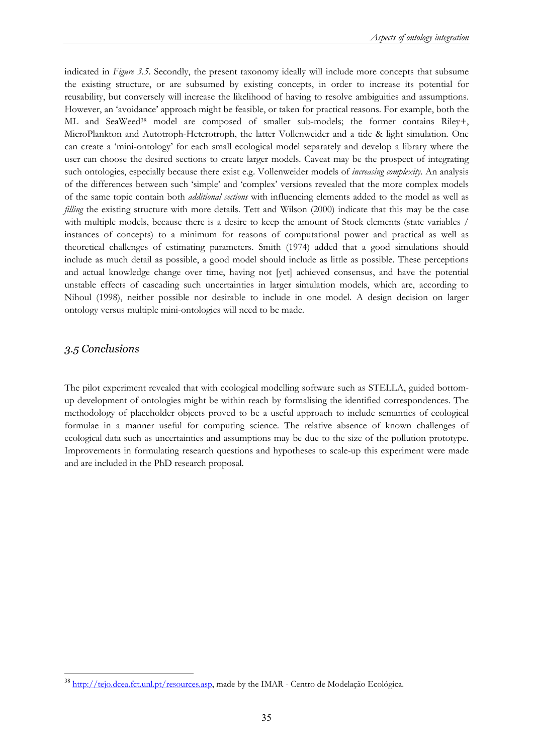indicated in *Figure 3.5*. Secondly, the present taxonomy ideally will include more concepts that subsume the existing structure, or are subsumed by existing concepts, in order to increase its potential for reusability, but conversely will increase the likelihood of having to resolve ambiguities and assumptions. However, an 'avoidance' approach might be feasible, or taken for practical reasons. For example, both the ML and SeaWeed38 model are composed of smaller sub-models; the former contains Riley+, MicroPlankton and Autotroph-Heterotroph, the latter Vollenweider and a tide & light simulation. One can create a 'mini-ontology' for each small ecological model separately and develop a library where the user can choose the desired sections to create larger models. Caveat may be the prospect of integrating such ontologies, especially because there exist e.g. Vollenweider models of *increasing complexity*. An analysis of the differences between such 'simple' and 'complex' versions revealed that the more complex models of the same topic contain both *additional sections* with influencing elements added to the model as well as *filling* the existing structure with more details. Tett and Wilson (2000) indicate that this may be the case with multiple models, because there is a desire to keep the amount of Stock elements (state variables / instances of concepts) to a minimum for reasons of computational power and practical as well as theoretical challenges of estimating parameters. Smith (1974) added that a good simulations should include as much detail as possible, a good model should include as little as possible. These perceptions and actual knowledge change over time, having not [yet] achieved consensus, and have the potential unstable effects of cascading such uncertainties in larger simulation models, which are, according to Nihoul (1998), neither possible nor desirable to include in one model. A design decision on larger ontology versus multiple mini-ontologies will need to be made.

## *3.5 Conclusions*

 $\overline{a}$ 

The pilot experiment revealed that with ecological modelling software such as STELLA, guided bottomup development of ontologies might be within reach by formalising the identified correspondences. The methodology of placeholder objects proved to be a useful approach to include semantics of ecological formulae in a manner useful for computing science. The relative absence of known challenges of ecological data such as uncertainties and assumptions may be due to the size of the pollution prototype. Improvements in formulating research questions and hypotheses to scale-up this experiment were made and are included in the PhD research proposal.

<sup>&</sup>lt;sup>38</sup> http://tejo.dcea.fct.unl.pt/resources.asp, made by the IMAR - Centro de Modelação Ecológica.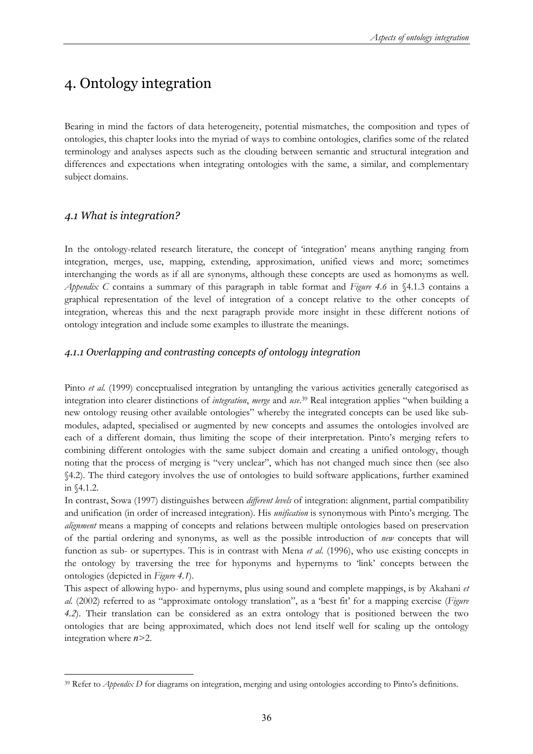# 4. Ontology integration

Bearing in mind the factors of data heterogeneity, potential mismatches, the composition and types of ontologies, this chapter looks into the myriad of ways to combine ontologies, clarifies some of the related terminology and analyses aspects such as the clouding between semantic and structural integration and differences and expectations when integrating ontologies with the same, a similar, and complementary subject domains.

## *4.1 What is integration?*

In the ontology-related research literature, the concept of 'integration' means anything ranging from integration, merges, use, mapping, extending, approximation, unified views and more; sometimes interchanging the words as if all are synonyms, although these concepts are used as homonyms as well. *Appendix C* contains a summary of this paragraph in table format and *Figure 4.6* in §4.1.3 contains a graphical representation of the level of integration of a concept relative to the other concepts of integration, whereas this and the next paragraph provide more insight in these different notions of ontology integration and include some examples to illustrate the meanings.

## *4.1.1 Overlapping and contrasting concepts of ontology integration*

Pinto *et al.* (1999) conceptualised integration by untangling the various activities generally categorised as integration into clearer distinctions of *integration*, *merge* and *use*. 39 Real integration applies "when building a new ontology reusing other available ontologies" whereby the integrated concepts can be used like submodules, adapted, specialised or augmented by new concepts and assumes the ontologies involved are each of a different domain, thus limiting the scope of their interpretation. Pinto's merging refers to combining different ontologies with the same subject domain and creating a unified ontology, though noting that the process of merging is "very unclear", which has not changed much since then (see also §4.2). The third category involves the use of ontologies to build software applications, further examined in §4.1.2.

In contrast, Sowa (1997) distinguishes between *different levels* of integration: alignment, partial compatibility and unification (in order of increased integration). His *unification* is synonymous with Pinto's merging. The *alignment* means a mapping of concepts and relations between multiple ontologies based on preservation of the partial ordering and synonyms, as well as the possible introduction of *new* concepts that will function as sub- or supertypes. This is in contrast with Mena *et al.* (1996), who use existing concepts in the ontology by traversing the tree for hyponyms and hypernyms to 'link' concepts between the ontologies (depicted in *Figure 4.1*).

This aspect of allowing hypo- and hypernyms, plus using sound and complete mappings, is by Akahani *et al.* (2002) referred to as "approximate ontology translation", as a 'best fit' for a mapping exercise (*Figure 4.2*). Their translation can be considered as an extra ontology that is positioned between the two ontologies that are being approximated, which does not lend itself well for scaling up the ontology integration where *n*>2.

 $\overline{a}$ <sup>39</sup> Refer to *Appendix D* for diagrams on integration, merging and using ontologies according to Pinto's definitions.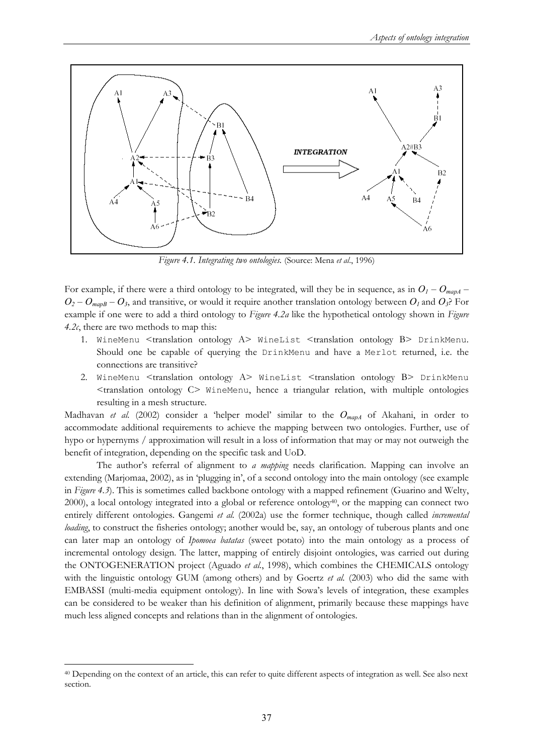

*Figure 4.1. Integrating two ontologies.* (Source: Mena *et al*., 1996)

For example, if there were a third ontology to be integrated, will they be in sequence, as in  $O_1 - O_{mapA}$  –  $O_2 - O_{mapB} - O_3$ , and transitive, or would it require another translation ontology between  $O_1$  and  $O_3$ ? For example if one were to add a third ontology to *Figure 4.2a* like the hypothetical ontology shown in *Figure 4.2c*, there are two methods to map this:

- 1. WineMenu <translation ontology A> WineList <translation ontology B> DrinkMenu. Should one be capable of querying the DrinkMenu and have a Merlot returned, i.e. the connections are transitive?
- 2. WineMenu <translation ontology A> WineList <translation ontology B> DrinkMenu <translation ontology C> WineMenu, hence a triangular relation, with multiple ontologies resulting in a mesh structure.

Madhavan *et al.* (2002) consider a 'helper model' similar to the *OmapA* of Akahani, in order to accommodate additional requirements to achieve the mapping between two ontologies. Further, use of hypo or hypernyms / approximation will result in a loss of information that may or may not outweigh the benefit of integration, depending on the specific task and UoD.

The author's referral of alignment to *a mapping* needs clarification. Mapping can involve an extending (Marjomaa, 2002), as in 'plugging in', of a second ontology into the main ontology (see example in *Figure 4.3*). This is sometimes called backbone ontology with a mapped refinement (Guarino and Welty,  $2000$ ), a local ontology integrated into a global or reference ontology $40$ , or the mapping can connect two entirely different ontologies. Gangemi *et al.* (2002a) use the former technique, though called *incremental loading*, to construct the fisheries ontology; another would be, say, an ontology of tuberous plants and one can later map an ontology of *Ipomoea batatas* (sweet potato) into the main ontology as a process of incremental ontology design. The latter, mapping of entirely disjoint ontologies, was carried out during the ONTOGENERATION project (Aguado *et al.*, 1998), which combines the CHEMICALS ontology with the linguistic ontology GUM (among others) and by Goertz *et al.* (2003) who did the same with EMBASSI (multi-media equipment ontology). In line with Sowa's levels of integration, these examples can be considered to be weaker than his definition of alignment, primarily because these mappings have much less aligned concepts and relations than in the alignment of ontologies.

<sup>40</sup> Depending on the context of an article, this can refer to quite different aspects of integration as well. See also next section.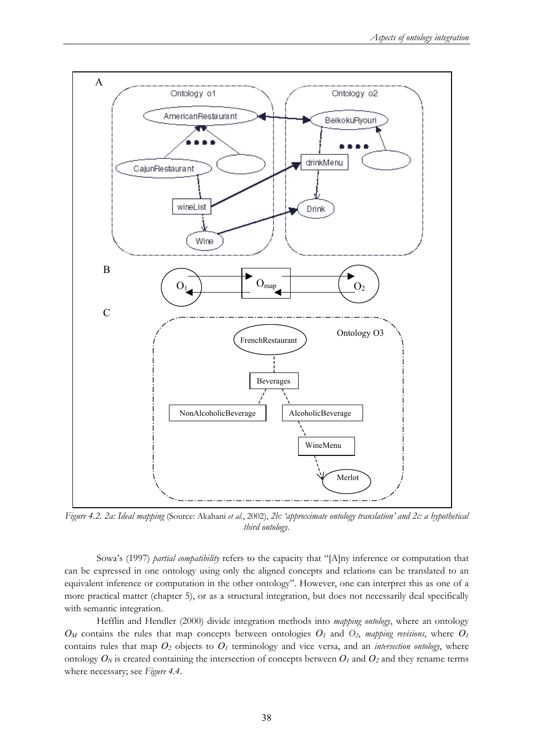

*Figure 4.2. 2a: Ideal mapping* (Source: Akahani *et al.*, 2002), *2b: 'approximate ontology translation' and 2c: a hypothetical third ontology.* 

Sowa's (1997) *partial compatibility* refers to the capacity that "[A]ny inference or computation that can be expressed in one ontology using only the aligned concepts and relations can be translated to an equivalent inference or computation in the other ontology". However, one can interpret this as one of a more practical matter (chapter 5), or as a structural integration, but does not necessarily deal specifically with semantic integration.

Hefflin and Hendler (2000) divide integration methods into *mapping ontology*, where an ontology  $O_M$  contains the rules that map concepts between ontologies  $O_1$  and  $O_2$ , *mapping revisions*, where  $O_1$ contains rules that map  $O_2$  objects to  $O_1$  terminology and vice versa, and an *intersection ontology*, where ontology  $O_N$  is created containing the intersection of concepts between  $O_l$  and  $O_2$  and they rename terms where necessary; see *Figure 4.4*.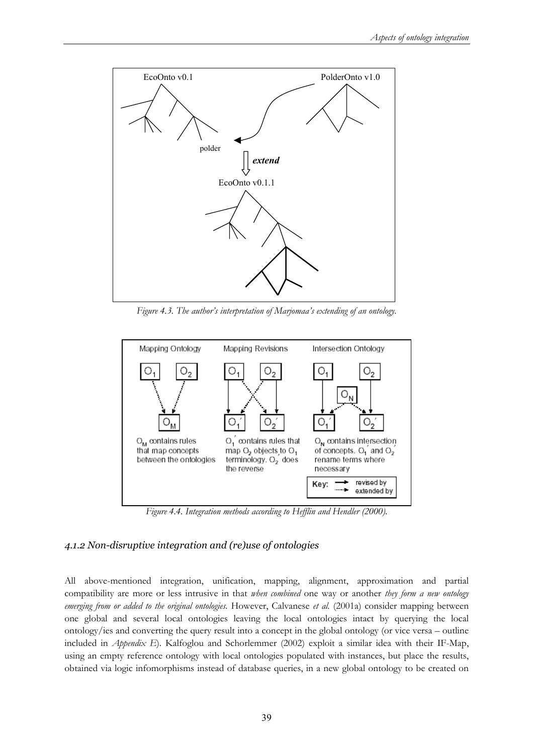

*Figure 4.3. The author's interpretation of Marjomaa's extending of an ontology.* 



*Figure 4.4. Integration methods according to Hefflin and Hendler (2000).* 

### *4.1.2 Non-disruptive integration and (re)use of ontologies*

All above-mentioned integration, unification, mapping, alignment, approximation and partial compatibility are more or less intrusive in that *when combined* one way or another *they form a new ontology emerging from or added to the original ontologies.* However, Calvanese *et al.* (2001a) consider mapping between one global and several local ontologies leaving the local ontologies intact by querying the local ontology/ies and converting the query result into a concept in the global ontology (or vice versa – outline included in *Appendix E*). Kalfoglou and Schorlemmer (2002) exploit a similar idea with their IF-Map, using an empty reference ontology with local ontologies populated with instances, but place the results, obtained via logic infomorphisms instead of database queries, in a new global ontology to be created on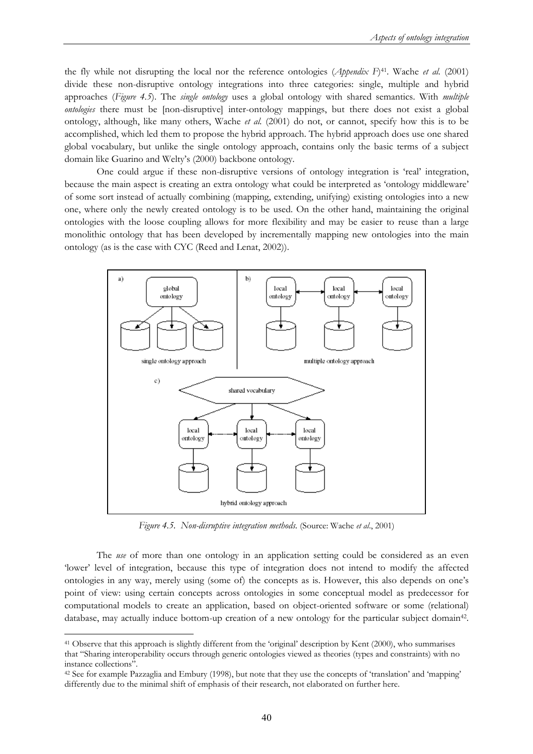the fly while not disrupting the local nor the reference ontologies (*Appendix F*)41. Wache *et al.* (2001) divide these non-disruptive ontology integrations into three categories: single, multiple and hybrid approaches (*Figure 4.5*). The *single ontology* uses a global ontology with shared semantics. With *multiple ontologies* there must be [non-disruptive] inter-ontology mappings, but there does not exist a global ontology, although, like many others, Wache *et al.* (2001) do not, or cannot, specify how this is to be accomplished, which led them to propose the hybrid approach. The hybrid approach does use one shared global vocabulary, but unlike the single ontology approach, contains only the basic terms of a subject domain like Guarino and Welty's (2000) backbone ontology.

One could argue if these non-disruptive versions of ontology integration is 'real' integration, because the main aspect is creating an extra ontology what could be interpreted as 'ontology middleware' of some sort instead of actually combining (mapping, extending, unifying) existing ontologies into a new one, where only the newly created ontology is to be used. On the other hand, maintaining the original ontologies with the loose coupling allows for more flexibility and may be easier to reuse than a large monolithic ontology that has been developed by incrementally mapping new ontologies into the main ontology (as is the case with CYC (Reed and Lenat, 2002)).



*Figure 4.5. Non-disruptive integration methods.* (Source: Wache *et al.*, 2001)

The *use* of more than one ontology in an application setting could be considered as an even 'lower' level of integration, because this type of integration does not intend to modify the affected ontologies in any way, merely using (some of) the concepts as is. However, this also depends on one's point of view: using certain concepts across ontologies in some conceptual model as predecessor for computational models to create an application, based on object-oriented software or some (relational) database, may actually induce bottom-up creation of a new ontology for the particular subject domain42.

<sup>41</sup> Observe that this approach is slightly different from the 'original' description by Kent (2000), who summarises that "Sharing interoperability occurs through generic ontologies viewed as theories (types and constraints) with no instance collections".

<sup>42</sup> See for example Pazzaglia and Embury (1998), but note that they use the concepts of 'translation' and 'mapping' differently due to the minimal shift of emphasis of their research, not elaborated on further here.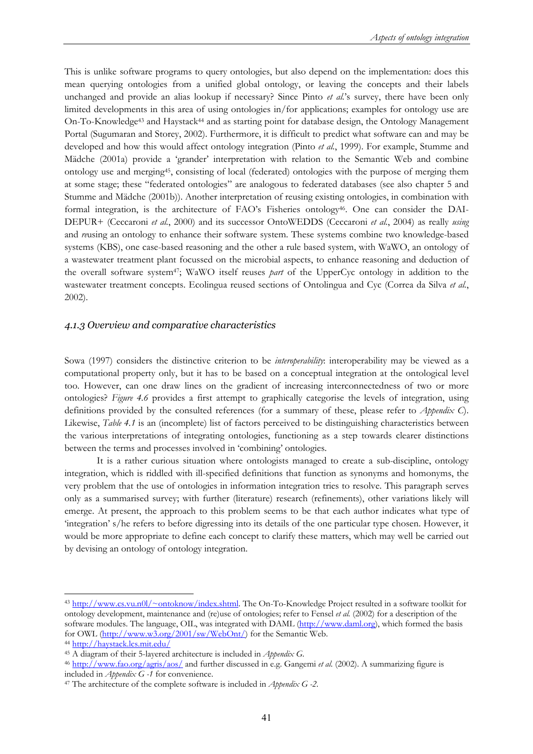This is unlike software programs to query ontologies, but also depend on the implementation: does this mean querying ontologies from a unified global ontology, or leaving the concepts and their labels unchanged and provide an alias lookup if necessary? Since Pinto *et al.*'s survey, there have been only limited developments in this area of using ontologies in/for applications; examples for ontology use are On-To-Knowledge43 and Haystack44 and as starting point for database design, the Ontology Management Portal (Sugumaran and Storey, 2002). Furthermore, it is difficult to predict what software can and may be developed and how this would affect ontology integration (Pinto *et al.*, 1999). For example, Stumme and Mädche (2001a) provide a 'grander' interpretation with relation to the Semantic Web and combine ontology use and merging45, consisting of local (federated) ontologies with the purpose of merging them at some stage; these "federated ontologies" are analogous to federated databases (see also chapter 5 and Stumme and Mädche (2001b)). Another interpretation of reusing existing ontologies, in combination with formal integration, is the architecture of FAO's Fisheries ontology46. One can consider the DAI-DEPUR+ (Ceccaroni *et al.*, 2000) and its successor OntoWEDDS (Ceccaroni *et al.*, 2004) as really *using* and *re*using an ontology to enhance their software system. These systems combine two knowledge-based systems (KBS), one case-based reasoning and the other a rule based system, with WaWO, an ontology of a wastewater treatment plant focussed on the microbial aspects, to enhance reasoning and deduction of the overall software system47; WaWO itself reuses *part* of the UpperCyc ontology in addition to the wastewater treatment concepts. Ecolingua reused sections of Ontolingua and Cyc (Correa da Silva *et al.*, 2002).

### *4.1.3 Overview and comparative characteristics*

Sowa (1997) considers the distinctive criterion to be *interoperability*: interoperability may be viewed as a computational property only, but it has to be based on a conceptual integration at the ontological level too. However, can one draw lines on the gradient of increasing interconnectedness of two or more ontologies? *Figure 4.6* provides a first attempt to graphically categorise the levels of integration, using definitions provided by the consulted references (for a summary of these, please refer to *Appendix C*). Likewise, *Table 4.1* is an (incomplete) list of factors perceived to be distinguishing characteristics between the various interpretations of integrating ontologies, functioning as a step towards clearer distinctions between the terms and processes involved in 'combining' ontologies.

It is a rather curious situation where ontologists managed to create a sub-discipline, ontology integration, which is riddled with ill-specified definitions that function as synonyms and homonyms, the very problem that the use of ontologies in information integration tries to resolve. This paragraph serves only as a summarised survey; with further (literature) research (refinements), other variations likely will emerge. At present, the approach to this problem seems to be that each author indicates what type of 'integration' s/he refers to before digressing into its details of the one particular type chosen. However, it would be more appropriate to define each concept to clarify these matters, which may well be carried out by devising an ontology of ontology integration.

<sup>43</sup> http://www.cs.vu.n0l/~ontoknow/index.shtml. The On-To-Knowledge Project resulted in a software toolkit for ontology development, maintenance and (re)use of ontologies; refer to Fensel *et al.* (2002) for a description of the software modules. The language, OIL, was integrated with DAML (http://www.daml.org), which formed the basis for OWL (http://www.w3.org/2001/sw/WebOnt/) for the Semantic Web.

<sup>&</sup>lt;sup>44</sup> http://haystack.lcs.mit.edu/<br><sup>45</sup> A diagram of their 5-layered architecture is included in *Appendix G*.<br><sup>46</sup> http://www.fao.org/agris/aos/ and further discussed in e.g. Gangemi *et al.* (2002). A summarizing figure i

<sup>&</sup>lt;sup>47</sup> The architecture of the complete software is included in *Appendix G -2*.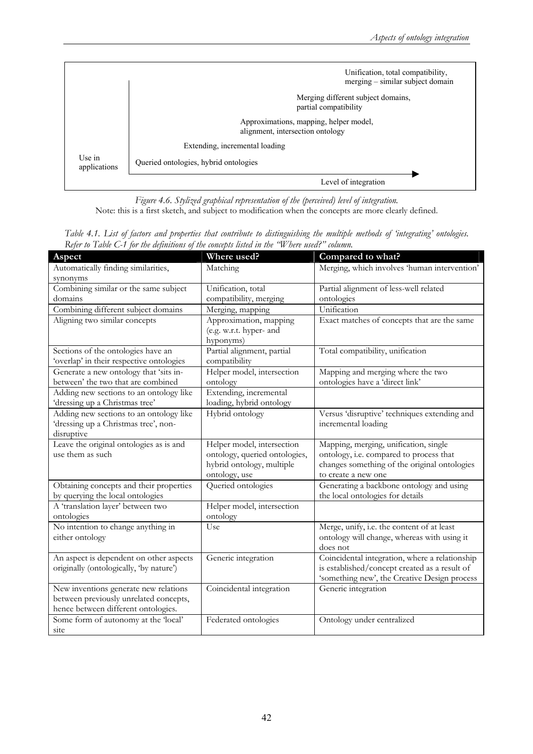|                                                                            | Unification, total compatibility,<br>merging – similar subject domain |  |  |
|----------------------------------------------------------------------------|-----------------------------------------------------------------------|--|--|
|                                                                            | Merging different subject domains,<br>partial compatibility           |  |  |
| Approximations, mapping, helper model,<br>alignment, intersection ontology |                                                                       |  |  |
|                                                                            | Extending, incremental loading                                        |  |  |
| Use in<br>applications                                                     | Queried ontologies, hybrid ontologies                                 |  |  |
|                                                                            | Level of integration                                                  |  |  |

*Figure 4.6. Stylized graphical representation of the (perceived) level of integration.*  Note: this is a first sketch, and subject to modification when the concepts are more clearly defined.

| Aspect                                   | Where used?                   | Compared to what?                              |
|------------------------------------------|-------------------------------|------------------------------------------------|
| Automatically finding similarities,      | Matching                      | Merging, which involves 'human intervention'   |
| synonyms                                 |                               |                                                |
| Combining similar or the same subject    | Unification, total            | Partial alignment of less-well related         |
| domains                                  | compatibility, merging        | ontologies                                     |
| Combining different subject domains      | Merging, mapping              | Unification                                    |
| Aligning two similar concepts            | Approximation, mapping        | Exact matches of concepts that are the same    |
|                                          | (e.g. w.r.t. hyper- and       |                                                |
|                                          | hyponyms)                     |                                                |
| Sections of the ontologies have an       | Partial alignment, partial    | Total compatibility, unification               |
| 'overlap' in their respective ontologies | compatibility                 |                                                |
| Generate a new ontology that 'sits in-   | Helper model, intersection    | Mapping and merging where the two              |
| between' the two that are combined       | ontology                      | ontologies have a 'direct link'                |
| Adding new sections to an ontology like  | Extending, incremental        |                                                |
| 'dressing up a Christmas tree'           | loading, hybrid ontology      |                                                |
| Adding new sections to an ontology like  | Hybrid ontology               | Versus 'disruptive' techniques extending and   |
| 'dressing up a Christmas tree', non-     |                               | incremental loading                            |
| disruptive                               |                               |                                                |
| Leave the original ontologies as is and  | Helper model, intersection    | Mapping, merging, unification, single          |
| use them as such                         | ontology, queried ontologies, | ontology, i.e. compared to process that        |
|                                          | hybrid ontology, multiple     | changes something of the original ontologies   |
|                                          | ontology, use                 | to create a new one                            |
| Obtaining concepts and their properties  | Queried ontologies            | Generating a backbone ontology and using       |
| by querying the local ontologies         |                               | the local ontologies for details               |
| A 'translation layer' between two        | Helper model, intersection    |                                                |
| ontologies                               | ontology                      |                                                |
| No intention to change anything in       | Use                           | Merge, unify, i.e. the content of at least     |
| either ontology                          |                               | ontology will change, whereas with using it    |
|                                          |                               | does not                                       |
| An aspect is dependent on other aspects  | Generic integration           | Coincidental integration, where a relationship |
| originally (ontologically, 'by nature')  |                               | is established/concept created as a result of  |
|                                          |                               | 'something new', the Creative Design process   |
| New inventions generate new relations    | Coincidental integration      | Generic integration                            |
| between previously unrelated concepts,   |                               |                                                |
| hence between different ontologies.      |                               |                                                |
| Some form of autonomy at the 'local'     | Federated ontologies          | Ontology under centralized                     |
| site                                     |                               |                                                |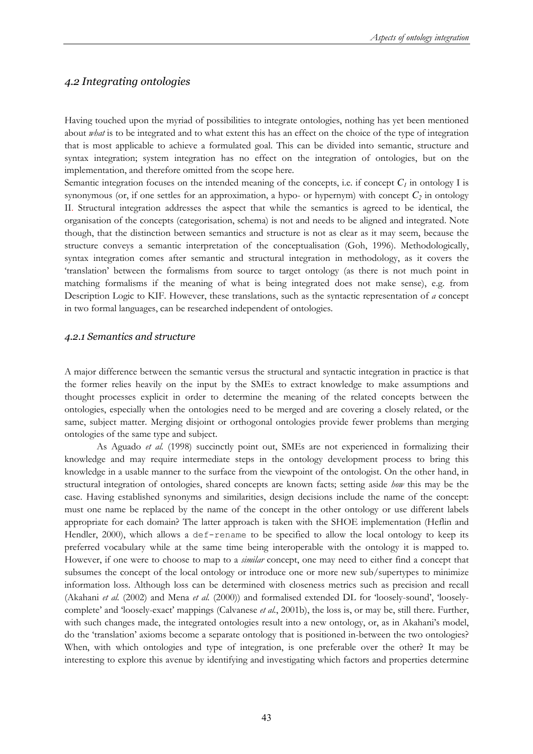### *4.2 Integrating ontologies*

Having touched upon the myriad of possibilities to integrate ontologies, nothing has yet been mentioned about *what* is to be integrated and to what extent this has an effect on the choice of the type of integration that is most applicable to achieve a formulated goal. This can be divided into semantic, structure and syntax integration; system integration has no effect on the integration of ontologies, but on the implementation, and therefore omitted from the scope here.

Semantic integration focuses on the intended meaning of the concepts, i.e. if concept  $C_l$  in ontology I is synonymous (or, if one settles for an approximation, a hypo- or hypernym) with concept  $C_2$  in ontology II. Structural integration addresses the aspect that while the semantics is agreed to be identical, the organisation of the concepts (categorisation, schema) is not and needs to be aligned and integrated. Note though, that the distinction between semantics and structure is not as clear as it may seem, because the structure conveys a semantic interpretation of the conceptualisation (Goh, 1996). Methodologically, syntax integration comes after semantic and structural integration in methodology, as it covers the 'translation' between the formalisms from source to target ontology (as there is not much point in matching formalisms if the meaning of what is being integrated does not make sense), e.g. from Description Logic to KIF. However, these translations, such as the syntactic representation of *a* concept in two formal languages, can be researched independent of ontologies.

### *4.2.1 Semantics and structure*

A major difference between the semantic versus the structural and syntactic integration in practice is that the former relies heavily on the input by the SMEs to extract knowledge to make assumptions and thought processes explicit in order to determine the meaning of the related concepts between the ontologies, especially when the ontologies need to be merged and are covering a closely related, or the same, subject matter. Merging disjoint or orthogonal ontologies provide fewer problems than merging ontologies of the same type and subject.

As Aguado *et al.* (1998) succinctly point out, SMEs are not experienced in formalizing their knowledge and may require intermediate steps in the ontology development process to bring this knowledge in a usable manner to the surface from the viewpoint of the ontologist. On the other hand, in structural integration of ontologies, shared concepts are known facts; setting aside *how* this may be the case. Having established synonyms and similarities, design decisions include the name of the concept: must one name be replaced by the name of the concept in the other ontology or use different labels appropriate for each domain? The latter approach is taken with the SHOE implementation (Heflin and Hendler, 2000), which allows a def-rename to be specified to allow the local ontology to keep its preferred vocabulary while at the same time being interoperable with the ontology it is mapped to. However, if one were to choose to map to a *similar* concept, one may need to either find a concept that subsumes the concept of the local ontology or introduce one or more new sub/supertypes to minimize information loss. Although loss can be determined with closeness metrics such as precision and recall (Akahani *et al.* (2002) and Mena *et al.* (2000)) and formalised extended DL for 'loosely-sound', 'looselycomplete' and 'loosely-exact' mappings (Calvanese *et al.*, 2001b), the loss is, or may be, still there. Further, with such changes made, the integrated ontologies result into a new ontology, or, as in Akahani's model, do the 'translation' axioms become a separate ontology that is positioned in-between the two ontologies? When, with which ontologies and type of integration, is one preferable over the other? It may be interesting to explore this avenue by identifying and investigating which factors and properties determine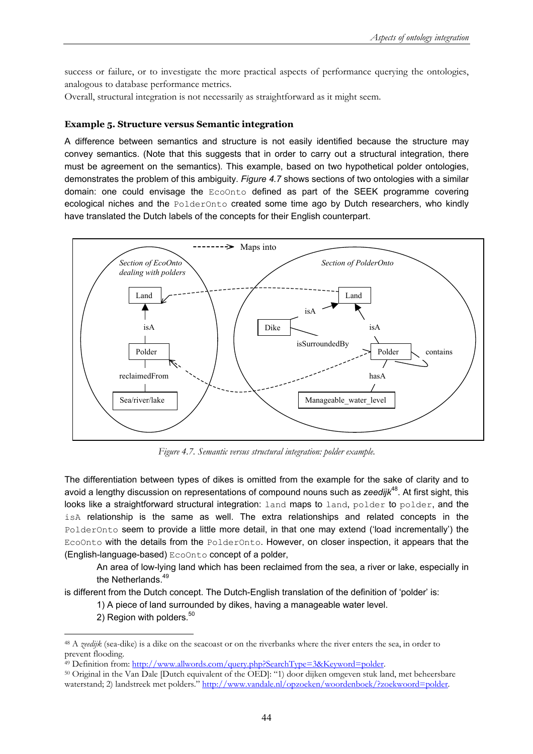success or failure, or to investigate the more practical aspects of performance querying the ontologies, analogous to database performance metrics.

Overall, structural integration is not necessarily as straightforward as it might seem.

### **Example 5. Structure versus Semantic integration**

A difference between semantics and structure is not easily identified because the structure may convey semantics. (Note that this suggests that in order to carry out a structural integration, there must be agreement on the semantics). This example, based on two hypothetical polder ontologies, demonstrates the problem of this ambiguity. *Figure 4.7* shows sections of two ontologies with a similar domain: one could envisage the EcoOnto defined as part of the SEEK programme covering ecological niches and the PolderOnto created some time ago by Dutch researchers, who kindly have translated the Dutch labels of the concepts for their English counterpart.



*Figure 4.7. Semantic versus structural integration: polder example.* 

The differentiation between types of dikes is omitted from the example for the sake of clarity and to avoid a lengthy discussion on representations of compound nouns such as *zeedijk*<sup>48</sup>. At first sight, this looks like a straightforward structural integration: land maps to land, polder to polder, and the isA relationship is the same as well. The extra relationships and related concepts in the PolderOnto seem to provide a little more detail, in that one may extend ('load incrementally') the EcoOnto with the details from the PolderOnto. However, on closer inspection, it appears that the (English-language-based) EcoOnto concept of a polder,

An area of low-lying land which has been reclaimed from the sea, a river or lake, especially in the Netherlands.<sup>49</sup>

is different from the Dutch concept. The Dutch-English translation of the definition of 'polder' is:

1) A piece of land surrounded by dikes, having a manageable water level.

2) Region with polders.<sup>50</sup>

<sup>48</sup> A *zeedijk* (sea-dike) is a dike on the seacoast or on the riverbanks where the river enters the sea, in order to prevent flooding.

<sup>&</sup>lt;sup>49</sup> Definition from: http://www.allwords.com/query.php?SearchType=3&Keyword=polder.

<sup>50</sup> Original in the Van Dale [Dutch equivalent of the OED]: "1) door dijken omgeven stuk land, met beheersbare waterstand; 2) landstreek met polders." http://www.vandale.nl/opzoeken/woordenboek/?zoekwoord=polder.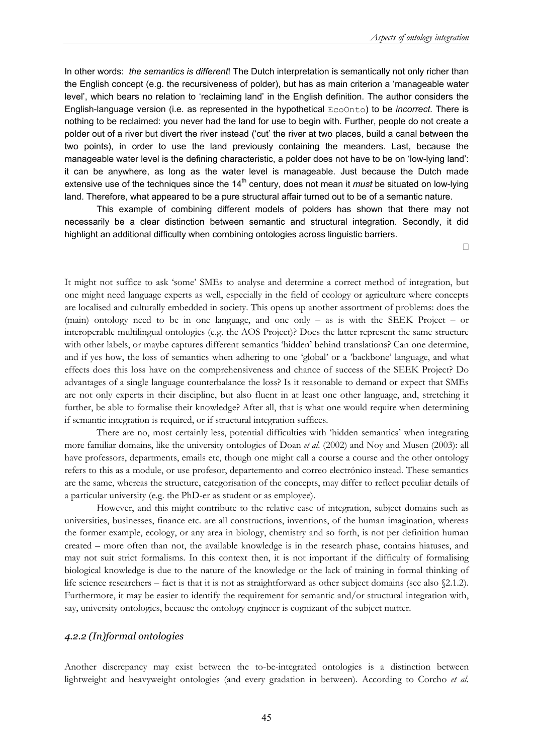In other words: *the semantics is different*! The Dutch interpretation is semantically not only richer than the English concept (e.g. the recursiveness of polder), but has as main criterion a 'manageable water level', which bears no relation to 'reclaiming land' in the English definition. The author considers the English-language version (i.e. as represented in the hypothetical EcoOnto) to be *incorrect*. There is nothing to be reclaimed: you never had the land for use to begin with. Further, people do not create a polder out of a river but divert the river instead ('cut' the river at two places, build a canal between the two points), in order to use the land previously containing the meanders. Last, because the manageable water level is the defining characteristic, a polder does not have to be on 'low-lying land': it can be anywhere, as long as the water level is manageable. Just because the Dutch made extensive use of the techniques since the 14<sup>th</sup> century, does not mean it *must* be situated on low-lying land. Therefore, what appeared to be a pure structural affair turned out to be of a semantic nature.

This example of combining different models of polders has shown that there may not necessarily be a clear distinction between semantic and structural integration. Secondly, it did highlight an additional difficulty when combining ontologies across linguistic barriers.

 $\Box$ 

It might not suffice to ask 'some' SMEs to analyse and determine a correct method of integration, but one might need language experts as well, especially in the field of ecology or agriculture where concepts are localised and culturally embedded in society. This opens up another assortment of problems: does the (main) ontology need to be in one language, and one only – as is with the SEEK Project – or interoperable multilingual ontologies (e.g. the AOS Project)? Does the latter represent the same structure with other labels, or maybe captures different semantics 'hidden' behind translations? Can one determine, and if yes how, the loss of semantics when adhering to one 'global' or a 'backbone' language, and what effects does this loss have on the comprehensiveness and chance of success of the SEEK Project? Do advantages of a single language counterbalance the loss? Is it reasonable to demand or expect that SMEs are not only experts in their discipline, but also fluent in at least one other language, and, stretching it further, be able to formalise their knowledge? After all, that is what one would require when determining if semantic integration is required, or if structural integration suffices.

There are no, most certainly less, potential difficulties with 'hidden semantics' when integrating more familiar domains, like the university ontologies of Doan *et al.* (2002) and Noy and Musen (2003): all have professors, departments, emails etc, though one might call a course a course and the other ontology refers to this as a module, or use profesor, departemento and correo electrónico instead. These semantics are the same, whereas the structure, categorisation of the concepts, may differ to reflect peculiar details of a particular university (e.g. the PhD-er as student or as employee).

However, and this might contribute to the relative ease of integration, subject domains such as universities, businesses, finance etc. are all constructions, inventions, of the human imagination, whereas the former example, ecology, or any area in biology, chemistry and so forth, is not per definition human created – more often than not, the available knowledge is in the research phase, contains hiatuses, and may not suit strict formalisms. In this context then, it is not important if the difficulty of formalising biological knowledge is due to the nature of the knowledge or the lack of training in formal thinking of life science researchers – fact is that it is not as straightforward as other subject domains (see also §2.1.2). Furthermore, it may be easier to identify the requirement for semantic and/or structural integration with, say, university ontologies, because the ontology engineer is cognizant of the subject matter.

### *4.2.2 (In)formal ontologies*

Another discrepancy may exist between the to-be-integrated ontologies is a distinction between lightweight and heavyweight ontologies (and every gradation in between). According to Corcho *et al.*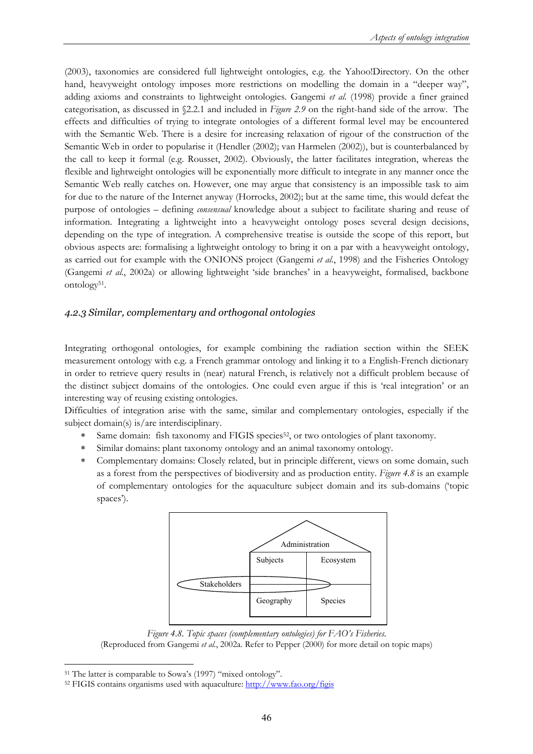(2003), taxonomies are considered full lightweight ontologies, e.g. the Yahoo!Directory. On the other hand, heavyweight ontology imposes more restrictions on modelling the domain in a "deeper way", adding axioms and constraints to lightweight ontologies. Gangemi *et al*. (1998) provide a finer grained categorisation, as discussed in §2.2.1 and included in *Figure 2.9* on the right-hand side of the arrow. The effects and difficulties of trying to integrate ontologies of a different formal level may be encountered with the Semantic Web. There is a desire for increasing relaxation of rigour of the construction of the Semantic Web in order to popularise it (Hendler (2002); van Harmelen (2002)), but is counterbalanced by the call to keep it formal (e.g. Rousset, 2002). Obviously, the latter facilitates integration, whereas the flexible and lightweight ontologies will be exponentially more difficult to integrate in any manner once the Semantic Web really catches on. However, one may argue that consistency is an impossible task to aim for due to the nature of the Internet anyway (Horrocks, 2002); but at the same time, this would defeat the purpose of ontologies – defining *consensual* knowledge about a subject to facilitate sharing and reuse of information. Integrating a lightweight into a heavyweight ontology poses several design decisions, depending on the type of integration. A comprehensive treatise is outside the scope of this report, but obvious aspects are: formalising a lightweight ontology to bring it on a par with a heavyweight ontology, as carried out for example with the ONIONS project (Gangemi *et al.*, 1998) and the Fisheries Ontology (Gangemi *et al.*, 2002a) or allowing lightweight 'side branches' in a heavyweight, formalised, backbone ontology<sup>51</sup>.

## *4.2.3 Similar, complementary and orthogonal ontologies*

Integrating orthogonal ontologies, for example combining the radiation section within the SEEK measurement ontology with e.g. a French grammar ontology and linking it to a English-French dictionary in order to retrieve query results in (near) natural French, is relatively not a difficult problem because of the distinct subject domains of the ontologies. One could even argue if this is 'real integration' or an interesting way of reusing existing ontologies.

Difficulties of integration arise with the same, similar and complementary ontologies, especially if the subject domain(s) is/are interdisciplinary.

- Same domain: fish taxonomy and FIGIS species<sup>52</sup>, or two ontologies of plant taxonomy.
- ∗ Similar domains: plant taxonomy ontology and an animal taxonomy ontology.
- ∗ Complementary domains: Closely related, but in principle different, views on some domain, such as a forest from the perspectives of biodiversity and as production entity. *Figure 4.8* is an example of complementary ontologies for the aquaculture subject domain and its sub-domains ('topic spaces').



*Figure 4.8. Topic spaces (complementary ontologies) for FAO's Fisheries.*  (Reproduced from Gangemi *et al.*, 2002a. Refer to Pepper (2000) for more detail on topic maps)

 $\overline{a}$ 

<sup>&</sup>lt;sup>51</sup> The latter is comparable to Sowa's (1997) "mixed ontology".<br><sup>52</sup> FIGIS contains organisms used with aquaculture: http://www.fao.org/figis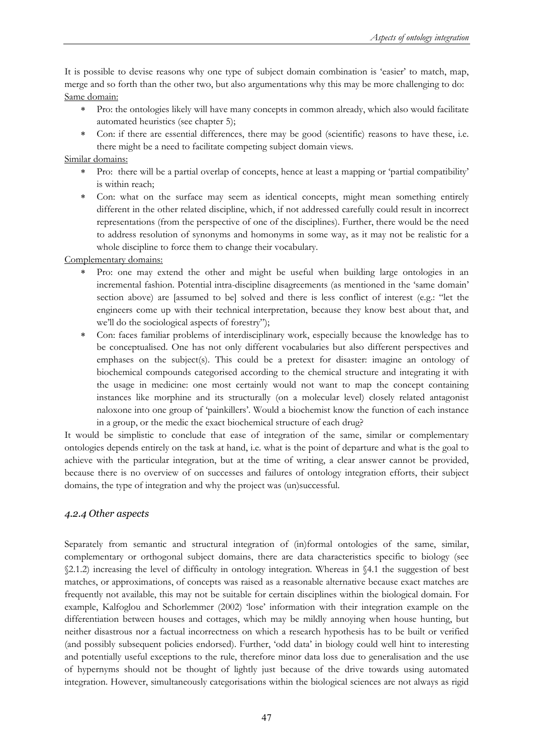It is possible to devise reasons why one type of subject domain combination is 'easier' to match, map, merge and so forth than the other two, but also argumentations why this may be more challenging to do: Same domain:

- ∗ Pro: the ontologies likely will have many concepts in common already, which also would facilitate automated heuristics (see chapter 5);
- Con: if there are essential differences, there may be good (scientific) reasons to have these, i.e. there might be a need to facilitate competing subject domain views.

Similar domains:

- Pro: there will be a partial overlap of concepts, hence at least a mapping or 'partial compatibility' is within reach;
- ∗ Con: what on the surface may seem as identical concepts, might mean something entirely different in the other related discipline, which, if not addressed carefully could result in incorrect representations (from the perspective of one of the disciplines). Further, there would be the need to address resolution of synonyms and homonyms in some way, as it may not be realistic for a whole discipline to force them to change their vocabulary.

Complementary domains:

- Pro: one may extend the other and might be useful when building large ontologies in an incremental fashion. Potential intra-discipline disagreements (as mentioned in the 'same domain' section above) are [assumed to be] solved and there is less conflict of interest (e.g.: "let the engineers come up with their technical interpretation, because they know best about that, and we'll do the sociological aspects of forestry");
- Con: faces familiar problems of interdisciplinary work, especially because the knowledge has to be conceptualised. One has not only different vocabularies but also different perspectives and emphases on the subject(s). This could be a pretext for disaster: imagine an ontology of biochemical compounds categorised according to the chemical structure and integrating it with the usage in medicine: one most certainly would not want to map the concept containing instances like morphine and its structurally (on a molecular level) closely related antagonist naloxone into one group of 'painkillers'. Would a biochemist know the function of each instance in a group, or the medic the exact biochemical structure of each drug?

It would be simplistic to conclude that ease of integration of the same, similar or complementary ontologies depends entirely on the task at hand, i.e. what is the point of departure and what is the goal to achieve with the particular integration, but at the time of writing, a clear answer cannot be provided, because there is no overview of on successes and failures of ontology integration efforts, their subject domains, the type of integration and why the project was (un)successful.

### *4.2.4 Other aspects*

Separately from semantic and structural integration of (in)formal ontologies of the same, similar, complementary or orthogonal subject domains, there are data characteristics specific to biology (see §2.1.2) increasing the level of difficulty in ontology integration. Whereas in §4.1 the suggestion of best matches, or approximations, of concepts was raised as a reasonable alternative because exact matches are frequently not available, this may not be suitable for certain disciplines within the biological domain. For example, Kalfoglou and Schorlemmer (2002) 'lose' information with their integration example on the differentiation between houses and cottages, which may be mildly annoying when house hunting, but neither disastrous nor a factual incorrectness on which a research hypothesis has to be built or verified (and possibly subsequent policies endorsed). Further, 'odd data' in biology could well hint to interesting and potentially useful exceptions to the rule, therefore minor data loss due to generalisation and the use of hypernyms should not be thought of lightly just because of the drive towards using automated integration. However, simultaneously categorisations within the biological sciences are not always as rigid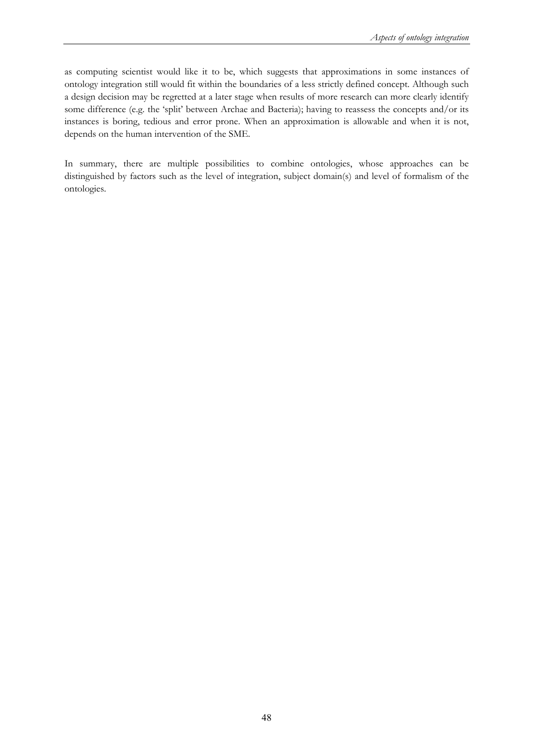as computing scientist would like it to be, which suggests that approximations in some instances of ontology integration still would fit within the boundaries of a less strictly defined concept. Although such a design decision may be regretted at a later stage when results of more research can more clearly identify some difference (e.g. the 'split' between Archae and Bacteria); having to reassess the concepts and/or its instances is boring, tedious and error prone. When an approximation is allowable and when it is not, depends on the human intervention of the SME.

In summary, there are multiple possibilities to combine ontologies, whose approaches can be distinguished by factors such as the level of integration, subject domain(s) and level of formalism of the ontologies.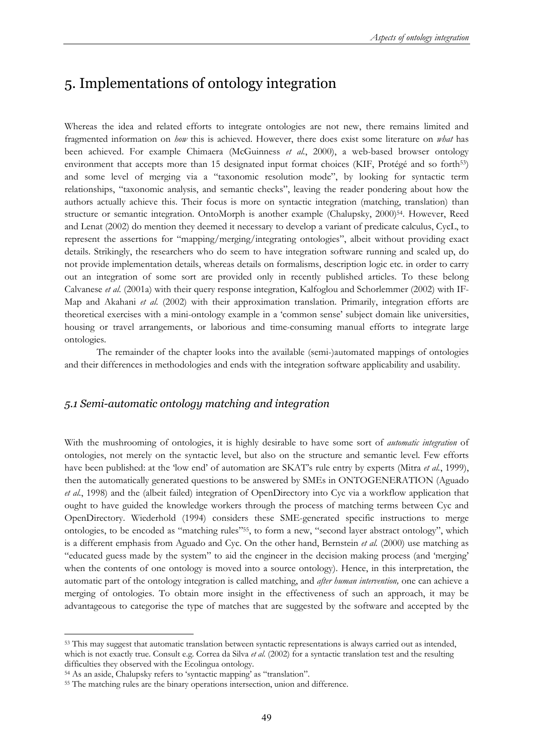# 5. Implementations of ontology integration

Whereas the idea and related efforts to integrate ontologies are not new, there remains limited and fragmented information on *how* this is achieved. However, there does exist some literature on *what* has been achieved. For example Chimaera (McGuinness *et al.*, 2000), a web-based browser ontology environment that accepts more than 15 designated input format choices (KIF, Protégé and so forth<sup>53</sup>) and some level of merging via a "taxonomic resolution mode", by looking for syntactic term relationships, "taxonomic analysis, and semantic checks", leaving the reader pondering about how the authors actually achieve this. Their focus is more on syntactic integration (matching, translation) than structure or semantic integration. OntoMorph is another example (Chalupsky, 2000)<sup>54</sup>. However, Reed and Lenat (2002) do mention they deemed it necessary to develop a variant of predicate calculus, CycL, to represent the assertions for "mapping/merging/integrating ontologies", albeit without providing exact details. Strikingly, the researchers who do seem to have integration software running and scaled up, do not provide implementation details, whereas details on formalisms, description logic etc. in order to carry out an integration of some sort are provided only in recently published articles. To these belong Calvanese *et al.* (2001a) with their query response integration, Kalfoglou and Schorlemmer (2002) with IF-Map and Akahani *et al.* (2002) with their approximation translation. Primarily, integration efforts are theoretical exercises with a mini-ontology example in a 'common sense' subject domain like universities, housing or travel arrangements, or laborious and time-consuming manual efforts to integrate large ontologies.

The remainder of the chapter looks into the available (semi-)automated mappings of ontologies and their differences in methodologies and ends with the integration software applicability and usability.

### *5.1 Semi-automatic ontology matching and integration*

With the mushrooming of ontologies, it is highly desirable to have some sort of *automatic integration* of ontologies, not merely on the syntactic level, but also on the structure and semantic level. Few efforts have been published: at the 'low end' of automation are SKAT's rule entry by experts (Mitra *et al.*, 1999), then the automatically generated questions to be answered by SMEs in ONTOGENERATION (Aguado *et al.*, 1998) and the (albeit failed) integration of OpenDirectory into Cyc via a workflow application that ought to have guided the knowledge workers through the process of matching terms between Cyc and OpenDirectory. Wiederhold (1994) considers these SME-generated specific instructions to merge ontologies, to be encoded as "matching rules"55, to form a new, "second layer abstract ontology", which is a different emphasis from Aguado and Cyc. On the other hand, Bernstein *et al.* (2000) use matching as "educated guess made by the system" to aid the engineer in the decision making process (and 'merging' when the contents of one ontology is moved into a source ontology). Hence, in this interpretation, the automatic part of the ontology integration is called matching, and *after human intervention,* one can achieve a merging of ontologies. To obtain more insight in the effectiveness of such an approach, it may be advantageous to categorise the type of matches that are suggested by the software and accepted by the

<sup>53</sup> This may suggest that automatic translation between syntactic representations is always carried out as intended, which is not exactly true. Consult e.g. Correa da Silva *et al.* (2002) for a syntactic translation test and the resulting difficulties they observed with the Ecolingua ontology.<br><sup>54</sup> As an aside, Chalupsky refers to 'syntactic mapping' as "translation".<br><sup>55</sup> The matching rules are the binary operations intersection, union and difference.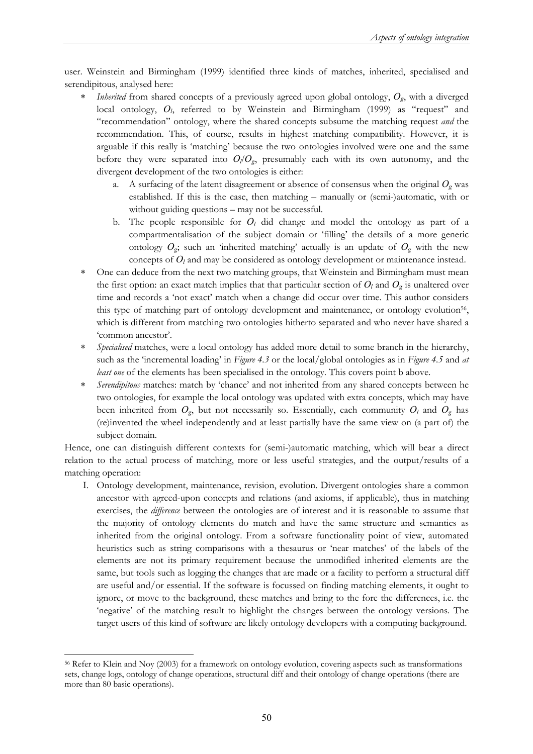user. Weinstein and Birmingham (1999) identified three kinds of matches, inherited, specialised and serendipitous, analysed here:

- ∗ *Inherited* from shared concepts of a previously agreed upon global ontology, *Og*, with a diverged local ontology, *Ol*, referred to by Weinstein and Birmingham (1999) as "request" and "recommendation" ontology, where the shared concepts subsume the matching request *and* the recommendation. This, of course, results in highest matching compatibility. However, it is arguable if this really is 'matching' because the two ontologies involved were one and the same before they were separated into  $O_1/O_g$ , presumably each with its own autonomy, and the divergent development of the two ontologies is either:
	- a. A surfacing of the latent disagreement or absence of consensus when the original  $O<sub>g</sub>$  was established. If this is the case, then matching – manually or (semi-)automatic, with or without guiding questions – may not be successful.
	- b. The people responsible for  $O_l$  did change and model the ontology as part of a compartmentalisation of the subject domain or 'filling' the details of a more generic ontology  $O_g$ ; such an 'inherited matching' actually is an update of  $O_g$  with the new concepts of *Ol* and may be considered as ontology development or maintenance instead.
- ∗ One can deduce from the next two matching groups, that Weinstein and Birmingham must mean the first option: an exact match implies that that particular section of  $O_l$  and  $O_g$  is unaltered over time and records a 'not exact' match when a change did occur over time. This author considers this type of matching part of ontology development and maintenance, or ontology evolution56, which is different from matching two ontologies hitherto separated and who never have shared a 'common ancestor'.
- ∗ *Specialised* matches, were a local ontology has added more detail to some branch in the hierarchy, such as the 'incremental loading' in *Figure 4.3* or the local/global ontologies as in *Figure 4.5* and *at least one* of the elements has been specialised in the ontology. This covers point b above.
- *Serendipitous* matches: match by 'chance' and not inherited from any shared concepts between he two ontologies, for example the local ontology was updated with extra concepts, which may have been inherited from  $O_g$ , but not necessarily so. Essentially, each community  $O_l$  and  $O_g$  has (re)invented the wheel independently and at least partially have the same view on (a part of) the subject domain.

Hence, one can distinguish different contexts for (semi-)automatic matching, which will bear a direct relation to the actual process of matching, more or less useful strategies, and the output/results of a matching operation:

I. Ontology development, maintenance, revision, evolution. Divergent ontologies share a common ancestor with agreed-upon concepts and relations (and axioms, if applicable), thus in matching exercises, the *difference* between the ontologies are of interest and it is reasonable to assume that the majority of ontology elements do match and have the same structure and semantics as inherited from the original ontology. From a software functionality point of view, automated heuristics such as string comparisons with a thesaurus or 'near matches' of the labels of the elements are not its primary requirement because the unmodified inherited elements are the same, but tools such as logging the changes that are made or a facility to perform a structural diff are useful and/or essential. If the software is focussed on finding matching elements, it ought to ignore, or move to the background, these matches and bring to the fore the differences, i.e. the 'negative' of the matching result to highlight the changes between the ontology versions. The target users of this kind of software are likely ontology developers with a computing background.

 $\overline{a}$ 56 Refer to Klein and Noy (2003) for a framework on ontology evolution, covering aspects such as transformations sets, change logs, ontology of change operations, structural diff and their ontology of change operations (there are more than 80 basic operations).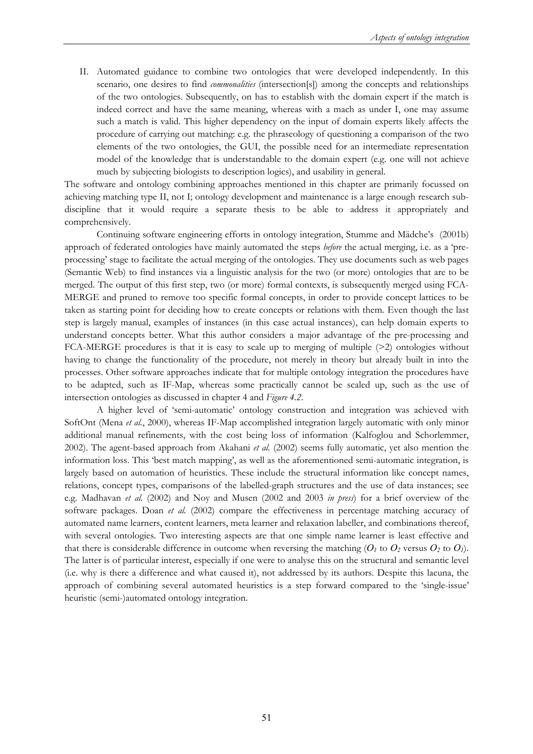II. Automated guidance to combine two ontologies that were developed independently. In this scenario, one desires to find *commonalities* (intersection[s]) among the concepts and relationships of the two ontologies. Subsequently, on has to establish with the domain expert if the match is indeed correct and have the same meaning, whereas with a mach as under I, one may assume such a match is valid. This higher dependency on the input of domain experts likely affects the procedure of carrying out matching: e.g. the phraseology of questioning a comparison of the two elements of the two ontologies, the GUI, the possible need for an intermediate representation model of the knowledge that is understandable to the domain expert (e.g. one will not achieve much by subjecting biologists to description logics), and usability in general.

The software and ontology combining approaches mentioned in this chapter are primarily focussed on achieving matching type II, not I; ontology development and maintenance is a large enough research subdiscipline that it would require a separate thesis to be able to address it appropriately and comprehensively.

Continuing software engineering efforts in ontology integration, Stumme and Mädche's (2001b) approach of federated ontologies have mainly automated the steps *before* the actual merging, i.e. as a 'preprocessing' stage to facilitate the actual merging of the ontologies. They use documents such as web pages (Semantic Web) to find instances via a linguistic analysis for the two (or more) ontologies that are to be merged. The output of this first step, two (or more) formal contexts, is subsequently merged using FCA-MERGE and pruned to remove too specific formal concepts, in order to provide concept lattices to be taken as starting point for deciding how to create concepts or relations with them. Even though the last step is largely manual, examples of instances (in this case actual instances), can help domain experts to understand concepts better. What this author considers a major advantage of the pre-processing and FCA-MERGE procedures is that it is easy to scale up to merging of multiple  $(>2)$  ontologies without having to change the functionality of the procedure, not merely in theory but already built in into the processes. Other software approaches indicate that for multiple ontology integration the procedures have to be adapted, such as IF-Map, whereas some practically cannot be scaled up, such as the use of intersection ontologies as discussed in chapter 4 and *Figure 4.2*.

A higher level of 'semi-automatic' ontology construction and integration was achieved with SoftOnt (Mena *et al.*, 2000), whereas IF-Map accomplished integration largely automatic with only minor additional manual refinements, with the cost being loss of information (Kalfoglou and Schorlemmer, 2002). The agent-based approach from Akahani *et al.* (2002) seems fully automatic, yet also mention the information loss. This 'best match mapping', as well as the aforementioned semi-automatic integration, is largely based on automation of heuristics. These include the structural information like concept names, relations, concept types, comparisons of the labelled-graph structures and the use of data instances; see e.g. Madhavan *et al.* (2002) and Noy and Musen (2002 and 2003 *in press*) for a brief overview of the software packages. Doan *et al.* (2002) compare the effectiveness in percentage matching accuracy of automated name learners, content learners, meta learner and relaxation labeller, and combinations thereof, with several ontologies. Two interesting aspects are that one simple name learner is least effective and that there is considerable difference in outcome when reversing the matching  $(O_l$  to  $O_2$  versus  $O_2$  to  $O_l$ ). The latter is of particular interest, especially if one were to analyse this on the structural and semantic level (i.e. why is there a difference and what caused it), not addressed by its authors. Despite this lacuna, the approach of combining several automated heuristics is a step forward compared to the 'single-issue' heuristic (semi-)automated ontology integration.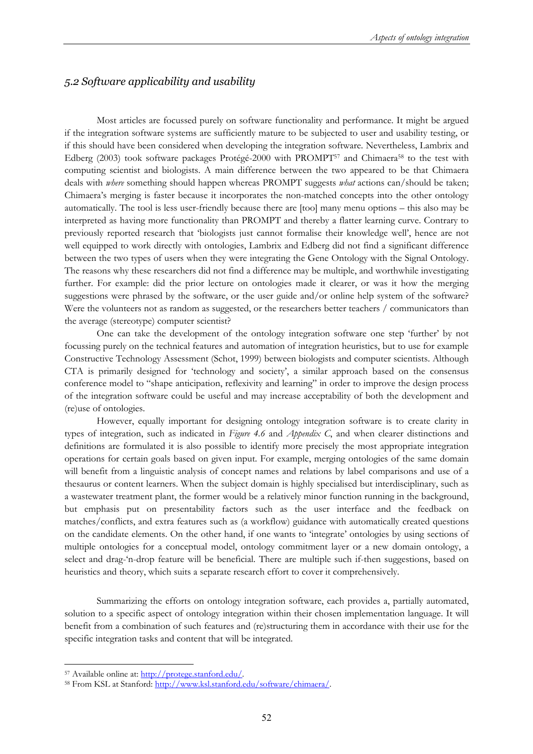### *5.2 Software applicability and usability*

Most articles are focussed purely on software functionality and performance. It might be argued if the integration software systems are sufficiently mature to be subjected to user and usability testing, or if this should have been considered when developing the integration software. Nevertheless, Lambrix and Edberg (2003) took software packages Protégé-2000 with PROMPT<sup>57</sup> and Chimaera<sup>58</sup> to the test with computing scientist and biologists. A main difference between the two appeared to be that Chimaera deals with *where* something should happen whereas PROMPT suggests *what* actions can/should be taken; Chimaera's merging is faster because it incorporates the non-matched concepts into the other ontology automatically. The tool is less user-friendly because there are [too] many menu options – this also may be interpreted as having more functionality than PROMPT and thereby a flatter learning curve. Contrary to previously reported research that 'biologists just cannot formalise their knowledge well', hence are not well equipped to work directly with ontologies, Lambrix and Edberg did not find a significant difference between the two types of users when they were integrating the Gene Ontology with the Signal Ontology. The reasons why these researchers did not find a difference may be multiple, and worthwhile investigating further. For example: did the prior lecture on ontologies made it clearer, or was it how the merging suggestions were phrased by the software, or the user guide and/or online help system of the software? Were the volunteers not as random as suggested, or the researchers better teachers / communicators than the average (stereotype) computer scientist?

One can take the development of the ontology integration software one step 'further' by not focussing purely on the technical features and automation of integration heuristics, but to use for example Constructive Technology Assessment (Schot, 1999) between biologists and computer scientists. Although CTA is primarily designed for 'technology and society', a similar approach based on the consensus conference model to "shape anticipation, reflexivity and learning" in order to improve the design process of the integration software could be useful and may increase acceptability of both the development and (re)use of ontologies.

However, equally important for designing ontology integration software is to create clarity in types of integration, such as indicated in *Figure 4.6* and *Appendix C*, and when clearer distinctions and definitions are formulated it is also possible to identify more precisely the most appropriate integration operations for certain goals based on given input. For example, merging ontologies of the same domain will benefit from a linguistic analysis of concept names and relations by label comparisons and use of a thesaurus or content learners. When the subject domain is highly specialised but interdisciplinary, such as a wastewater treatment plant, the former would be a relatively minor function running in the background, but emphasis put on presentability factors such as the user interface and the feedback on matches/conflicts, and extra features such as (a workflow) guidance with automatically created questions on the candidate elements. On the other hand, if one wants to 'integrate' ontologies by using sections of multiple ontologies for a conceptual model, ontology commitment layer or a new domain ontology, a select and drag-'n-drop feature will be beneficial. There are multiple such if-then suggestions, based on heuristics and theory, which suits a separate research effort to cover it comprehensively.

Summarizing the efforts on ontology integration software, each provides a, partially automated, solution to a specific aspect of ontology integration within their chosen implementation language. It will benefit from a combination of such features and (re)structuring them in accordance with their use for the specific integration tasks and content that will be integrated.

<sup>57</sup> Available online at: http://protege.stanford.edu/.<br>58 From KSL at Stanford: http://www.ksl.stanford.edu/software/chimaera/.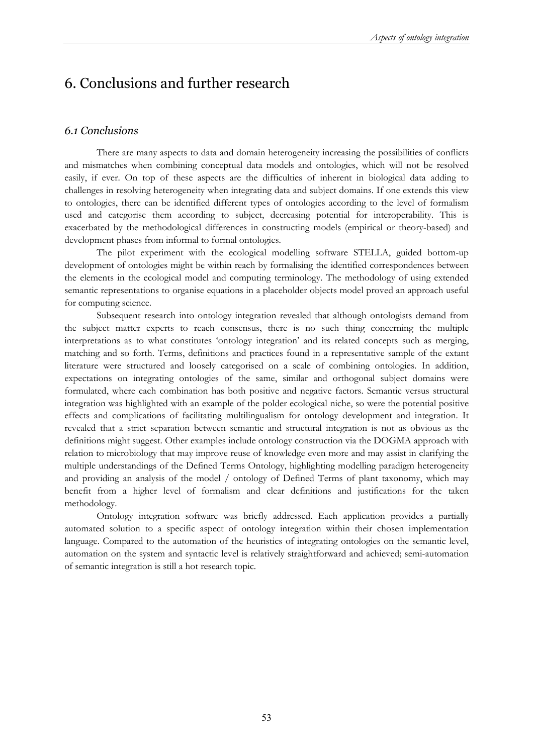# 6. Conclusions and further research

### *6.1 Conclusions*

There are many aspects to data and domain heterogeneity increasing the possibilities of conflicts and mismatches when combining conceptual data models and ontologies, which will not be resolved easily, if ever. On top of these aspects are the difficulties of inherent in biological data adding to challenges in resolving heterogeneity when integrating data and subject domains. If one extends this view to ontologies, there can be identified different types of ontologies according to the level of formalism used and categorise them according to subject, decreasing potential for interoperability. This is exacerbated by the methodological differences in constructing models (empirical or theory-based) and development phases from informal to formal ontologies.

 The pilot experiment with the ecological modelling software STELLA, guided bottom-up development of ontologies might be within reach by formalising the identified correspondences between the elements in the ecological model and computing terminology. The methodology of using extended semantic representations to organise equations in a placeholder objects model proved an approach useful for computing science.

Subsequent research into ontology integration revealed that although ontologists demand from the subject matter experts to reach consensus, there is no such thing concerning the multiple interpretations as to what constitutes 'ontology integration' and its related concepts such as merging, matching and so forth. Terms, definitions and practices found in a representative sample of the extant literature were structured and loosely categorised on a scale of combining ontologies. In addition, expectations on integrating ontologies of the same, similar and orthogonal subject domains were formulated, where each combination has both positive and negative factors. Semantic versus structural integration was highlighted with an example of the polder ecological niche, so were the potential positive effects and complications of facilitating multilingualism for ontology development and integration. It revealed that a strict separation between semantic and structural integration is not as obvious as the definitions might suggest. Other examples include ontology construction via the DOGMA approach with relation to microbiology that may improve reuse of knowledge even more and may assist in clarifying the multiple understandings of the Defined Terms Ontology, highlighting modelling paradigm heterogeneity and providing an analysis of the model / ontology of Defined Terms of plant taxonomy, which may benefit from a higher level of formalism and clear definitions and justifications for the taken methodology.

Ontology integration software was briefly addressed. Each application provides a partially automated solution to a specific aspect of ontology integration within their chosen implementation language. Compared to the automation of the heuristics of integrating ontologies on the semantic level, automation on the system and syntactic level is relatively straightforward and achieved; semi-automation of semantic integration is still a hot research topic.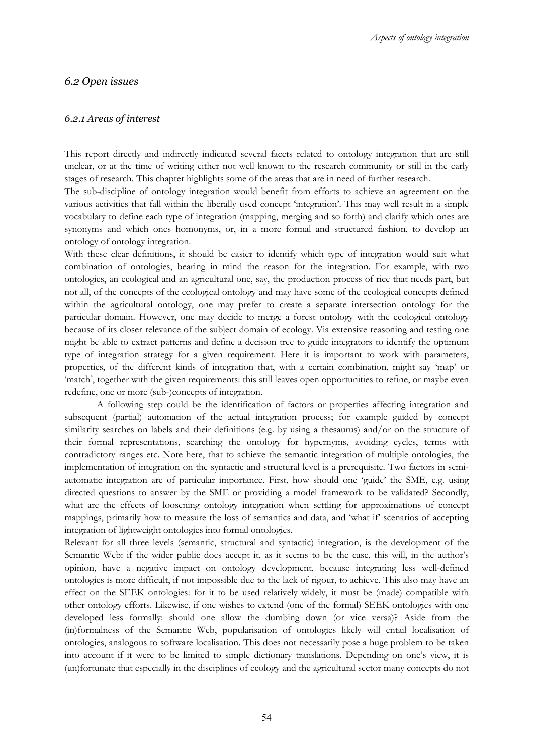### *6.2 Open issues*

### *6.2.1 Areas of interest*

This report directly and indirectly indicated several facets related to ontology integration that are still unclear, or at the time of writing either not well known to the research community or still in the early stages of research. This chapter highlights some of the areas that are in need of further research.

The sub-discipline of ontology integration would benefit from efforts to achieve an agreement on the various activities that fall within the liberally used concept 'integration'. This may well result in a simple vocabulary to define each type of integration (mapping, merging and so forth) and clarify which ones are synonyms and which ones homonyms, or, in a more formal and structured fashion, to develop an ontology of ontology integration.

With these clear definitions, it should be easier to identify which type of integration would suit what combination of ontologies, bearing in mind the reason for the integration. For example, with two ontologies, an ecological and an agricultural one, say, the production process of rice that needs part, but not all, of the concepts of the ecological ontology and may have some of the ecological concepts defined within the agricultural ontology, one may prefer to create a separate intersection ontology for the particular domain. However, one may decide to merge a forest ontology with the ecological ontology because of its closer relevance of the subject domain of ecology. Via extensive reasoning and testing one might be able to extract patterns and define a decision tree to guide integrators to identify the optimum type of integration strategy for a given requirement. Here it is important to work with parameters, properties, of the different kinds of integration that, with a certain combination, might say 'map' or 'match', together with the given requirements: this still leaves open opportunities to refine, or maybe even redefine, one or more (sub-)concepts of integration.

A following step could be the identification of factors or properties affecting integration and subsequent (partial) automation of the actual integration process; for example guided by concept similarity searches on labels and their definitions (e.g. by using a thesaurus) and/or on the structure of their formal representations, searching the ontology for hypernyms, avoiding cycles, terms with contradictory ranges etc. Note here, that to achieve the semantic integration of multiple ontologies, the implementation of integration on the syntactic and structural level is a prerequisite. Two factors in semiautomatic integration are of particular importance. First, how should one 'guide' the SME, e.g. using directed questions to answer by the SME or providing a model framework to be validated? Secondly, what are the effects of loosening ontology integration when settling for approximations of concept mappings, primarily how to measure the loss of semantics and data, and 'what if' scenarios of accepting integration of lightweight ontologies into formal ontologies.

Relevant for all three levels (semantic, structural and syntactic) integration, is the development of the Semantic Web: if the wider public does accept it, as it seems to be the case, this will, in the author's opinion, have a negative impact on ontology development, because integrating less well-defined ontologies is more difficult, if not impossible due to the lack of rigour, to achieve. This also may have an effect on the SEEK ontologies: for it to be used relatively widely, it must be (made) compatible with other ontology efforts. Likewise, if one wishes to extend (one of the formal) SEEK ontologies with one developed less formally: should one allow the dumbing down (or vice versa)? Aside from the (in)formalness of the Semantic Web, popularisation of ontologies likely will entail localisation of ontologies, analogous to software localisation. This does not necessarily pose a huge problem to be taken into account if it were to be limited to simple dictionary translations. Depending on one's view, it is (un)fortunate that especially in the disciplines of ecology and the agricultural sector many concepts do not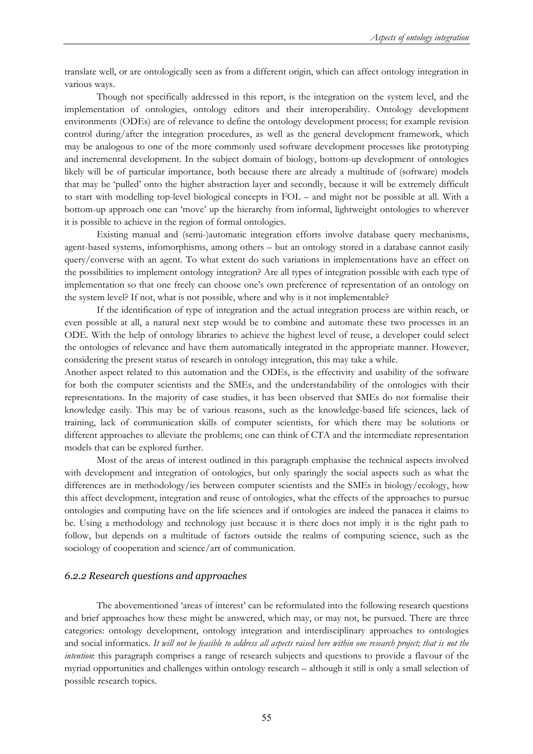translate well, or are ontologically seen as from a different origin, which can affect ontology integration in various ways.

Though not specifically addressed in this report, is the integration on the system level, and the implementation of ontologies, ontology editors and their interoperability. Ontology development environments (ODEs) are of relevance to define the ontology development process; for example revision control during/after the integration procedures, as well as the general development framework, which may be analogous to one of the more commonly used software development processes like prototyping and incremental development. In the subject domain of biology, bottom-up development of ontologies likely will be of particular importance, both because there are already a multitude of (software) models that may be 'pulled' onto the higher abstraction layer and secondly, because it will be extremely difficult to start with modelling top-level biological concepts in FOL – and might not be possible at all. With a bottom-up approach one can 'move' up the hierarchy from informal, lightweight ontologies to wherever it is possible to achieve in the region of formal ontologies.

Existing manual and (semi-)automatic integration efforts involve database query mechanisms, agent-based systems, infomorphisms, among others – but an ontology stored in a database cannot easily query/converse with an agent. To what extent do such variations in implementations have an effect on the possibilities to implement ontology integration? Are all types of integration possible with each type of implementation so that one freely can choose one's own preference of representation of an ontology on the system level? If not, what is not possible, where and why is it not implementable?

If the identification of type of integration and the actual integration process are within reach, or even possible at all, a natural next step would be to combine and automate these two processes in an ODE. With the help of ontology libraries to achieve the highest level of reuse, a developer could select the ontologies of relevance and have them automatically integrated in the appropriate manner. However, considering the present status of research in ontology integration, this may take a while.

Another aspect related to this automation and the ODEs, is the effectivity and usability of the software for both the computer scientists and the SMEs, and the understandability of the ontologies with their representations. In the majority of case studies, it has been observed that SMEs do not formalise their knowledge easily. This may be of various reasons, such as the knowledge-based life sciences, lack of training, lack of communication skills of computer scientists, for which there may be solutions or different approaches to alleviate the problems; one can think of CTA and the intermediate representation models that can be explored further.

 Most of the areas of interest outlined in this paragraph emphasise the technical aspects involved with development and integration of ontologies, but only sparingly the social aspects such as what the differences are in methodology/ies between computer scientists and the SMEs in biology/ecology, how this affect development, integration and reuse of ontologies, what the effects of the approaches to pursue ontologies and computing have on the life sciences and if ontologies are indeed the panacea it claims to be. Using a methodology and technology just because it is there does not imply it is the right path to follow, but depends on a multitude of factors outside the realms of computing science, such as the sociology of cooperation and science/art of communication.

### *6.2.2 Research questions and approaches*

The abovementioned 'areas of interest' can be reformulated into the following research questions and brief approaches how these might be answered, which may, or may not, be pursued. There are three categories: ontology development, ontology integration and interdisciplinary approaches to ontologies and social informatics. *It will not be feasible to address all aspects raised here within one research project; that is not the intention*: this paragraph comprises a range of research subjects and questions to provide a flavour of the myriad opportunities and challenges within ontology research – although it still is only a small selection of possible research topics.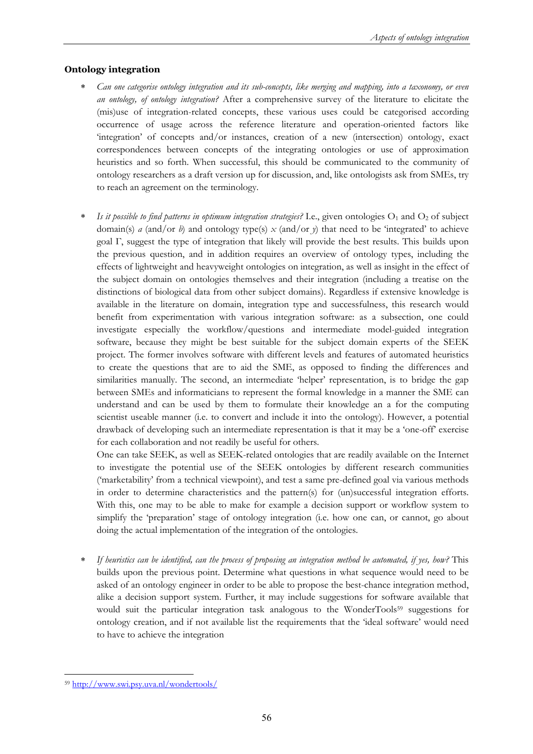### **Ontology integration**

- ∗ *Can one categorise ontology integration and its sub-concepts, like merging and mapping, into a taxonomy, or even an ontology, of ontology integration?* After a comprehensive survey of the literature to elicitate the (mis)use of integration-related concepts, these various uses could be categorised according occurrence of usage across the reference literature and operation-oriented factors like 'integration' of concepts and/or instances, creation of a new (intersection) ontology, exact correspondences between concepts of the integrating ontologies or use of approximation heuristics and so forth. When successful, this should be communicated to the community of ontology researchers as a draft version up for discussion, and, like ontologists ask from SMEs, try to reach an agreement on the terminology.
- *Is it possible to find patterns in optimum integration strategies?* I.e., given ontologies O<sub>1</sub> and O<sub>2</sub> of subject domain(s) *a* (and/or *b*) and ontology type(s)  $x$  (and/or *y*) that need to be 'integrated' to achieve goal Γ, suggest the type of integration that likely will provide the best results. This builds upon the previous question, and in addition requires an overview of ontology types, including the effects of lightweight and heavyweight ontologies on integration, as well as insight in the effect of the subject domain on ontologies themselves and their integration (including a treatise on the distinctions of biological data from other subject domains). Regardless if extensive knowledge is available in the literature on domain, integration type and successfulness, this research would benefit from experimentation with various integration software: as a subsection, one could investigate especially the workflow/questions and intermediate model-guided integration software, because they might be best suitable for the subject domain experts of the SEEK project. The former involves software with different levels and features of automated heuristics to create the questions that are to aid the SME, as opposed to finding the differences and similarities manually. The second, an intermediate 'helper' representation, is to bridge the gap between SMEs and informaticians to represent the formal knowledge in a manner the SME can understand and can be used by them to formulate their knowledge an a for the computing scientist useable manner (i.e. to convert and include it into the ontology). However, a potential drawback of developing such an intermediate representation is that it may be a 'one-off' exercise for each collaboration and not readily be useful for others.

One can take SEEK, as well as SEEK-related ontologies that are readily available on the Internet to investigate the potential use of the SEEK ontologies by different research communities ('marketability' from a technical viewpoint), and test a same pre-defined goal via various methods in order to determine characteristics and the pattern(s) for (un)successful integration efforts. With this, one may to be able to make for example a decision support or workflow system to simplify the 'preparation' stage of ontology integration (i.e. how one can, or cannot, go about doing the actual implementation of the integration of the ontologies.

∗ *If heuristics can be identified, can the process of proposing an integration method be automated, if yes, how?* This builds upon the previous point. Determine what questions in what sequence would need to be asked of an ontology engineer in order to be able to propose the best-chance integration method, alike a decision support system. Further, it may include suggestions for software available that would suit the particular integration task analogous to the WonderTools<sup>59</sup> suggestions for ontology creation, and if not available list the requirements that the 'ideal software' would need to have to achieve the integration

 $\overline{a}$ <sup>59</sup> http://www.swi.psy.uva.nl/wondertools/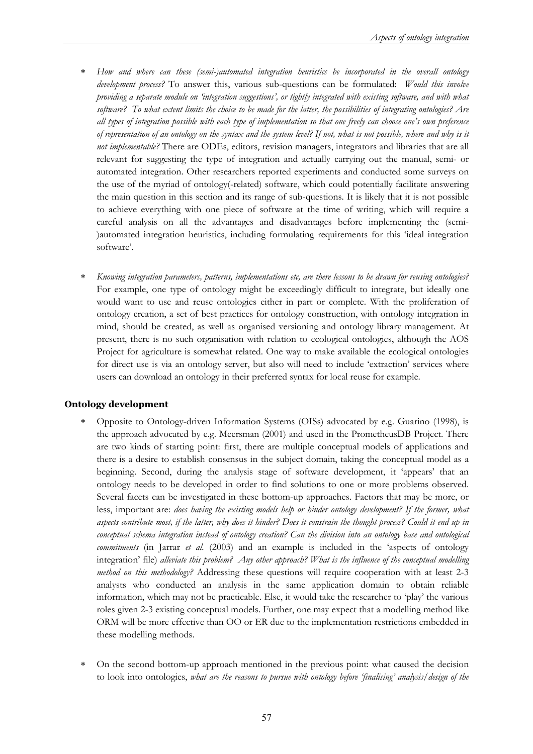- ∗ *How and where can these (semi-)automated integration heuristics be incorporated in the overall ontology development process?* To answer this, various sub-questions can be formulated: *Would this involve providing a separate module on 'integration suggestions', or tightly integrated with existing software, and with what software? To what extent limits the choice to be made for the latter, the possibilities of integrating ontologies? Are all types of integration possible with each type of implementation so that one freely can choose one's own preference of representation of an ontology on the syntax and the system level? If not, what is not possible, where and why is it not implementable?* There are ODEs, editors, revision managers, integrators and libraries that are all relevant for suggesting the type of integration and actually carrying out the manual, semi- or automated integration. Other researchers reported experiments and conducted some surveys on the use of the myriad of ontology(-related) software, which could potentially facilitate answering the main question in this section and its range of sub-questions. It is likely that it is not possible to achieve everything with one piece of software at the time of writing, which will require a careful analysis on all the advantages and disadvantages before implementing the (semi- )automated integration heuristics, including formulating requirements for this 'ideal integration software'.
- ∗ *Knowing integration parameters, patterns, implementations etc, are there lessons to be drawn for reusing ontologies?* For example, one type of ontology might be exceedingly difficult to integrate, but ideally one would want to use and reuse ontologies either in part or complete. With the proliferation of ontology creation, a set of best practices for ontology construction, with ontology integration in mind, should be created, as well as organised versioning and ontology library management. At present, there is no such organisation with relation to ecological ontologies, although the AOS Project for agriculture is somewhat related. One way to make available the ecological ontologies for direct use is via an ontology server, but also will need to include 'extraction' services where users can download an ontology in their preferred syntax for local reuse for example.

### **Ontology development**

- ∗ Opposite to Ontology-driven Information Systems (OISs) advocated by e.g. Guarino (1998), is the approach advocated by e.g. Meersman (2001) and used in the PrometheusDB Project. There are two kinds of starting point: first, there are multiple conceptual models of applications and there is a desire to establish consensus in the subject domain, taking the conceptual model as a beginning. Second, during the analysis stage of software development, it 'appears' that an ontology needs to be developed in order to find solutions to one or more problems observed. Several facets can be investigated in these bottom-up approaches. Factors that may be more, or less, important are: *does having the existing models help or hinder ontology development? If the former, what aspects contribute most, if the latter, why does it hinder? Does it constrain the thought process? Could it end up in conceptual schema integration instead of ontology creation? Can the division into an ontology base and ontological commitments* (in Jarrar *et al.* (2003) and an example is included in the 'aspects of ontology integration' file) *alleviate this problem? Any other approach? What is the influence of the conceptual modelling method on this methodology?* Addressing these questions will require cooperation with at least 2-3 analysts who conducted an analysis in the same application domain to obtain reliable information, which may not be practicable. Else, it would take the researcher to 'play' the various roles given 2-3 existing conceptual models. Further, one may expect that a modelling method like ORM will be more effective than OO or ER due to the implementation restrictions embedded in these modelling methods.
- ∗ On the second bottom-up approach mentioned in the previous point: what caused the decision to look into ontologies, *what are the reasons to pursue with ontology before 'finalising' analysis/design of the*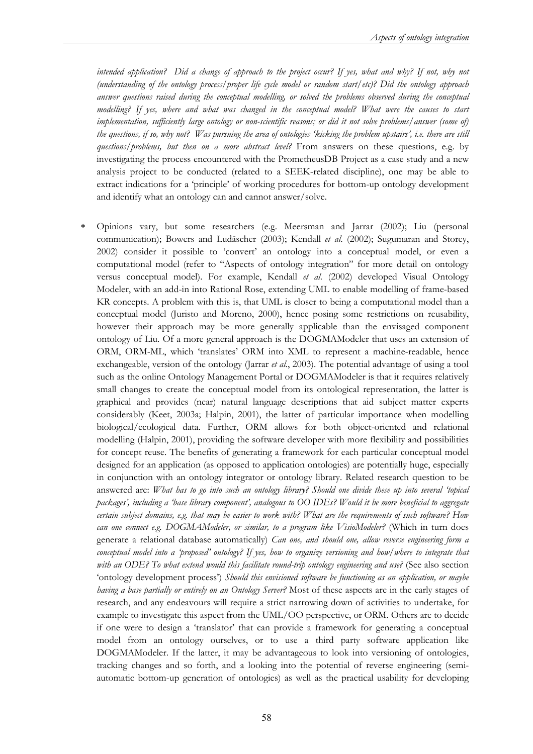*intended application? Did a change of approach to the project occur? If yes, what and why? If not, why not (understanding of the ontology process/proper life cycle model or random start/etc)? Did the ontology approach answer questions raised during the conceptual modelling, or solved the problems observed during the conceptual modelling? If yes, where and what was changed in the conceptual model? What were the causes to start implementation, sufficiently large ontology or non-scientific reasons; or did it not solve problems/answer (some of) the questions, if so, why not? Was pursuing the area of ontologies 'kicking the problem upstairs', i.e. there are still questions/problems, but then on a more abstract level?* From answers on these questions, e.g. by investigating the process encountered with the PrometheusDB Project as a case study and a new analysis project to be conducted (related to a SEEK-related discipline), one may be able to extract indications for a 'principle' of working procedures for bottom-up ontology development and identify what an ontology can and cannot answer/solve.

∗ Opinions vary, but some researchers (e.g. Meersman and Jarrar (2002); Liu (personal communication); Bowers and Ludäscher (2003); Kendall *et al*. (2002); Sugumaran and Storey, 2002) consider it possible to 'convert' an ontology into a conceptual model, or even a computational model (refer to "Aspects of ontology integration" for more detail on ontology versus conceptual model). For example, Kendall *et al*. (2002) developed Visual Ontology Modeler, with an add-in into Rational Rose, extending UML to enable modelling of frame-based KR concepts. A problem with this is, that UML is closer to being a computational model than a conceptual model (Juristo and Moreno, 2000), hence posing some restrictions on reusability, however their approach may be more generally applicable than the envisaged component ontology of Liu. Of a more general approach is the DOGMAModeler that uses an extension of ORM, ORM-ML, which 'translates' ORM into XML to represent a machine-readable, hence exchangeable, version of the ontology (Jarrar *et al*., 2003). The potential advantage of using a tool such as the online Ontology Management Portal or DOGMAModeler is that it requires relatively small changes to create the conceptual model from its ontological representation, the latter is graphical and provides (near) natural language descriptions that aid subject matter experts considerably (Keet, 2003a; Halpin, 2001), the latter of particular importance when modelling biological/ecological data. Further, ORM allows for both object-oriented and relational modelling (Halpin, 2001), providing the software developer with more flexibility and possibilities for concept reuse. The benefits of generating a framework for each particular conceptual model designed for an application (as opposed to application ontologies) are potentially huge, especially in conjunction with an ontology integrator or ontology library. Related research question to be answered are: *What has to go into such an ontology library? Should one divide these up into several 'topical packages', including a 'base library component', analogous to OO IDEs? Would it be more beneficial to aggregate certain subject domains, e.g. that may be easier to work with? What are the requirements of such software? How can one connect e.g. DOGMAModeler, or similar, to a program like VisioModeler?* (Which in turn does generate a relational database automatically) *Can one, and should one, allow reverse engineering form a conceptual model into a 'proposed' ontology? If yes, how to organize versioning and how/where to integrate that with an ODE? To what extend would this facilitate round-trip ontology engineering and use?* (See also section 'ontology development process') *Should this envisioned software be functioning as an application, or maybe having a base partially or entirely on an Ontology Server?* Most of these aspects are in the early stages of research, and any endeavours will require a strict narrowing down of activities to undertake, for example to investigate this aspect from the UML/OO perspective, or ORM. Others are to decide if one were to design a 'translator' that can provide a framework for generating a conceptual model from an ontology ourselves, or to use a third party software application like DOGMAModeler. If the latter, it may be advantageous to look into versioning of ontologies, tracking changes and so forth, and a looking into the potential of reverse engineering (semiautomatic bottom-up generation of ontologies) as well as the practical usability for developing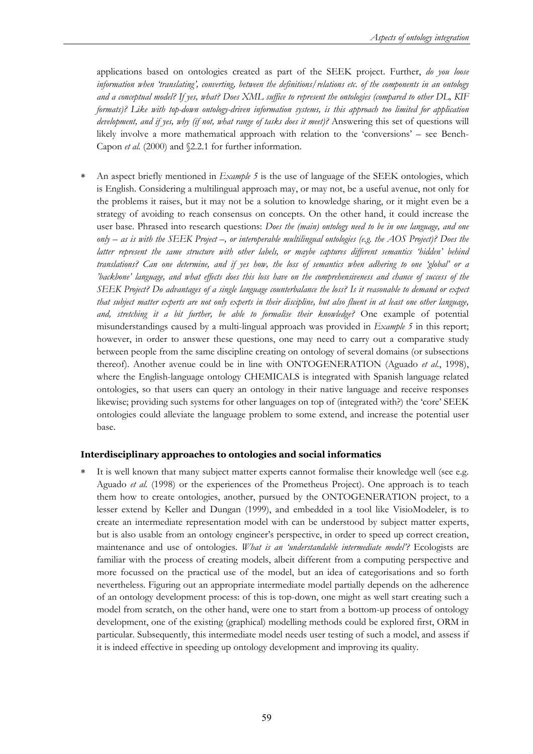applications based on ontologies created as part of the SEEK project. Further, *do you loose information when 'translating', converting, between the definitions/relations etc. of the components in an ontology and a conceptual model? If yes, what? Does XML suffice to represent the ontologies (compared to other DL, KIF formats)? Like with top-down ontology-driven information systems, is this approach too limited for application development, and if yes, why (if not, what range of tasks does it meet)?* Answering this set of questions will likely involve a more mathematical approach with relation to the 'conversions' – see Bench-Capon *et al.* (2000) and §2.2.1 for further information.

∗ An aspect briefly mentioned in *Example 5* is the use of language of the SEEK ontologies, which is English. Considering a multilingual approach may, or may not, be a useful avenue, not only for the problems it raises, but it may not be a solution to knowledge sharing, or it might even be a strategy of avoiding to reach consensus on concepts. On the other hand, it could increase the user base. Phrased into research questions: *Does the (main) ontology need to be in one language, and one only – as is with the SEEK Project –, or interoperable multilingual ontologies (e.g. the AOS Project)? Does the latter represent the same structure with other labels, or maybe captures different semantics 'hidden' behind translations? Can one determine, and if yes how, the loss of semantics when adhering to one 'global' or a 'backbone' language, and what effects does this loss have on the comprehensiveness and chance of success of the SEEK Project? Do advantages of a single language counterbalance the loss? Is it reasonable to demand or expect that subject matter experts are not only experts in their discipline, but also fluent in at least one other language, and, stretching it a bit further, be able to formalise their knowledge?* One example of potential misunderstandings caused by a multi-lingual approach was provided in *Example 5* in this report; however, in order to answer these questions, one may need to carry out a comparative study between people from the same discipline creating on ontology of several domains (or subsections thereof). Another avenue could be in line with ONTOGENERATION (Aguado *et al.*, 1998), where the English-language ontology CHEMICALS is integrated with Spanish language related ontologies, so that users can query an ontology in their native language and receive responses likewise; providing such systems for other languages on top of (integrated with?) the 'core' SEEK ontologies could alleviate the language problem to some extend, and increase the potential user base.

### **Interdisciplinary approaches to ontologies and social informatics**

It is well known that many subject matter experts cannot formalise their knowledge well (see e.g. Aguado *et al.* (1998) or the experiences of the Prometheus Project). One approach is to teach them how to create ontologies, another, pursued by the ONTOGENERATION project, to a lesser extend by Keller and Dungan (1999), and embedded in a tool like VisioModeler, is to create an intermediate representation model with can be understood by subject matter experts, but is also usable from an ontology engineer's perspective, in order to speed up correct creation, maintenance and use of ontologies. *What is an 'understandable intermediate model'?* Ecologists are familiar with the process of creating models, albeit different from a computing perspective and more focussed on the practical use of the model, but an idea of categorisations and so forth nevertheless. Figuring out an appropriate intermediate model partially depends on the adherence of an ontology development process: of this is top-down, one might as well start creating such a model from scratch, on the other hand, were one to start from a bottom-up process of ontology development, one of the existing (graphical) modelling methods could be explored first, ORM in particular. Subsequently, this intermediate model needs user testing of such a model, and assess if it is indeed effective in speeding up ontology development and improving its quality.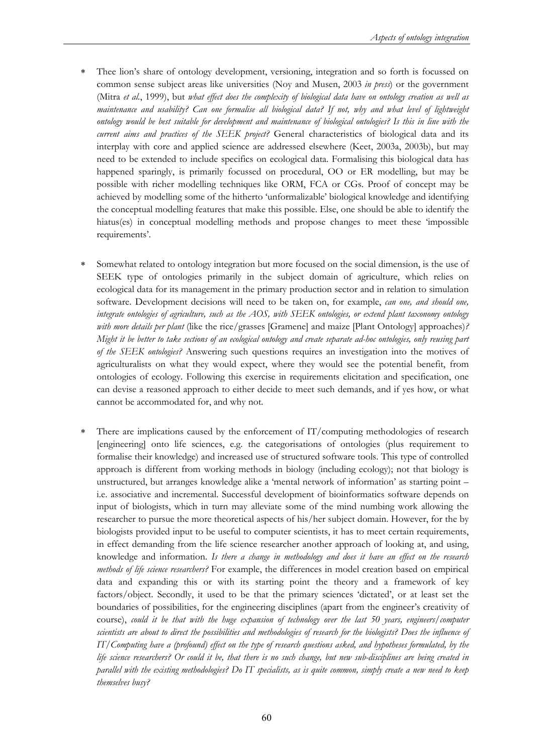- ∗ Thee lion's share of ontology development, versioning, integration and so forth is focussed on common sense subject areas like universities (Noy and Musen, 2003 *in press*) or the government (Mitra *et al.*, 1999), but *what effect does the complexity of biological data have on ontology creation as well as maintenance and usability? Can one formalise all biological data? If not, why and what level of lightweight ontology would be best suitable for development and maintenance of biological ontologies? Is this in line with the current aims and practices of the SEEK project?* General characteristics of biological data and its interplay with core and applied science are addressed elsewhere (Keet, 2003a, 2003b), but may need to be extended to include specifics on ecological data. Formalising this biological data has happened sparingly, is primarily focussed on procedural, OO or ER modelling, but may be possible with richer modelling techniques like ORM, FCA or CGs. Proof of concept may be achieved by modelling some of the hitherto 'unformalizable' biological knowledge and identifying the conceptual modelling features that make this possible. Else, one should be able to identify the hiatus(es) in conceptual modelling methods and propose changes to meet these 'impossible requirements'.
- Somewhat related to ontology integration but more focused on the social dimension, is the use of SEEK type of ontologies primarily in the subject domain of agriculture, which relies on ecological data for its management in the primary production sector and in relation to simulation software. Development decisions will need to be taken on, for example, *can one, and should one, integrate ontologies of agriculture, such as the AOS, with SEEK ontologies, or extend plant taxonomy ontology with more details per plant* (like the rice/grasses [Gramene] and maize [Plant Ontology] approaches)*? Might it be better to take sections of an ecological ontology and create separate ad-hoc ontologies, only reusing part of the SEEK ontologies?* Answering such questions requires an investigation into the motives of agriculturalists on what they would expect, where they would see the potential benefit, from ontologies of ecology. Following this exercise in requirements elicitation and specification, one can devise a reasoned approach to either decide to meet such demands, and if yes how, or what cannot be accommodated for, and why not.
- ∗ There are implications caused by the enforcement of IT/computing methodologies of research [engineering] onto life sciences, e.g. the categorisations of ontologies (plus requirement to formalise their knowledge) and increased use of structured software tools. This type of controlled approach is different from working methods in biology (including ecology); not that biology is unstructured, but arranges knowledge alike a 'mental network of information' as starting point – i.e. associative and incremental. Successful development of bioinformatics software depends on input of biologists, which in turn may alleviate some of the mind numbing work allowing the researcher to pursue the more theoretical aspects of his/her subject domain. However, for the by biologists provided input to be useful to computer scientists, it has to meet certain requirements, in effect demanding from the life science researcher another approach of looking at, and using, knowledge and information. *Is there a change in methodology and does it have an effect on the research methods of life science researchers?* For example, the differences in model creation based on empirical data and expanding this or with its starting point the theory and a framework of key factors/object. Secondly, it used to be that the primary sciences 'dictated', or at least set the boundaries of possibilities, for the engineering disciplines (apart from the engineer's creativity of course), *could it be that with the huge expansion of technology over the last 50 years, engineers/computer scientists are about to direct the possibilities and methodologies of research for the biologists? Does the influence of IT/Computing have a (profound) effect on the type of research questions asked, and hypotheses formulated, by the life science researchers? Or could it be, that there is no such change, but new sub-disciplines are being created in parallel with the existing methodologies? Do IT specialists, as is quite common, simply create a new need to keep themselves busy?*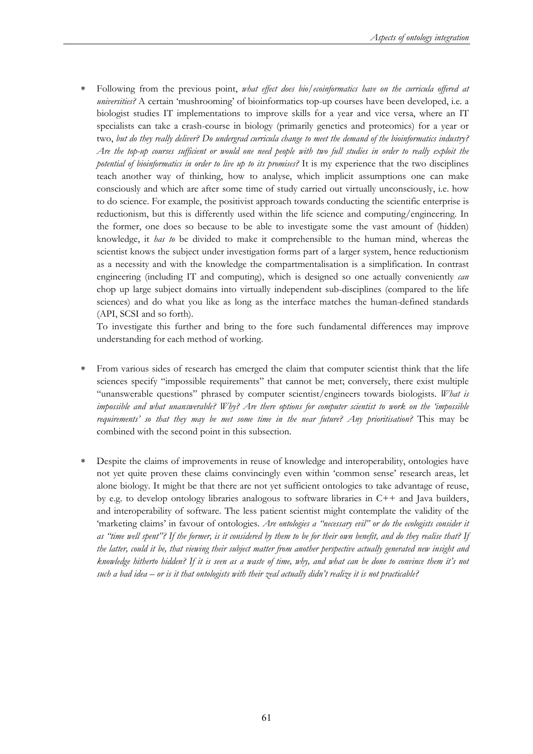∗ Following from the previous point, *what effect does bio/ecoinformatics have on the curricula offered at universities?* A certain 'mushrooming' of bioinformatics top-up courses have been developed, i.e. a biologist studies IT implementations to improve skills for a year and vice versa, where an IT specialists can take a crash-course in biology (primarily genetics and proteomics) for a year or two, *but do they really deliver? Do undergrad curricula change to meet the demand of the bioinformatics industry? Are the top-up courses sufficient or would one need people with two full studies in order to really exploit the potential of bioinformatics in order to live up to its promises?* It is my experience that the two disciplines teach another way of thinking, how to analyse, which implicit assumptions one can make consciously and which are after some time of study carried out virtually unconsciously, i.e. how to do science. For example, the positivist approach towards conducting the scientific enterprise is reductionism, but this is differently used within the life science and computing/engineering. In the former, one does so because to be able to investigate some the vast amount of (hidden) knowledge, it *has to* be divided to make it comprehensible to the human mind, whereas the scientist knows the subject under investigation forms part of a larger system, hence reductionism as a necessity and with the knowledge the compartmentalisation is a simplification. In contrast engineering (including IT and computing), which is designed so one actually conveniently *can* chop up large subject domains into virtually independent sub-disciplines (compared to the life sciences) and do what you like as long as the interface matches the human-defined standards (API, SCSI and so forth).

To investigate this further and bring to the fore such fundamental differences may improve understanding for each method of working.

- ∗ From various sides of research has emerged the claim that computer scientist think that the life sciences specify "impossible requirements" that cannot be met; conversely, there exist multiple "unanswerable questions" phrased by computer scientist/engineers towards biologists. *What is impossible and what unanswerable? Why? Are there options for computer scientist to work on the 'impossible requirements' so that they may be met some time in the near future? Any prioritisation?* This may be combined with the second point in this subsection.
- Despite the claims of improvements in reuse of knowledge and interoperability, ontologies have not yet quite proven these claims convincingly even within 'common sense' research areas, let alone biology. It might be that there are not yet sufficient ontologies to take advantage of reuse, by e.g. to develop ontology libraries analogous to software libraries in C++ and Java builders, and interoperability of software. The less patient scientist might contemplate the validity of the 'marketing claims' in favour of ontologies. *Are ontologies a "necessary evil" or do the ecologists consider it as "time well spent"? If the former, is it considered by them to be for their own benefit, and do they realise that? If the latter, could it be, that viewing their subject matter from another perspective actually generated new insight and knowledge hitherto hidden? If it is seen as a waste of time, why, and what can be done to convince them it's not such a bad idea – or is it that ontologists with their zeal actually didn't realize it is not practicable?*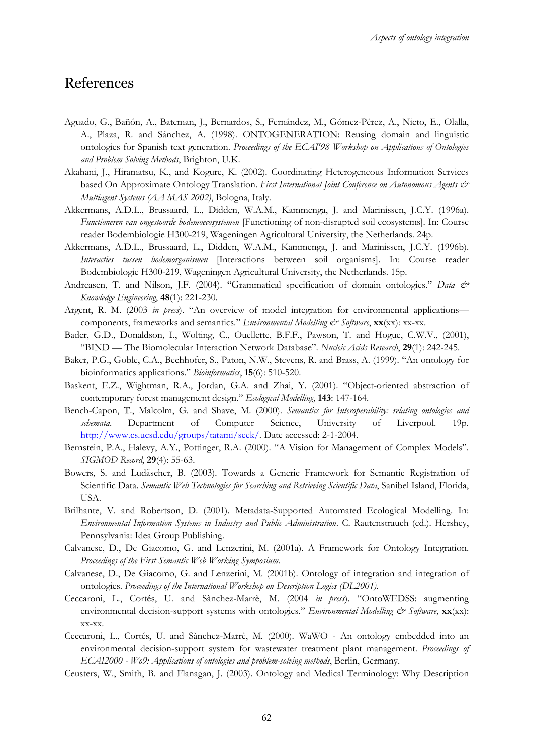# References

- Aguado, G., Bañón, A., Bateman, J., Bernardos, S., Fernández, M., Gómez-Pérez, A., Nieto, E., Olalla, A., Plaza, R. and Sánchez, A. (1998). ONTOGENERATION: Reusing domain and linguistic ontologies for Spanish text generation. *Proceedings of the ECAI'98 Workshop on Applications of Ontologies and Problem Solving Methods*, Brighton, U.K.
- Akahani, J., Hiramatsu, K., and Kogure, K. (2002). Coordinating Heterogeneous Information Services based On Approximate Ontology Translation. *First International Joint Conference on Autonomous Agents & Multiagent Systems (AA MAS 2002)*, Bologna, Italy.
- Akkermans, A.D.L., Brussaard, L., Didden, W.A.M., Kammenga, J. and Marinissen, J.C.Y. (1996a). *Functioneren van ongestoorde bodemoecosystemen* [Functioning of non-disrupted soil ecosystems]. In: Course reader Bodembiologie H300-219, Wageningen Agricultural University, the Netherlands. 24p.
- Akkermans, A.D.L., Brussaard, L., Didden, W.A.M., Kammenga, J. and Marinissen, J.C.Y. (1996b). *Interacties tussen bodemorganismen* [Interactions between soil organisms]. In: Course reader Bodembiologie H300-219, Wageningen Agricultural University, the Netherlands. 15p.
- Andreasen, T. and Nilson, J.F. (2004). "Grammatical specification of domain ontologies." *Data & Knowledge Engineering*, **48**(1): 221-230.
- Argent, R. M. (2003 *in press*). "An overview of model integration for environmental applications–– components, frameworks and semantics." *Environmental Modelling & Software*, **xx**(xx): xx-xx.
- Bader, G.D., Donaldson, I., Wolting, C., Ouellette, B.F.F., Pawson, T. and Hogue, C.W.V., (2001), "BIND — The Biomolecular Interaction Network Database". *Nucleic Acids Research*, **29**(1): 242-245.
- Baker, P.G., Goble, C.A., Bechhofer, S., Paton, N.W., Stevens, R. and Brass, A. (1999). "An ontology for bioinformatics applications." *Bioinformatics*, **15**(6): 510-520.
- Baskent, E.Z., Wightman, R.A., Jordan, G.A. and Zhai, Y. (2001). "Object-oriented abstraction of contemporary forest management design." *Ecological Modelling*, **143**: 147-164.
- Bench-Capon, T., Malcolm, G. and Shave, M. (2000). *Semantics for Interoperability: relating ontologies and schemata*. Department of Computer Science, University of Liverpool. 19p. http://www.cs.ucsd.edu/groups/tatami/seek/. Date accessed: 2-1-2004.
- Bernstein, P.A., Halevy, A.Y., Pottinger, R.A. (2000). "A Vision for Management of Complex Models". *SIGMOD Record*, **29**(4): 55-63.
- Bowers, S. and Ludäscher, B. (2003). Towards a Generic Framework for Semantic Registration of Scientific Data. *Semantic Web Technologies for Searching and Retrieving Scientific Data*, Sanibel Island, Florida, USA.
- Brilhante, V. and Robertson, D. (2001). Metadata-Supported Automated Ecological Modelling. In: *Environmental Information Systems in Industry and Public Administration*. C. Rautenstrauch (ed.). Hershey, Pennsylvania: Idea Group Publishing.
- Calvanese, D., De Giacomo, G. and Lenzerini, M. (2001a). A Framework for Ontology Integration. *Proceedings of the First Semantic Web Working Symposium.*
- Calvanese, D., De Giacomo, G. and Lenzerini, M. (2001b). Ontology of integration and integration of ontologies. *Proceedings of the International Workshop on Description Logics (DL2001).*
- Ceccaroni, L., Cortés, U. and Sànchez-Marrè, M. (2004 *in press*). "OntoWEDSS: augmenting environmental decision-support systems with ontologies." *Environmental Modelling & Software*, **xx**(xx): xx-xx.
- Ceccaroni, L., Cortés, U. and Sànchez-Marrè, M. (2000). WaWO An ontology embedded into an environmental decision-support system for wastewater treatment plant management. *Proceedings of ECAI2000 - Wo9: Applications of ontologies and problem-solving methods*, Berlin, Germany.
- Ceusters, W., Smith, B. and Flanagan, J. (2003). Ontology and Medical Terminology: Why Description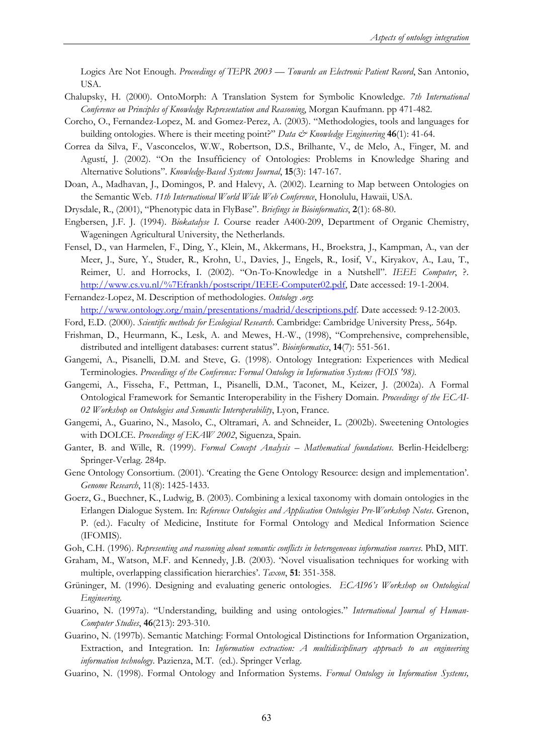Logics Are Not Enough. *Proceedings of TEPR 2003 — Towards an Electronic Patient Record*, San Antonio, USA.

- Chalupsky, H. (2000). OntoMorph: A Translation System for Symbolic Knowledge. *7th International Conference on Principles of Knowledge Representation and Reasoning*, Morgan Kaufmann. pp 471-482.
- Corcho, O., Fernandez-Lopez, M. and Gomez-Perez, A. (2003). "Methodologies, tools and languages for building ontologies. Where is their meeting point?" *Data & Knowledge Engineering* **46**(1): 41-64.
- Correa da Silva, F., Vasconcelos, W.W., Robertson, D.S., Brilhante, V., de Melo, A., Finger, M. and Agustí, J. (2002). "On the Insufficiency of Ontologies: Problems in Knowledge Sharing and Alternative Solutions". *Knowledge-Based Systems Journal*, **15**(3): 147-167.
- Doan, A., Madhavan, J., Domingos, P. and Halevy, A. (2002). Learning to Map between Ontologies on the Semantic Web. *11th International World Wide Web Conference*, Honolulu, Hawaii, USA.
- Drysdale, R., (2001), "Phenotypic data in FlyBase". *Briefings in Bioinformatics*, **2**(1): 68-80.
- Engbersen, J.F. J. (1994). *Biokatalyse I*. Course reader A400-209, Department of Organic Chemistry, Wageningen Agricultural University, the Netherlands.
- Fensel, D., van Harmelen, F., Ding, Y., Klein, M., Akkermans, H., Broekstra, J., Kampman, A., van der Meer, J., Sure, Y., Studer, R., Krohn, U., Davies, J., Engels, R., Iosif, V., Kiryakov, A., Lau, T., Reimer, U. and Horrocks, I. (2002). "On-To-Knowledge in a Nutshell". *IEEE Computer*, ?. http://www.cs.vu.nl/%7Efrankh/postscript/IEEE-Computer02.pdf, Date accessed: 19-1-2004.

Fernandez-Lopez, M. Description of methodologies. *Ontology .org*: http://www.ontology.org/main/presentations/madrid/descriptions.pdf. Date accessed: 9-12-2003.

- Ford, E.D. (2000). *Scientific methods for Ecological Research*. Cambridge: Cambridge University Press,. 564p.
- Frishman, D., Heurmann, K., Lesk, A. and Mewes, H.-W., (1998), "Comprehensive, comprehensible, distributed and intelligent databases: current status". *Bioinformatics*, **14**(7): 551-561.
- Gangemi, A., Pisanelli, D.M. and Steve, G. (1998). Ontology Integration: Experiences with Medical Terminologies. *Proceedings of the Conference: Formal Ontology in Information Systems (FOIS '98)*.
- Gangemi, A., Fisseha, F., Pettman, I., Pisanelli, D.M., Taconet, M., Keizer, J. (2002a). A Formal Ontological Framework for Semantic Interoperability in the Fishery Domain. *Proceedings of the ECAI-02 Workshop on Ontologies and Semantic Interoperability*, Lyon, France.
- Gangemi, A., Guarino, N., Masolo, C., Oltramari, A. and Schneider, L. (2002b). Sweetening Ontologies with DOLCE. *Proceedings of EKAW 2002*, Siguenza, Spain.
- Ganter, B. and Wille, R. (1999). *Formal Concept Analysis Mathematical foundations*. Berlin-Heidelberg: Springer-Verlag. 284p.
- Gene Ontology Consortium. (2001). 'Creating the Gene Ontology Resource: design and implementation'. *Genome Research*, 11(8): 1425-1433.
- Goerz, G., Buechner, K., Ludwig, B. (2003). Combining a lexical taxonomy with domain ontologies in the Erlangen Dialogue System. In: *Reference Ontologies and Application Ontologies Pre-Workshop Notes*. Grenon, P. (ed.). Faculty of Medicine, Institute for Formal Ontology and Medical Information Science (IFOMIS).
- Goh, C.H. (1996). *Representing and reasoning about semantic conflicts in heterogeneous information sources*. PhD, MIT.
- Graham, M., Watson, M.F. and Kennedy, J.B. (2003). 'Novel visualisation techniques for working with multiple, overlapping classification hierarchies'. *Taxon*, **51**: 351-358.
- Grüninger, M. (1996). Designing and evaluating generic ontologies. *ECAI96's Workshop on Ontological Engineering*.
- Guarino, N. (1997a). "Understanding, building and using ontologies." *International Journal of Human-Computer Studies*, **46**(213): 293-310.
- Guarino, N. (1997b). Semantic Matching: Formal Ontological Distinctions for Information Organization, Extraction, and Integration. In: *Information extraction: A multidisciplinary approach to an engineering information technology*. Pazienza, M.T. (ed.). Springer Verlag.
- Guarino, N. (1998). Formal Ontology and Information Systems. *Formal Ontology in Information Systems,*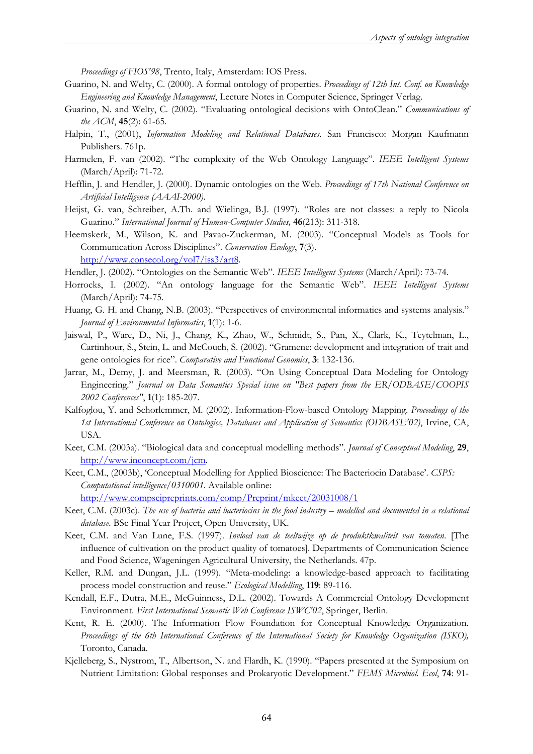*Proceedings of FIOS'98*, Trento, Italy, Amsterdam: IOS Press.

- Guarino, N. and Welty, C. (2000). A formal ontology of properties. *Proceedings of 12th Int. Conf. on Knowledge Engineering and Knowledge Management*, Lecture Notes in Computer Science, Springer Verlag.
- Guarino, N. and Welty, C. (2002). "Evaluating ontological decisions with OntoClean." *Communications of the ACM*, **45**(2): 61-65.
- Halpin, T., (2001), *Information Modeling and Relational Databases*. San Francisco: Morgan Kaufmann Publishers. 761p.
- Harmelen, F. van (2002). "The complexity of the Web Ontology Language". *IEEE Intelligent Systems* (March/April): 71-72.
- Hefflin, J. and Hendler, J. (2000). Dynamic ontologies on the Web. *Proceedings of 17th National Conference on Artificial Intelligence (AAAI-2000)*.
- Heijst, G. van, Schreiber, A.Th. and Wielinga, B.J. (1997). "Roles are not classes: a reply to Nicola Guarino." *International Journal of Human-Computer Studies,* **46**(213): 311-318.
- Heemskerk, M., Wilson, K. and Pavao-Zuckerman, M. (2003). "Conceptual Models as Tools for Communication Across Disciplines". *Conservation Ecology*, **7**(3). http://www.consecol.org/vol7/iss3/art8.

Hendler, J. (2002). "Ontologies on the Semantic Web". *IEEE Intelligent Systems* (March/April): 73-74.

- Horrocks, I. (2002). "An ontology language for the Semantic Web". *IEEE Intelligent Systems*  (March/April): 74-75.
- Huang, G. H. and Chang, N.B. (2003). "Perspectives of environmental informatics and systems analysis." *Journal of Environmental Informatics*, **1**(1): 1-6.
- Jaiswal, P., Ware, D., Ni, J., Chang, K., Zhao, W., Schmidt, S., Pan, X., Clark, K., Teytelman, L., Cartinhour, S., Stein, L. and McCouch, S. (2002). "Gramene: development and integration of trait and gene ontologies for rice". *Comparative and Functional Genomics*, **3**: 132-136.
- Jarrar, M., Demy, J. and Meersman, R. (2003). "On Using Conceptual Data Modeling for Ontology Engineering." *Journal on Data Semantics Special issue on "Best papers from the ER/ODBASE/COOPIS 2002 Conferences"*, **1**(1): 185-207.
- Kalfoglou, Y. and Schorlemmer, M. (2002). Information-Flow-based Ontology Mapping. *Proceedings of the 1st International Conference on Ontologies, Databases and Application of Semantics (ODBASE'02)*, Irvine, CA, USA.
- Keet, C.M. (2003a). "Biological data and conceptual modelling methods". *Journal of Conceptual Modeling*, **29**, http://www.inconcept.com/jcm.
- Keet, C.M., (2003b), 'Conceptual Modelling for Applied Bioscience: The Bacteriocin Database'. *CSPS: Computational intelligence/0310001*. Available online:

http://www.compscipreprints.com/comp/Preprint/mkeet/20031008/1

- Keet, C.M. (2003c). *The use of bacteria and bacteriocins in the food industry modelled and documented in a relational database*. BSc Final Year Project, Open University, UK.
- Keet, C.M. and Van Lune, F.S. (1997). *Invloed van de teeltwijze op de produktkwaliteit van tomaten*. [The influence of cultivation on the product quality of tomatoes]. Departments of Communication Science and Food Science, Wageningen Agricultural University, the Netherlands. 47p.
- Keller, R.M. and Dungan, J.L. (1999). "Meta-modeling: a knowledge-based approach to facilitating process model construction and reuse." *Ecological Modelling*, **119**: 89-116.
- Kendall, E.F., Dutra, M.E., McGuinness, D.L. (2002). Towards A Commercial Ontology Development Environment. *First International Semantic Web Conference ISWC'02*, Springer, Berlin.
- Kent, R. E. (2000). The Information Flow Foundation for Conceptual Knowledge Organization. *Proceedings of the 6th International Conference of the International Society for Knowledge Organization (ISKO),* Toronto, Canada.
- Kjelleberg, S., Nystrom, T., Albertson, N. and Flardh, K. (1990). "Papers presented at the Symposium on Nutrient Limitation: Global responses and Prokaryotic Development." *FEMS Microbiol. Ecol*, **74**: 91-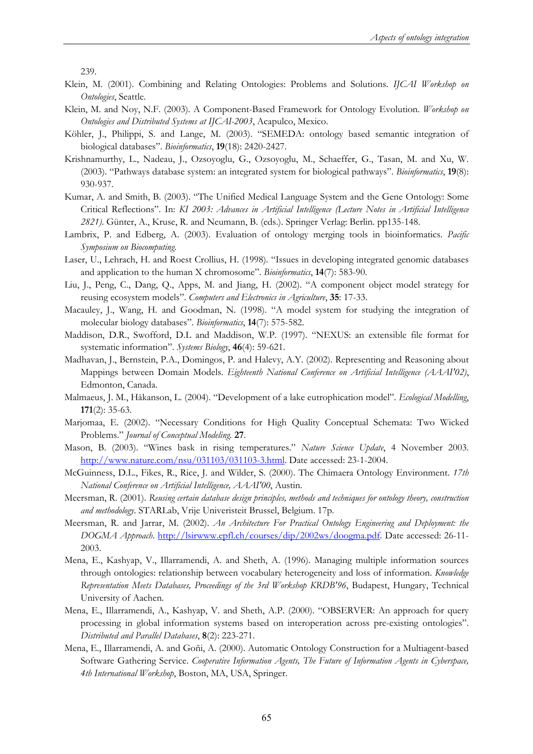239.

- Klein, M. (2001). Combining and Relating Ontologies: Problems and Solutions. *IJCAI Workshop on Ontologies*, Seattle.
- Klein, M. and Noy, N.F. (2003). A Component-Based Framework for Ontology Evolution. *Workshop on Ontologies and Distributed Systems at IJCAI-2003*, Acapulco, Mexico.
- Köhler, J., Philippi, S. and Lange, M. (2003). "SEMEDA: ontology based semantic integration of biological databases". *Bioinformatics*, **19**(18): 2420-2427.
- Krishnamurthy, L., Nadeau, J., Ozsoyoglu, G., Ozsoyoglu, M., Schaeffer, G., Tasan, M. and Xu, W. (2003). "Pathways database system: an integrated system for biological pathways". *Bioinformatics*, **19**(8): 930-937.
- Kumar, A. and Smith, B. (2003). "The Unified Medical Language System and the Gene Ontology: Some Critical Reflections". In: *KI 2003: Advances in Artificial Intelligence (Lecture Notes in Artificial Intelligence 2821)*. Günter, A., Kruse, R. and Neumann, B. (eds.). Springer Verlag: Berlin. pp135-148.
- Lambrix, P. and Edberg, A. (2003). Evaluation of ontology merging tools in bioinformatics. *Pacific Symposium on Biocomputing*.
- Laser, U., Lehrach, H. and Roest Crollius, H. (1998). "Issues in developing integrated genomic databases and application to the human X chromosome". *Bioinformatics*, **14**(7): 583-90.
- Liu, J., Peng, C., Dang, Q., Apps, M. and Jiang, H. (2002). "A component object model strategy for reusing ecosystem models". *Computers and Electronics in Agriculture*, **35**: 17-33.
- Macauley, J., Wang, H. and Goodman, N. (1998). "A model system for studying the integration of molecular biology databases". *Bioinformatics*, **14**(7): 575-582.
- Maddison, D.R., Swofford, D.L and Maddison, W.P. (1997). "NEXUS: an extensible file format for systematic information". *Systems Biology*, **46**(4): 59-621.
- Madhavan, J., Bernstein, P.A., Domingos, P. and Halevy, A.Y. (2002). Representing and Reasoning about Mappings between Domain Models. *Eighteenth National Conference on Artificial Intelligence (AAAI'02)*, Edmonton, Canada.
- Malmaeus, J. M., Håkanson, L. (2004). "Development of a lake eutrophication model". *Ecological Modelling*, **171**(2): 35-63.
- Marjomaa, E. (2002). "Necessary Conditions for High Quality Conceptual Schemata: Two Wicked Problems." *Journal of Conceptual Modeling.* **27**.
- Mason, B. (2003). "Wines bask in rising temperatures." *Nature Science Update*, 4 November 2003. http://www.nature.com/nsu/031103/031103-3.html. Date accessed: 23-1-2004.
- McGuinness, D.L., Fikes, R., Rice, J. and Wilder, S. (2000). The Chimaera Ontology Environment. *17th National Conference on Artificial Intelligence, AAAI'00*, Austin.
- Meersman, R. (2001). *Reusing certain database design principles, methods and techniques for ontology theory, construction and methodology*. STARLab, Vrije Univeristeit Brussel, Belgium. 17p.
- Meersman, R. and Jarrar, M. (2002). *An Architecture For Practical Ontology Engineering and Deployment: the DOGMA Approach*. http://lsirwww.epfl.ch/courses/dip/2002ws/doogma.pdf. Date accessed: 26-11- 2003.
- Mena, E., Kashyap, V., Illarramendi, A. and Sheth, A. (1996). Managing multiple information sources through ontologies: relationship between vocabulary heterogeneity and loss of information. *Knowledge Representation Meets Databases, Proceedings of the 3rd Workshop KRDB'96*, Budapest, Hungary, Technical University of Aachen.
- Mena, E., Illarramendi, A., Kashyap, V. and Sheth, A.P. (2000). "OBSERVER: An approach for query processing in global information systems based on interoperation across pre-existing ontologies". *Distributed and Parallel Databases*, **8**(2): 223-271.
- Mena, E., Illarramendi, A. and Goñi, A. (2000). Automatic Ontology Construction for a Multiagent-based Software Gathering Service. *Cooperative Information Agents, The Future of Information Agents in Cyberspace, 4th International Workshop*, Boston, MA, USA, Springer.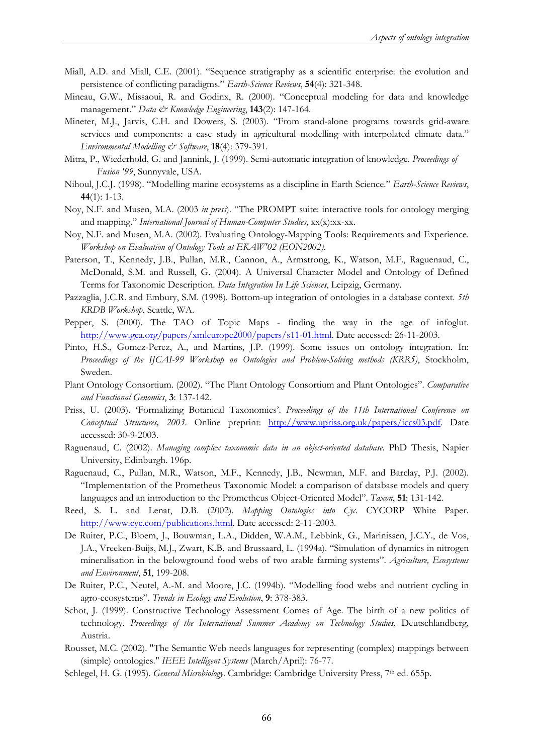- Miall, A.D. and Miall, C.E. (2001). "Sequence stratigraphy as a scientific enterprise: the evolution and persistence of conflicting paradigms." *Earth-Science Reviews*, **54**(4): 321-348.
- Mineau, G.W., Missaoui, R. and Godinx, R. (2000). "Conceptual modeling for data and knowledge management." *Data & Knowledge Engineering*, **143**(2): 147-164.
- Mineter, M.J., Jarvis, C.H. and Dowers, S. (2003). "From stand-alone programs towards grid-aware services and components: a case study in agricultural modelling with interpolated climate data." *Environmental Modelling & Software*, **18**(4): 379-391.
- Mitra, P., Wiederhold, G. and Jannink, J. (1999). Semi-automatic integration of knowledge. *Proceedings of Fusion '99*, Sunnyvale, USA.
- Nihoul, J.C.J. (1998). "Modelling marine ecosystems as a discipline in Earth Science." *Earth-Science Reviews*, **44**(1): 1-13.
- Noy, N.F. and Musen, M.A. (2003 *in press*). "The PROMPT suite: interactive tools for ontology merging and mapping." *International Journal of Human-Computer Studies*, xx(x):xx-xx.
- Noy, N.F. and Musen, M.A. (2002). Evaluating Ontology-Mapping Tools: Requirements and Experience. *Workshop on Evaluation of Ontology Tools at EKAW'02 (EON2002)*.
- Paterson, T., Kennedy, J.B., Pullan, M.R., Cannon, A., Armstrong, K., Watson, M.F., Raguenaud, C., McDonald, S.M. and Russell, G. (2004). A Universal Character Model and Ontology of Defined Terms for Taxonomic Description. *Data Integration In Life Sciences*, Leipzig, Germany.
- Pazzaglia, J.C.R. and Embury, S.M. (1998). Bottom-up integration of ontologies in a database context. *5th KRDB Workshop*, Seattle, WA.
- Pepper, S. (2000). The TAO of Topic Maps finding the way in the age of infoglut. http://www.gca.org/papers/xmleurope2000/papers/s11-01.html. Date accessed: 26-11-2003.
- Pinto, H.S., Gomez-Perez, A., and Martins, J.P. (1999). Some issues on ontology integration. In: *Proceedings of the IJCAI-99 Workshop on Ontologies and Problem-Solving methods (KRR5)*, Stockholm, Sweden.
- Plant Ontology Consortium. (2002). "The Plant Ontology Consortium and Plant Ontologies". *Comparative and Functional Genomics*, **3**: 137-142.
- Priss, U. (2003). 'Formalizing Botanical Taxonomies'. *Proceedings of the 11th International Conference on Conceptual Structures, 2003*. Online preprint: http://www.upriss.org.uk/papers/iccs03.pdf. Date accessed: 30-9-2003.
- Raguenaud, C. (2002). *Managing complex taxonomic data in an object-oriented database*. PhD Thesis, Napier University, Edinburgh. 196p.
- Raguenaud, C., Pullan, M.R., Watson, M.F., Kennedy, J.B., Newman, M.F. and Barclay, P.J. (2002). "Implementation of the Prometheus Taxonomic Model: a comparison of database models and query languages and an introduction to the Prometheus Object-Oriented Model". *Taxon*, **51**: 131-142.
- Reed, S. L. and Lenat, D.B. (2002). *Mapping Ontologies into Cyc*. CYCORP White Paper. http://www.cyc.com/publications.html. Date accessed: 2-11-2003.
- De Ruiter, P.C., Bloem, J., Bouwman, L.A., Didden, W.A.M., Lebbink, G., Marinissen, J.C.Y., de Vos, J.A., Vreeken-Buijs, M.J., Zwart, K.B. and Brussaard, L. (1994a). "Simulation of dynamics in nitrogen mineralisation in the belowground food webs of two arable farming systems". *Agriculture, Ecosystems and Environment*, **51**, 199-208.
- De Ruiter, P.C., Neutel, A.-M. and Moore, J.C. (1994b). "Modelling food webs and nutrient cycling in agro-ecosystems". *Trends in Ecology and Evolution*, **9**: 378-383.
- Schot, J. (1999). Constructive Technology Assessment Comes of Age. The birth of a new politics of technology. *Proceedings of the International Summer Academy on Technology Studies*, Deutschlandberg, Austria.
- Rousset, M.C. (2002). "The Semantic Web needs languages for representing (complex) mappings between (simple) ontologies." *IEEE Intelligent Systems* (March/April): 76-77.
- Schlegel, H. G. (1995). *General Microbiology*. Cambridge: Cambridge University Press, 7<sup>th</sup> ed. 655p.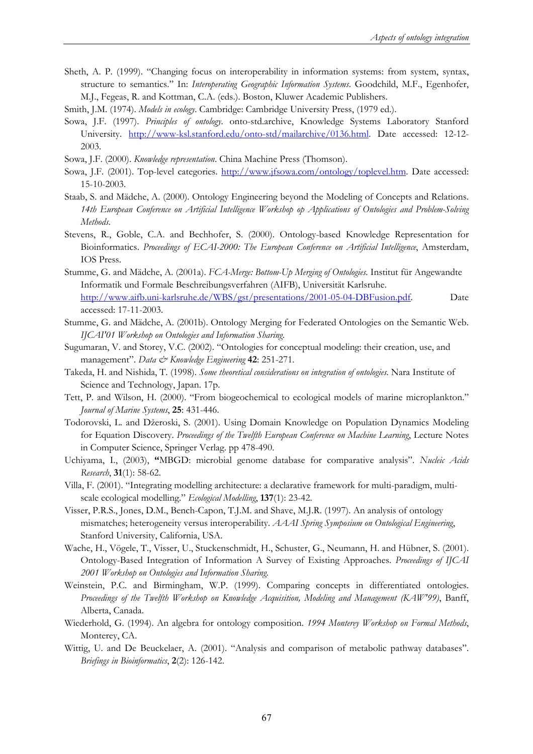Sheth, A. P. (1999). "Changing focus on interoperability in information systems: from system, syntax, structure to semantics." In: *Interoperating Geographic Information Systems*. Goodchild, M.F., Egenhofer, M.J., Fegeas, R. and Kottman, C.A. (eds.). Boston, Kluwer Academic Publishers.

Smith, J.M. (1974). *Models in ecology*. Cambridge: Cambridge University Press, (1979 ed.).

- Sowa, J.F. (1997). *Principles of ontology*. onto-std.archive, Knowledge Systems Laboratory Stanford University. http://www-ksl.stanford.edu/onto-std/mailarchive/0136.html. Date accessed: 12-12- 2003.
- Sowa, J.F. (2000). *Knowledge representation*. China Machine Press (Thomson).
- Sowa, J.F. (2001). Top-level categories. http://www.jfsowa.com/ontology/toplevel.htm. Date accessed: 15-10-2003.
- Staab, S. and Mädche, A. (2000). Ontology Engineering beyond the Modeling of Concepts and Relations. 14th European Conference on Artificial Intelligence Workshop op Applications of Ontologies and Problem-Solving *Methods*.
- Stevens, R., Goble, C.A. and Bechhofer, S. (2000). Ontology-based Knowledge Representation for Bioinformatics. *Proceedings of ECAI-2000: The European Conference on Artificial Intelligence*, Amsterdam, IOS Press.
- Stumme, G. and Mädche, A. (2001a). *FCA-Merge: Bottom-Up Merging of Ontologies*. Institut für Angewandte Informatik und Formale Beschreibungsverfahren (AIFB), Universität Karlsruhe. http://www.aifb.uni-karlsruhe.de/WBS/gst/presentations/2001-05-04-DBFusion.pdf. Date accessed: 17-11-2003.
- Stumme, G. and Mädche, A. (2001b). Ontology Merging for Federated Ontologies on the Semantic Web. *IJCAI'01 Workshop on Ontologies and Information Sharing*.
- Sugumaran, V. and Storey, V.C. (2002). "Ontologies for conceptual modeling: their creation, use, and management". *Data & Knowledge Engineering* 42: 251-271.
- Takeda, H. and Nishida, T. (1998). *Some theoretical considerations on integration of ontologies*. Nara Institute of Science and Technology, Japan. 17p.
- Tett, P. and Wilson, H. (2000). "From biogeochemical to ecological models of marine microplankton." *Journal of Marine Systems*, **25**: 431-446.
- Todorovski, L. and Džeroski, S. (2001). Using Domain Knowledge on Population Dynamics Modeling for Equation Discovery. *Proceedings of the Twelfth European Conference on Machine Learning*, Lecture Notes in Computer Science, Springer Verlag. pp 478-490.
- Uchiyama, I., (2003), **"**MBGD: microbial genome database for comparative analysis". *Nucleic Acids Research*, **31**(1): 58-62.
- Villa, F. (2001). "Integrating modelling architecture: a declarative framework for multi-paradigm, multiscale ecological modelling." *Ecological Modelling*, **137**(1): 23-42.
- Visser, P.R.S., Jones, D.M., Bench-Capon, T.J.M. and Shave, M.J.R. (1997). An analysis of ontology mismatches; heterogeneity versus interoperability. *AAAI Spring Symposium on Ontological Engineering*, Stanford University, California, USA.
- Wache, H., Vögele, T., Visser, U., Stuckenschmidt, H., Schuster, G., Neumann, H. and Hübner, S. (2001). Ontology-Based Integration of Information A Survey of Existing Approaches. *Proceedings of IJCAI 2001 Workshop on Ontologies and Information Sharing*.
- Weinstein, P.C. and Birmingham, W.P. (1999). Comparing concepts in differentiated ontologies. *Proceedings of the Twelfth Workshop on Knowledge Acquisition, Modeling and Management (KAW'99)*, Banff, Alberta, Canada.
- Wiederhold, G. (1994). An algebra for ontology composition. *1994 Monterey Workshop on Formal Methods*, Monterey, CA.
- Wittig, U. and De Beuckelaer, A. (2001). "Analysis and comparison of metabolic pathway databases". *Briefings in Bioinformatics*, **2**(2): 126-142.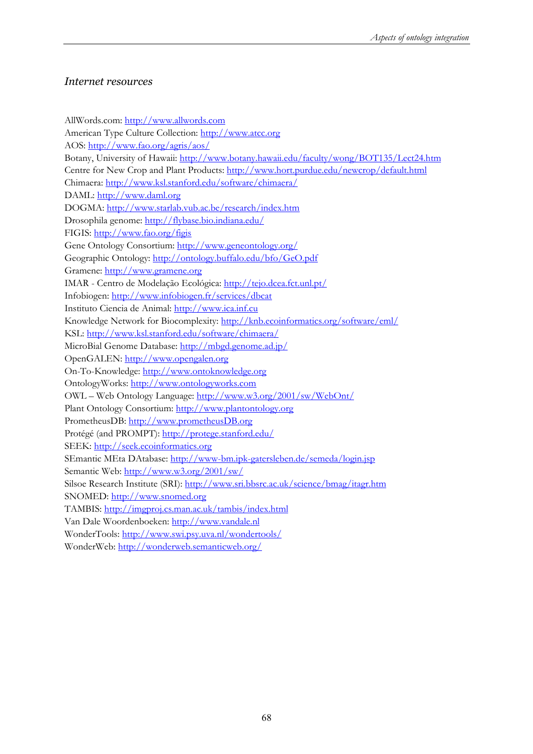### *Internet resources*

AllWords.com: http://www.allwords.com American Type Culture Collection: http://www.atcc.org AOS: http://www.fao.org/agris/aos/ Botany, University of Hawaii: http://www.botany.hawaii.edu/faculty/wong/BOT135/Lect24.htm Centre for New Crop and Plant Products: http://www.hort.purdue.edu/newcrop/default.html Chimaera: http://www.ksl.stanford.edu/software/chimaera/ DAML: http://www.daml.org DOGMA: http://www.starlab.vub.ac.be/research/index.htm Drosophila genome: http://flybase.bio.indiana.edu/ FIGIS: http://www.fao.org/figis Gene Ontology Consortium: http://www.geneontology.org/ Geographic Ontology: http://ontology.buffalo.edu/bfo/GeO.pdf Gramene: http://www.gramene.org IMAR - Centro de Modelação Ecológica: http://tejo.dcea.fct.unl.pt/ Infobiogen: http://www.infobiogen.fr/services/dbcat Instituto Ciencia de Animal: http://www.ica.inf.cu Knowledge Network for Biocomplexity: http://knb.ecoinformatics.org/software/eml/ KSL: http://www.ksl.stanford.edu/software/chimaera/ MicroBial Genome Database: http://mbgd.genome.ad.jp/ OpenGALEN: http://www.opengalen.org On-To-Knowledge: http://www.ontoknowledge.org OntologyWorks: http://www.ontologyworks.com OWL – Web Ontology Language: http://www.w3.org/2001/sw/WebOnt/ Plant Ontology Consortium: http://www.plantontology.org PrometheusDB: http://www.prometheusDB.org Protégé (and PROMPT): http://protege.stanford.edu/ SEEK: http://seek.ecoinformatics.org SEmantic MEta DAtabase: http://www-bm.ipk-gatersleben.de/semeda/login.jsp Semantic Web: http://www.w3.org/2001/sw/ Silsoe Research Institute (SRI): http://www.sri.bbsrc.ac.uk/science/bmag/itagr.htm SNOMED: http://www.snomed.org TAMBIS: http://imgproj.cs.man.ac.uk/tambis/index.html Van Dale Woordenboeken: http://www.vandale.nl WonderTools: http://www.swi.psy.uva.nl/wondertools/ WonderWeb: http://wonderweb.semanticweb.org/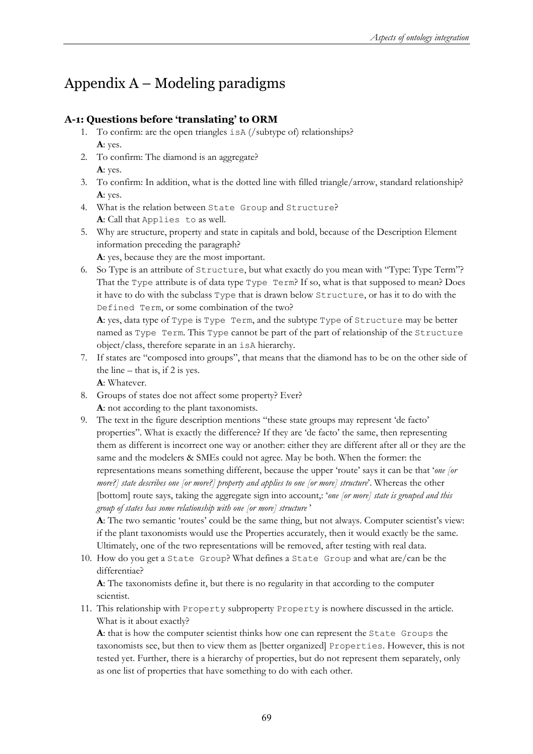## Appendix A – Modeling paradigms

### **A-1: Questions before 'translating' to ORM**

- 1. To confirm: are the open triangles isA (/subtype of) relationships? **A**: yes.
- 2. To confirm: The diamond is an aggregate? **A**: yes.
- 3. To confirm: In addition, what is the dotted line with filled triangle/arrow, standard relationship? **A**: yes.
- 4. What is the relation between State Group and Structure? **A**: Call that Applies to as well.
- 5. Why are structure, property and state in capitals and bold, because of the Description Element information preceding the paragraph?
	- **A**: yes, because they are the most important.
- 6. So Type is an attribute of Structure, but what exactly do you mean with "Type: Type Term"? That the Type attribute is of data type Type Term? If so, what is that supposed to mean? Does it have to do with the subclass Type that is drawn below Structure, or has it to do with the Defined Term, or some combination of the two?

**A**: yes, data type of Type is Type Term, and the subtype Type of Structure may be better named as Type Term. This Type cannot be part of the part of relationship of the Structure object/class, therefore separate in an isA hierarchy.

7. If states are "composed into groups", that means that the diamond has to be on the other side of the line  $-$  that is, if 2 is yes.

**A**: Whatever.

- 8. Groups of states doe not affect some property? Ever? **A**: not according to the plant taxonomists.
- 9. The text in the figure description mentions "these state groups may represent 'de facto' properties". What is exactly the difference? If they are 'de facto' the same, then representing them as different is incorrect one way or another: either they are different after all or they are the same and the modelers & SMEs could not agree. May be both. When the former: the representations means something different, because the upper 'route' says it can be that '*one [or more?] state describes one [or more?] property and applies to one [or more] structure*'. Whereas the other [bottom] route says, taking the aggregate sign into account; 'one [or more] state is grouped and this *group of states has some relationship with one [or more] structure* '

**A**: The two semantic 'routes' could be the same thing, but not always. Computer scientist's view: if the plant taxonomists would use the Properties accurately, then it would exactly be the same. Ultimately, one of the two representations will be removed, after testing with real data.

10. How do you get a State Group? What defines a State Group and what are/can be the differentiae?

**A**: The taxonomists define it, but there is no regularity in that according to the computer scientist.

11. This relationship with Property subproperty Property is nowhere discussed in the article. What is it about exactly?

**A**: that is how the computer scientist thinks how one can represent the State Groups the taxonomists see, but then to view them as [better organized] Properties. However, this is not tested yet. Further, there is a hierarchy of properties, but do not represent them separately, only as one list of properties that have something to do with each other.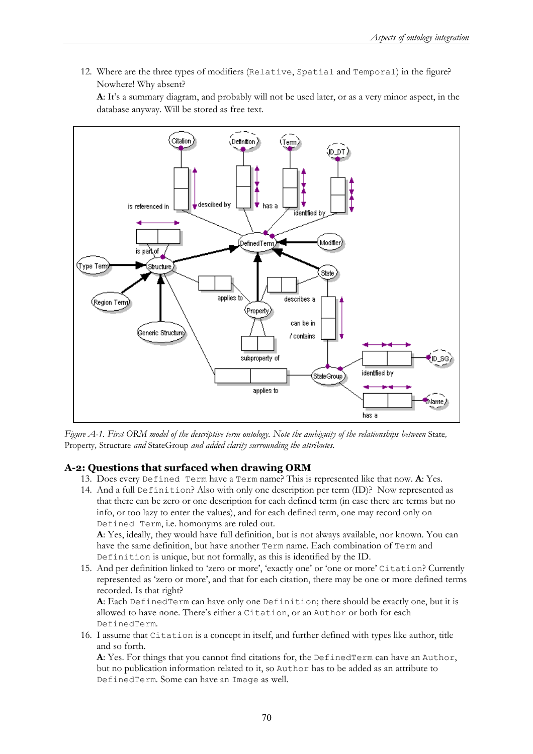12. Where are the three types of modifiers (Relative, Spatial and Temporal) in the figure? Nowhere! Why absent?

**A**: It's a summary diagram, and probably will not be used later, or as a very minor aspect, in the database anyway. Will be stored as free text.



*Figure A-1. First ORM model of the descriptive term ontology. Note the ambiguity of the relationships between* State, Property*,* Structure *and* StateGroup *and added clarity surrounding the attributes.*

#### **A-2: Questions that surfaced when drawing ORM**

- 13. Does every Defined Term have a Term name? This is represented like that now. **A**: Yes.
- 14. And a full Definition? Also with only one description per term (ID)? Now represented as that there can be zero or one description for each defined term (in case there are terms but no info, or too lazy to enter the values), and for each defined term, one may record only on Defined Term, i.e. homonyms are ruled out.

**A**: Yes, ideally, they would have full definition, but is not always available, nor known. You can have the same definition, but have another Term name. Each combination of Term and Definition is unique, but not formally, as this is identified by the ID.

15. And per definition linked to 'zero or more', 'exactly one' or 'one or more' Citation? Currently represented as 'zero or more', and that for each citation, there may be one or more defined terms recorded. Is that right?

**A**: Each DefinedTerm can have only one Definition; there should be exactly one, but it is allowed to have none. There's either a Citation, or an Author or both for each DefinedTerm.

16. I assume that Citation is a concept in itself, and further defined with types like author, title and so forth.

**A**: Yes. For things that you cannot find citations for, the DefinedTerm can have an Author, but no publication information related to it, so Author has to be added as an attribute to DefinedTerm. Some can have an Image as well.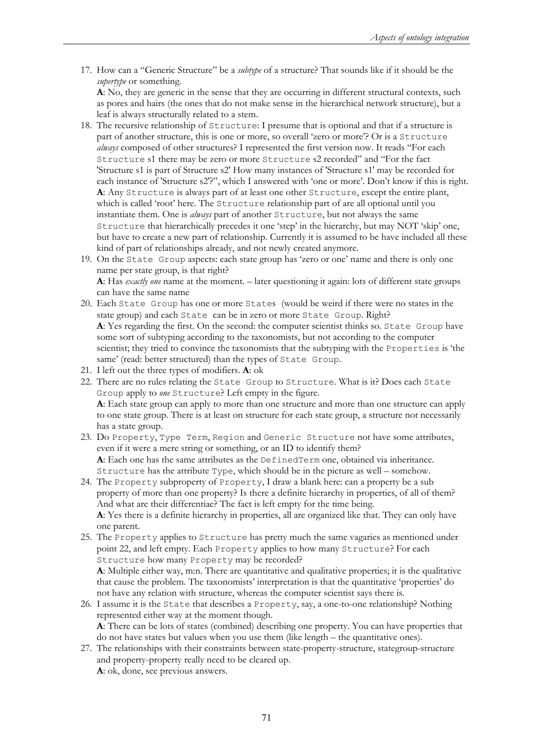17. How can a "Generic Structure" be a *subtype* of a structure? That sounds like if it should be the *supertype* or something.

**A**: No, they are generic in the sense that they are occurring in different structural contexts, such as pores and hairs (the ones that do not make sense in the hierarchical network structure), but a leaf is always structurally related to a stem.

- 18. The recursive relationship of Structure: I presume that is optional and that if a structure is part of another structure, this is one or more, so overall 'zero or more'? Or is a Structure *always* composed of other structures? I represented the first version now. It reads "For each Structure s1 there may be zero or more Structure s2 recorded" and "For the fact 'Structure s1 is part of Structure s2' How many instances of 'Structure s1' may be recorded for each instance of 'Structure s2'?", which I answered with 'one or more'. Don't know if this is right. **A**: Any Structure is always part of at least one other Structure, except the entire plant, which is called 'root' here. The Structure relationship part of are all optional until you instantiate them. One is *always* part of another Structure, but not always the same Structure that hierarchically precedes it one 'step' in the hierarchy, but may NOT 'skip' one, but have to create a new part of relationship. Currently it is assumed to be have included all these kind of part of relationships already, and not newly created anymore.
- 19. On the State Group aspects: each state group has 'zero or one' name and there is only one name per state group, is that right? **A**: Has *exactly one* name at the moment. – later questioning it again: lots of different state groups can have the same name
- 20. Each State Group has one or more States (would be weird if there were no states in the state group) and each State can be in zero or more State Group. Right? **A**: Yes regarding the first. On the second: the computer scientist thinks so. State Group have some sort of subtyping according to the taxonomists, but not according to the computer scientist; they tried to convince the taxonomists that the subtyping with the Properties is 'the same' (read: better structured) than the types of State Group.
- 21. I left out the three types of modifiers. **A**: ok
- 22. There are no rules relating the State Group to Structure. What is it? Does each State Group apply to *one* Structure? Left empty in the figure. **A**: Each state group can apply to more than one structure and more than one structure can apply to one state group. There is at least on structure for each state group, a structure not necessarily has a state group.
- 23. Do Property, Type Term, Region and Generic Structure not have some attributes, even if it were a mere string or something, or an ID to identify them? **A**: Each one has the same attributes as the DefinedTerm one, obtained via inheritance. Structure has the attribute Type, which should be in the picture as well – somehow.
- 24. The Property subproperty of Property, I draw a blank here: can a property be a sub property of more than one property? Is there a definite hierarchy in properties, of all of them? And what are their differentiae? The fact is left empty for the time being. **A**: Yes there is a definite hierarchy in properties, all are organized like that. They can only have one parent.
- 25. The Property applies to Structure has pretty much the same vagaries as mentioned under point 22, and left empty. Each Property applies to how many Structure? For each Structure how many Property may be recorded?

**A**: Multiple either way, m:n. There are quantitative and qualitative properties; it is the qualitative that cause the problem. The taxonomists' interpretation is that the quantitative 'properties' do not have any relation with structure, whereas the computer scientist says there is.

- 26. I assume it is the State that describes a Property, say, a one-to-one relationship? Nothing represented either way at the moment though. **A**: There can be lots of states (combined) describing one property. You can have properties that do not have states but values when you use them (like length – the quantitative ones).
- 27. The relationships with their constraints between state-property-structure, stategroup-structure and property-property really need to be cleared up. **A**: ok, done, see previous answers.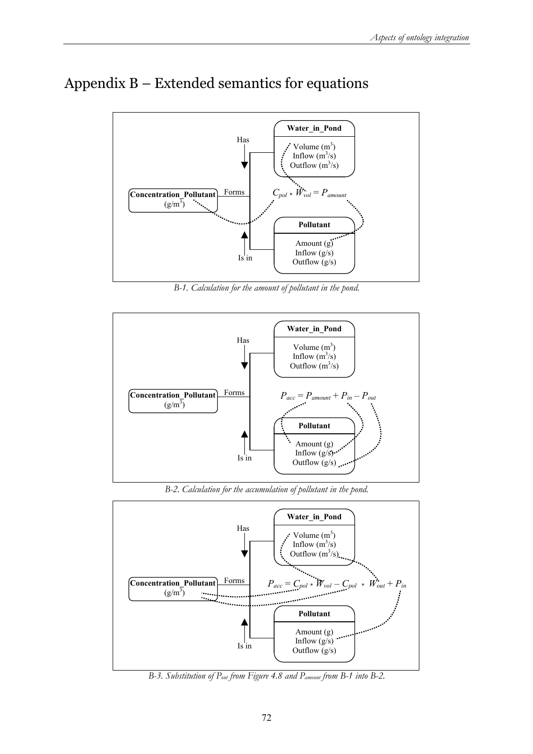

### Appendix B – Extended semantics for equations

*B-1. Calculation for the amount of pollutant in the pond.*



*B-2. Calculation for the accumulation of pollutant in the pond.*



*B-3. Substitution of Pout from Figure 4.8 and Pamount from B-1 into B-2.*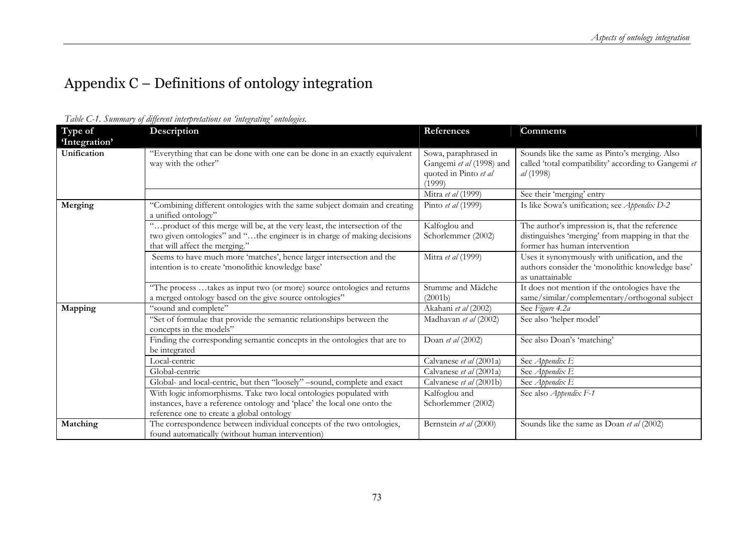# Appendix C – Definitions of ontology integration

| Type of                      | Description                                                                                                                                                                              | References                                                                          | <b>Comments</b>                                                                                                                     |
|------------------------------|------------------------------------------------------------------------------------------------------------------------------------------------------------------------------------------|-------------------------------------------------------------------------------------|-------------------------------------------------------------------------------------------------------------------------------------|
| 'Integration'<br>Unification | "Everything that can be done with one can be done in an exactly equivalent<br>way with the other"                                                                                        | Sowa, paraphrased in<br>Gangemi et al (1998) and<br>quoted in Pinto et al<br>(1999) | Sounds like the same as Pinto's merging. Also<br>called 'total compatibility' according to Gangemi et<br>al (1998)                  |
|                              |                                                                                                                                                                                          | Mitra et al (1999)                                                                  | See their 'merging' entry                                                                                                           |
| Merging                      | "Combining different ontologies with the same subject domain and creating<br>a unified ontology"                                                                                         | Pinto et al (1999)                                                                  | Is like Sowa's unification; see Appendix D-2                                                                                        |
|                              | "product of this merge will be, at the very least, the intersection of the<br>two given ontologies" and "the engineer is in charge of making decisions<br>that will affect the merging." | Kalfoglou and<br>Schorlemmer (2002)                                                 | The author's impression is, that the reference<br>distinguishes 'merging' from mapping in that the<br>former has human intervention |
|                              | Seems to have much more 'matches', hence larger intersection and the<br>intention is to create 'monolithic knowledge base'                                                               | Mitra et al (1999)                                                                  | Uses it synonymously with unification, and the<br>authors consider the 'monolithic knowledge base'<br>as unattainable               |
|                              | "The process  takes as input two (or more) source ontologies and returns<br>a merged ontology based on the give source ontologies"                                                       | Stumme and Mädche<br>(2001b)                                                        | It does not mention if the ontologies have the<br>same/similar/complementary/orthogonal subject                                     |
| Mapping                      | "sound and complete"                                                                                                                                                                     | Akahani et al (2002)                                                                | See Figure 4.2a                                                                                                                     |
|                              | "Set of formulae that provide the semantic relationships between the<br>concepts in the models"                                                                                          | Madhavan et al (2002)                                                               | See also 'helper model'                                                                                                             |
|                              | Finding the corresponding semantic concepts in the ontologies that are to<br>be integrated                                                                                               | Doan et al $(2002)$                                                                 | See also Doan's 'matching'                                                                                                          |
|                              | Local-centric                                                                                                                                                                            | Calvanese et al (2001a)                                                             | See Appendix E                                                                                                                      |
|                              | Global-centric                                                                                                                                                                           | Calvanese et al (2001a)                                                             | See Appendix E                                                                                                                      |
|                              | Global- and local-centric, but then "loosely" -sound, complete and exact                                                                                                                 | Calvanese et al (2001b)                                                             | See Appendix E                                                                                                                      |
|                              | With logic infomorphisms. Take two local ontologies populated with                                                                                                                       | Kalfoglou and                                                                       | See also Appendix F-1                                                                                                               |
|                              | instances, have a reference ontology and 'place' the local one onto the                                                                                                                  | Schorlemmer (2002)                                                                  |                                                                                                                                     |
|                              | reference one to create a global ontology                                                                                                                                                |                                                                                     |                                                                                                                                     |
| Matching                     | The correspondence between individual concepts of the two ontologies,<br>found automatically (without human intervention)                                                                | Bernstein et al (2000)                                                              | Sounds like the same as Doan et al (2002)                                                                                           |

*Table C-1. Summary of different interpretations on 'integrating' ontologies.*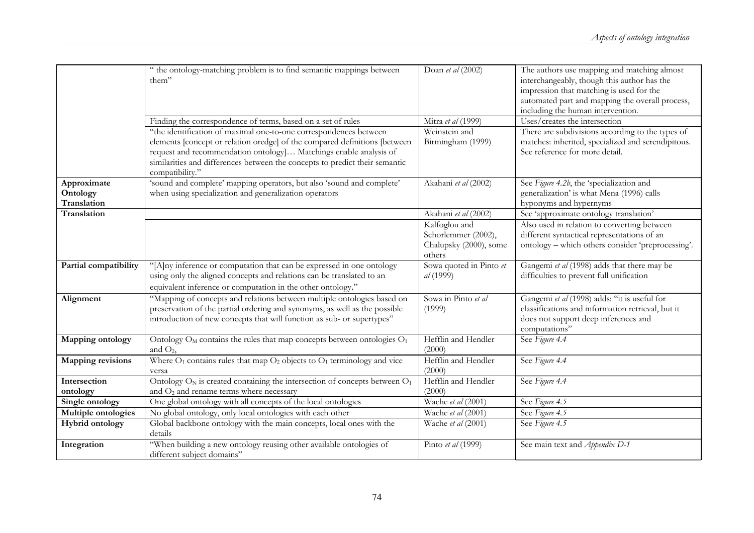|                                        | " the ontology-matching problem is to find semantic mappings between<br>them"<br>Finding the correspondence of terms, based on a set of rules                                                                                                                                                                           | Doan et al (2002)<br>Mitra et al (1999)                                  | The authors use mapping and matching almost<br>interchangeably, though this author has the<br>impression that matching is used for the<br>automated part and mapping the overall process,<br>including the human intervention.<br>Uses/creates the intersection |
|----------------------------------------|-------------------------------------------------------------------------------------------------------------------------------------------------------------------------------------------------------------------------------------------------------------------------------------------------------------------------|--------------------------------------------------------------------------|-----------------------------------------------------------------------------------------------------------------------------------------------------------------------------------------------------------------------------------------------------------------|
|                                        | "the identification of maximal one-to-one correspondences between<br>elements [concept or relation oredge] of the compared definitions [between<br>request and recommendation ontology ] Matchings enable analysis of<br>similarities and differences between the concepts to predict their semantic<br>compatibility." | Weinstein and<br>Birmingham (1999)                                       | There are subdivisions according to the types of<br>matches: inherited, specialized and serendipitous.<br>See reference for more detail.                                                                                                                        |
| Approximate<br>Ontology<br>Translation | 'sound and complete' mapping operators, but also 'sound and complete'<br>when using specialization and generalization operators                                                                                                                                                                                         | Akahani et al (2002)                                                     | See Figure 4.2b, the 'specialization and<br>generalization' is what Mena (1996) calls<br>hyponyms and hypernyms                                                                                                                                                 |
| Translation                            |                                                                                                                                                                                                                                                                                                                         | Akahani et al (2002)                                                     | See 'approximate ontology translation'                                                                                                                                                                                                                          |
|                                        |                                                                                                                                                                                                                                                                                                                         | Kalfoglou and<br>Schorlemmer (2002),<br>Chalupsky (2000), some<br>others | Also used in relation to converting between<br>different syntactical representations of an<br>ontology - which others consider 'preprocessing'.                                                                                                                 |
| Partial compatibility                  | "[A]ny inference or computation that can be expressed in one ontology<br>using only the aligned concepts and relations can be translated to an<br>equivalent inference or computation in the other ontology."                                                                                                           | Sowa quoted in Pinto et<br>al (1999)                                     | Gangemi et al (1998) adds that there may be<br>difficulties to prevent full unification                                                                                                                                                                         |
| Alignment                              | "Mapping of concepts and relations between multiple ontologies based on<br>preservation of the partial ordering and synonyms, as well as the possible<br>introduction of new concepts that will function as sub- or supertypes"                                                                                         | Sowa in Pinto et al<br>(1999)                                            | Gangemi et al (1998) adds: "it is useful for<br>classifications and information retrieval, but it<br>does not support deep inferences and<br>computations"                                                                                                      |
| Mapping ontology                       | Ontology $O_M$ contains the rules that map concepts between ontologies $O_1$<br>and $O_2$ ,                                                                                                                                                                                                                             | Hefflin and Hendler<br>(2000)                                            | See Figure 4.4                                                                                                                                                                                                                                                  |
| <b>Mapping revisions</b>               | Where $O_1$ contains rules that map $O_2$ objects to $O_1$ terminology and vice<br>versa                                                                                                                                                                                                                                | Hefflin and Hendler<br>(2000)                                            | See Figure 4.4                                                                                                                                                                                                                                                  |
| Intersection                           | Ontology $O_N$ is created containing the intersection of concepts between $O_1$                                                                                                                                                                                                                                         | Hefflin and Hendler                                                      | See Figure 4.4                                                                                                                                                                                                                                                  |
| ontology                               | and $O2$ and rename terms where necessary                                                                                                                                                                                                                                                                               | (2000)                                                                   |                                                                                                                                                                                                                                                                 |
| Single ontology                        | One global ontology with all concepts of the local ontologies                                                                                                                                                                                                                                                           | Wache et al (2001)                                                       | See Figure 4.5                                                                                                                                                                                                                                                  |
| Multiple ontologies                    | No global ontology, only local ontologies with each other                                                                                                                                                                                                                                                               | Wache et al (2001)                                                       | See Figure 4.5                                                                                                                                                                                                                                                  |
| <b>Hybrid ontology</b>                 | Global backbone ontology with the main concepts, local ones with the<br>details                                                                                                                                                                                                                                         | Wache et al (2001)                                                       | See Figure 4.5                                                                                                                                                                                                                                                  |
| Integration                            | "When building a new ontology reusing other available ontologies of<br>different subject domains"                                                                                                                                                                                                                       | Pinto et al (1999)                                                       | See main text and Appendix D-1                                                                                                                                                                                                                                  |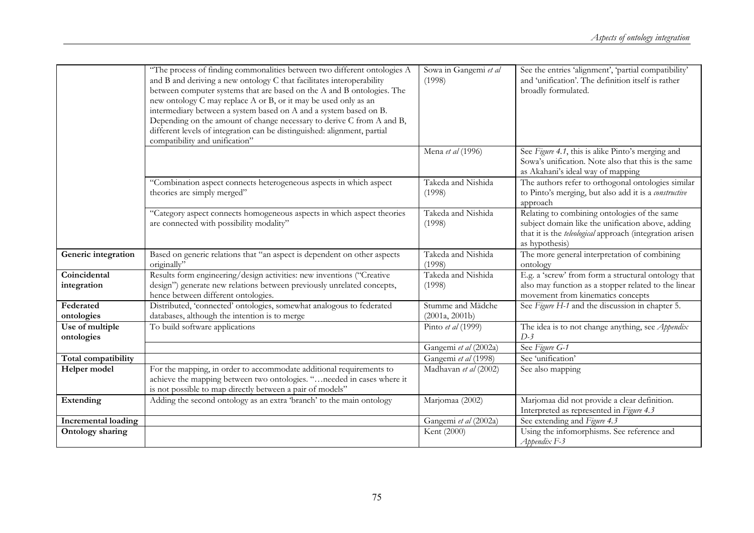|                               | "The process of finding commonalities between two different ontologies A<br>and B and deriving a new ontology C that facilitates interoperability<br>between computer systems that are based on the A and B ontologies. The<br>new ontology C may replace A or B, or it may be used only as an<br>intermediary between a system based on A and a system based on B.<br>Depending on the amount of change necessary to derive C from A and B,<br>different levels of integration can be distinguished: alignment, partial<br>compatibility and unification" | Sowa in Gangemi et al<br>(1998)               | See the entries 'alignment', 'partial compatibility'<br>and 'unification'. The definition itself is rather<br>broadly formulated.                                                      |
|-------------------------------|------------------------------------------------------------------------------------------------------------------------------------------------------------------------------------------------------------------------------------------------------------------------------------------------------------------------------------------------------------------------------------------------------------------------------------------------------------------------------------------------------------------------------------------------------------|-----------------------------------------------|----------------------------------------------------------------------------------------------------------------------------------------------------------------------------------------|
|                               |                                                                                                                                                                                                                                                                                                                                                                                                                                                                                                                                                            | Mena et al (1996)                             | See Figure 4.1, this is alike Pinto's merging and<br>Sowa's unification. Note also that this is the same<br>as Akahani's ideal way of mapping                                          |
|                               | "Combination aspect connects heterogeneous aspects in which aspect<br>theories are simply merged"                                                                                                                                                                                                                                                                                                                                                                                                                                                          | Takeda and Nishida<br>(1998)                  | The authors refer to orthogonal ontologies similar<br>to Pinto's merging, but also add it is a constructive<br>approach                                                                |
|                               | "Category aspect connects homogeneous aspects in which aspect theories<br>are connected with possibility modality"                                                                                                                                                                                                                                                                                                                                                                                                                                         | Takeda and Nishida<br>(1998)                  | Relating to combining ontologies of the same<br>subject domain like the unification above, adding<br>that it is the <i>teleological</i> approach (integration arisen<br>as hypothesis) |
| Generic integration           | Based on generic relations that "an aspect is dependent on other aspects<br>originally"                                                                                                                                                                                                                                                                                                                                                                                                                                                                    | Takeda and Nishida<br>(1998)                  | The more general interpretation of combining<br>ontology                                                                                                                               |
| Coincidental<br>integration   | Results form engineering/design activities: new inventions ("Creative<br>design") generate new relations between previously unrelated concepts,<br>hence between different ontologies.                                                                                                                                                                                                                                                                                                                                                                     | Takeda and Nishida<br>(1998)                  | E.g. a 'screw' from form a structural ontology that<br>also may function as a stopper related to the linear<br>movement from kinematics concepts                                       |
| Federated<br>ontologies       | Distributed, 'connected' ontologies, somewhat analogous to federated<br>databases, although the intention is to merge                                                                                                                                                                                                                                                                                                                                                                                                                                      | Stumme and Mädche<br>(2001a, 2001b)           | See Figure H-1 and the discussion in chapter 5.                                                                                                                                        |
| Use of multiple<br>ontologies | To build software applications                                                                                                                                                                                                                                                                                                                                                                                                                                                                                                                             | Pinto et al (1999)                            | The idea is to not change anything, see <i>Appendix</i><br>$D-3$                                                                                                                       |
|                               |                                                                                                                                                                                                                                                                                                                                                                                                                                                                                                                                                            | Gangemi et al (2002a)                         | See Figure G-1                                                                                                                                                                         |
| Total compatibility           | For the mapping, in order to accommodate additional requirements to                                                                                                                                                                                                                                                                                                                                                                                                                                                                                        | Gangemi et al (1998)<br>Madhavan et al (2002) | See 'unification'                                                                                                                                                                      |
| Helper model                  | achieve the mapping between two ontologies. " needed in cases where it<br>is not possible to map directly between a pair of models"                                                                                                                                                                                                                                                                                                                                                                                                                        |                                               | See also mapping                                                                                                                                                                       |
| Extending                     | Adding the second ontology as an extra 'branch' to the main ontology                                                                                                                                                                                                                                                                                                                                                                                                                                                                                       | Marjomaa (2002)                               | Marjomaa did not provide a clear definition.<br>Interpreted as represented in Figure 4.3                                                                                               |
| <b>Incremental loading</b>    |                                                                                                                                                                                                                                                                                                                                                                                                                                                                                                                                                            | Gangemi et al (2002a)                         | See extending and Figure 4.3                                                                                                                                                           |
| <b>Ontology sharing</b>       |                                                                                                                                                                                                                                                                                                                                                                                                                                                                                                                                                            | Kent (2000)                                   | Using the infomorphisms. See reference and<br>$Appendix F-3$                                                                                                                           |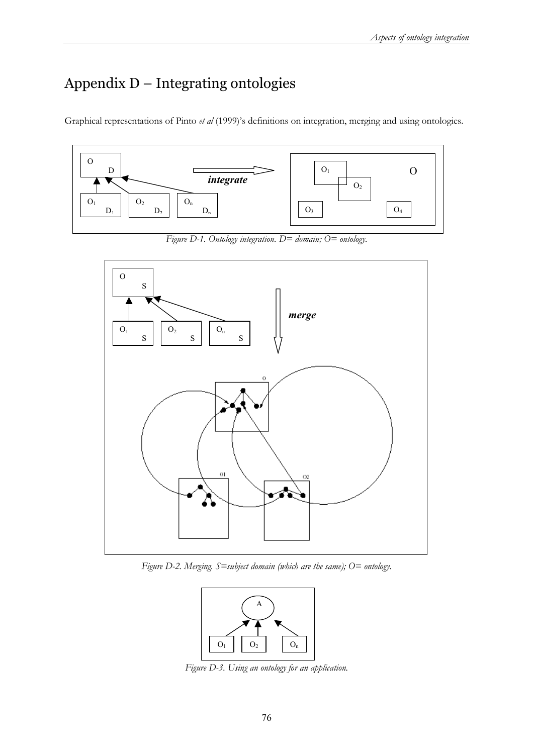## Appendix D – Integrating ontologies

Graphical representations of Pinto *et al* (1999)'s definitions on integration, merging and using ontologies.



*Figure D-1. Ontology integration. D= domain; O= ontology.* 



*Figure D-2. Merging. S=subject domain (which are the same); O= ontology.* 



*Figure D-3. Using an ontology for an application.*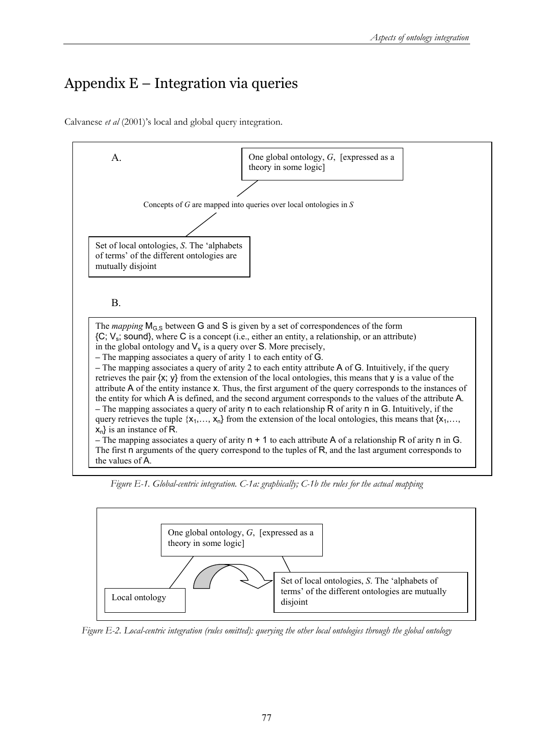# Appendix E – Integration via queries

Calvanese *et al* (2001)'s local and global query integration.



*Figure E-1. Global-centric integration. C-1a: graphically; C-1b the rules for the actual mapping* 



*Figure E-2. Local-centric integration (rules omitted): querying the other local ontologies through the global ontology*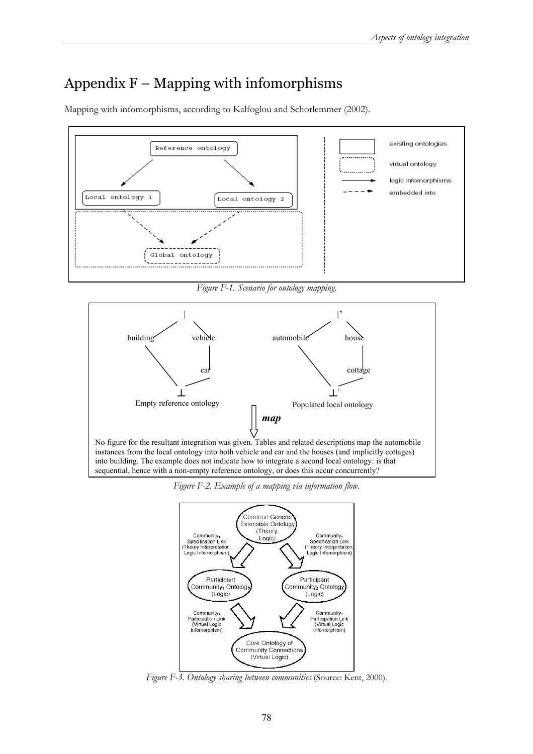## Appendix  $F - M$ apping with infomorphisms

Mapping with infomorphisms, according to Kalfoglou and Schorlemmer (2002).



*Figure F-1. Scenario for ontology mapping.* 



*Figure F-2. Example of a mapping via information flow.* 



*Figure F-3. Ontology sharing between communities* (Source: Kent, 2000).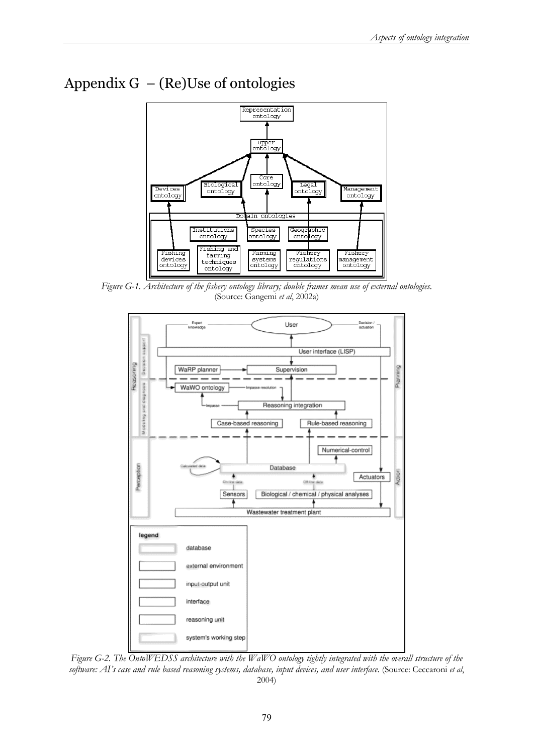



*Figure G-1. Architecture of the fishery ontology library; double frames mean use of external ontologies.* (Source: Gangemi *et al*, 2002a)



*Figure G-2. The OntoWEDSS architecture with the WaWO ontology tightly integrated with the overall structure of the software: AI's case and rule based reasoning systems, database, input devices, and user interface.* (Source: Ceccaroni *et al*, 2004)